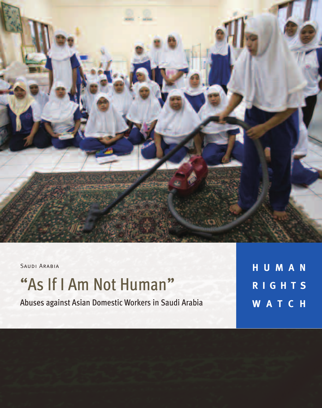

SAUDI ARABIA

# "As If I Am Not Human"

Abuses against Asian Domestic Workers in Saudi Arabia

**H U M A N R I G H T S W A T C H**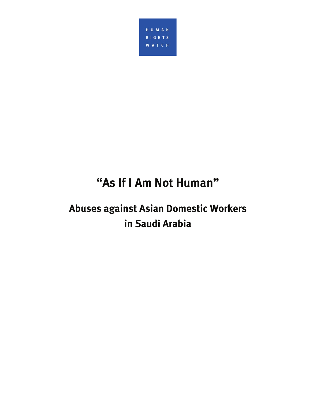

## **"As If I Am Not Human"**

## **Abuses against Asian Domestic Workers in Saudi Arabia**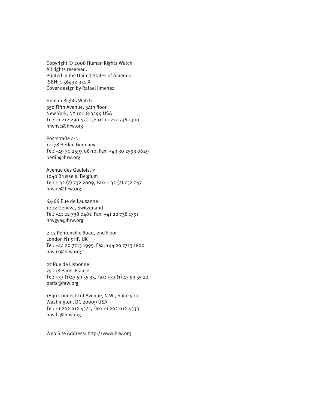Copyright © 2008 Human Rights Watch All rights reserved. Printed in the United States of America ISBN: 1-56432-351-X Cover design by Rafael Jimenez

Human Rights Watch 350 Fifth Avenue, 34th floor New York, NY 10118-3299 USA Tel: +1 212 290 4700, Fax: +1 212 736 1300 hrwnyc@hrw.org

Poststraße 4-5 10178 Berlin, Germany Tel: +49 30 2593 06-10, Fax: +49 30 2593 0629 berlin@hrw.org

Avenue des Gaulois, 7 1040 Brussels, Belgium Tel: + 32 (2) 732 2009, Fax: + 32 (2) 732 0471 hrwbe@hrw.org

64-66 Rue de Lausanne 1202 Geneva, Switzerland Tel: +41 22 738 0481, Fax: +41 22 738 1791 hrwgva@hrw.org

2-12 Pentonville Road, 2nd Floor London N1 9HF, UK Tel: +44 20 7713 1995, Fax: +44 20 7713 1800 hrwuk@hrw.org

27 Rue de Lisbonne 75008 Paris, France Tel: +33 (1)43 59 55 35, Fax: +33 (1) 43 59 55 22 paris@hrw.org

1630 Connecticut Avenue, N.W., Suite 500 Washington, DC 20009 USA Tel: +1 202 612 4321, Fax: +1 202 612 4333 hrwdc@hrw.org

Web Site Address: http://www.hrw.org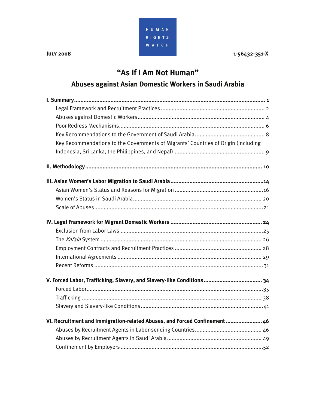

## **"As If I Am Not Human"**

## **Abuses against Asian Domestic Workers in Saudi Arabia**

| Key Recommendations to the Governments of Migrants' Countries of Origin (including |
|------------------------------------------------------------------------------------|
|                                                                                    |
|                                                                                    |
|                                                                                    |
|                                                                                    |
|                                                                                    |
|                                                                                    |
|                                                                                    |
|                                                                                    |
|                                                                                    |
|                                                                                    |
|                                                                                    |
|                                                                                    |
|                                                                                    |
|                                                                                    |
|                                                                                    |
|                                                                                    |
| VI. Recruitment and Immigration-related Abuses, and Forced Confinement  46         |
|                                                                                    |
|                                                                                    |
|                                                                                    |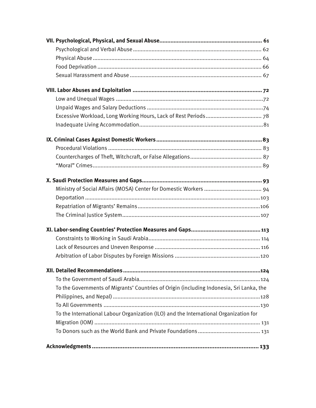| To the Governments of Migrants' Countries of Origin (including Indonesia, Sri Lanka, the |
|------------------------------------------------------------------------------------------|
|                                                                                          |
|                                                                                          |
| To the International Labour Organization (ILO) and the International Organization for    |
|                                                                                          |
|                                                                                          |
|                                                                                          |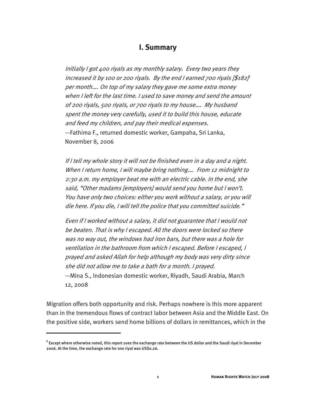## **I. Summary**

Initially I got 400 riyals as my monthly salary. Every two years they increased it by 100 or 200 riyals. By the end I earned 700 riyals  $[$182]$ <sup>t</sup> per month…. On top of my salary they gave me some extra money when I left for the last time. I used to save money and send the amount of 200 riyals, 500 riyals, or 700 riyals to my house…. My husband spent the money very carefully, used it to build this house, educate and feed my children, and pay their medical expenses. —Fathima F., returned domestic worker, Gampaha, Sri Lanka, November 8, 2006

If I tell my whole story it will not be finished even in a day and a night. When I return home, I will maybe bring nothing.... From 12 midnight to 2:30 a.m. my employer beat me with an electric cable. In the end, she said, "Other madams [employers] would send you home but I won't. You have only two choices: either you work without a salary, or you will die here. If you die, I will tell the police that you committed suicide."

Even if I worked without a salary, it did not guarantee that I would not be beaten. That is why I escaped. All the doors were locked so there was no way out, the windows had iron bars, but there was a hole for ventilation in the bathroom from which I escaped. Before I escaped, I prayed and asked Allah for help although my body was very dirty since she did not allow me to take a bath for a month. I prayed. —Mina S., Indonesian domestic worker, Riyadh, Saudi Arabia, March 12, 2008

Migration offers both opportunity and risk. Perhaps nowhere is this more apparent than in the tremendous flows of contract labor between Asia and the Middle East. On the positive side, workers send home billions of dollars in remittances, which in the

**<sup>1</sup>** Except where otherwise noted, this report uses the exchange rate between the US dollar and the Saudi riyal in December 2006. At the time, the exchange rate for one riyal was US\$0.26.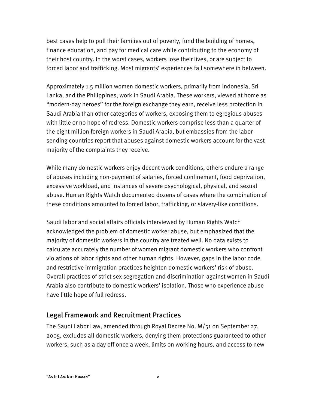best cases help to pull their families out of poverty, fund the building of homes, finance education, and pay for medical care while contributing to the economy of their host country. In the worst cases, workers lose their lives, or are subject to forced labor and trafficking. Most migrants' experiences fall somewhere in between.

Approximately 1.5 million women domestic workers, primarily from Indonesia, Sri Lanka, and the Philippines, work in Saudi Arabia. These workers, viewed at home as "modern-day heroes" for the foreign exchange they earn, receive less protection in Saudi Arabia than other categories of workers, exposing them to egregious abuses with little or no hope of redress. Domestic workers comprise less than a quarter of the eight million foreign workers in Saudi Arabia, but embassies from the laborsending countries report that abuses against domestic workers account for the vast majority of the complaints they receive.

While many domestic workers enjoy decent work conditions, others endure a range of abuses including non-payment of salaries, forced confinement, food deprivation, excessive workload, and instances of severe psychological, physical, and sexual abuse. Human Rights Watch documented dozens of cases where the combination of these conditions amounted to forced labor, trafficking, or slavery-like conditions.

Saudi labor and social affairs officials interviewed by Human Rights Watch acknowledged the problem of domestic worker abuse, but emphasized that the majority of domestic workers in the country are treated well. No data exists to calculate accurately the number of women migrant domestic workers who confront violations of labor rights and other human rights. However, gaps in the labor code and restrictive immigration practices heighten domestic workers' risk of abuse. Overall practices of strict sex segregation and discrimination against women in Saudi Arabia also contribute to domestic workers' isolation. Those who experience abuse have little hope of full redress.

## Legal Framework and Recruitment Practices

The Saudi Labor Law, amended through Royal Decree No. M/51 on September 27, 2005, excludes all domestic workers, denying them protections guaranteed to other workers, such as a day off once a week, limits on working hours, and access to new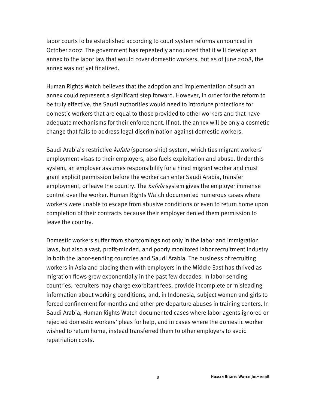labor courts to be established according to court system reforms announced in October 2007. The government has repeatedly announced that it will develop an annex to the labor law that would cover domestic workers, but as of June 2008, the annex was not yet finalized.

Human Rights Watch believes that the adoption and implementation of such an annex could represent a significant step forward. However, in order for the reform to be truly effective, the Saudi authorities would need to introduce protections for domestic workers that are equal to those provided to other workers and that have adequate mechanisms for their enforcement. If not, the annex will be only a cosmetic change that fails to address legal discrimination against domestic workers.

Saudi Arabia's restrictive *kafala* (sponsorship) system, which ties migrant workers' employment visas to their employers, also fuels exploitation and abuse. Under this system, an employer assumes responsibility for a hired migrant worker and must grant explicit permission before the worker can enter Saudi Arabia, transfer employment, or leave the country. The *kafala* system gives the employer immense control over the worker. Human Rights Watch documented numerous cases where workers were unable to escape from abusive conditions or even to return home upon completion of their contracts because their employer denied them permission to leave the country.

Domestic workers suffer from shortcomings not only in the labor and immigration laws, but also a vast, profit-minded, and poorly monitored labor recruitment industry in both the labor-sending countries and Saudi Arabia. The business of recruiting workers in Asia and placing them with employers in the Middle East has thrived as migration flows grew exponentially in the past few decades. In labor-sending countries, recruiters may charge exorbitant fees, provide incomplete or misleading information about working conditions, and, in Indonesia, subject women and girls to forced confinement for months and other pre-departure abuses in training centers. In Saudi Arabia, Human Rights Watch documented cases where labor agents ignored or rejected domestic workers' pleas for help, and in cases where the domestic worker wished to return home, instead transferred them to other employers to avoid repatriation costs.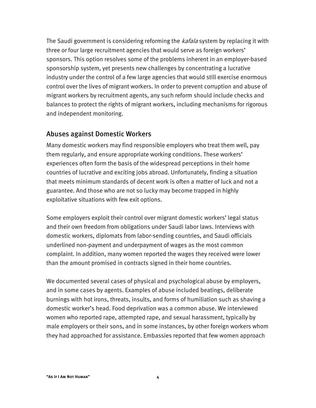The Saudi government is considering reforming the *kafala* system by replacing it with three or four large recruitment agencies that would serve as foreign workers' sponsors. This option resolves some of the problems inherent in an employer-based sponsorship system, yet presents new challenges by concentrating a lucrative industry under the control of a few large agencies that would still exercise enormous control over the lives of migrant workers. In order to prevent corruption and abuse of migrant workers by recruitment agents, any such reform should include checks and balances to protect the rights of migrant workers, including mechanisms for rigorous and independent monitoring.

## Abuses against Domestic Workers

Many domestic workers may find responsible employers who treat them well, pay them regularly, and ensure appropriate working conditions. These workers' experiences often form the basis of the widespread perceptions in their home countries of lucrative and exciting jobs abroad. Unfortunately, finding a situation that meets minimum standards of decent work is often a matter of luck and not a guarantee. And those who are not so lucky may become trapped in highly exploitative situations with few exit options.

Some employers exploit their control over migrant domestic workers' legal status and their own freedom from obligations under Saudi labor laws. Interviews with domestic workers, diplomats from labor-sending countries, and Saudi officials underlined non-payment and underpayment of wages as the most common complaint. In addition, many women reported the wages they received were lower than the amount promised in contracts signed in their home countries.

We documented several cases of physical and psychological abuse by employers, and in some cases by agents. Examples of abuse included beatings, deliberate burnings with hot irons, threats, insults, and forms of humiliation such as shaving a domestic worker's head. Food deprivation was a common abuse. We interviewed women who reported rape, attempted rape, and sexual harassment, typically by male employers or their sons, and in some instances, by other foreign workers whom they had approached for assistance. Embassies reported that few women approach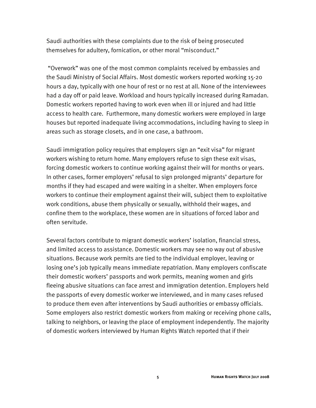Saudi authorities with these complaints due to the risk of being prosecuted themselves for adultery, fornication, or other moral "misconduct."

 "Overwork" was one of the most common complaints received by embassies and the Saudi Ministry of Social Affairs. Most domestic workers reported working 15-20 hours a day, typically with one hour of rest or no rest at all. None of the interviewees had a day off or paid leave. Workload and hours typically increased during Ramadan. Domestic workers reported having to work even when ill or injured and had little access to health care. Furthermore, many domestic workers were employed in large houses but reported inadequate living accommodations, including having to sleep in areas such as storage closets, and in one case, a bathroom.

Saudi immigration policy requires that employers sign an "exit visa" for migrant workers wishing to return home. Many employers refuse to sign these exit visas, forcing domestic workers to continue working against their will for months or years. In other cases, former employers' refusal to sign prolonged migrants' departure for months if they had escaped and were waiting in a shelter. When employers force workers to continue their employment against their will, subject them to exploitative work conditions, abuse them physically or sexually, withhold their wages, and confine them to the workplace, these women are in situations of forced labor and often servitude.

Several factors contribute to migrant domestic workers' isolation, financial stress, and limited access to assistance. Domestic workers may see no way out of abusive situations. Because work permits are tied to the individual employer, leaving or losing one's job typically means immediate repatriation. Many employers confiscate their domestic workers' passports and work permits, meaning women and girls fleeing abusive situations can face arrest and immigration detention. Employers held the passports of every domestic worker we interviewed, and in many cases refused to produce them even after interventions by Saudi authorities or embassy officials. Some employers also restrict domestic workers from making or receiving phone calls, talking to neighbors, or leaving the place of employment independently. The majority of domestic workers interviewed by Human Rights Watch reported that if their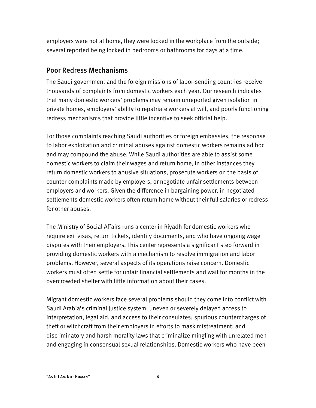employers were not at home, they were locked in the workplace from the outside; several reported being locked in bedrooms or bathrooms for days at a time.

## Poor Redress Mechanisms

The Saudi government and the foreign missions of labor-sending countries receive thousands of complaints from domestic workers each year. Our research indicates that many domestic workers' problems may remain unreported given isolation in private homes, employers' ability to repatriate workers at will, and poorly functioning redress mechanisms that provide little incentive to seek official help.

For those complaints reaching Saudi authorities or foreign embassies, the response to labor exploitation and criminal abuses against domestic workers remains ad hoc and may compound the abuse. While Saudi authorities are able to assist some domestic workers to claim their wages and return home, in other instances they return domestic workers to abusive situations, prosecute workers on the basis of counter-complaints made by employers, or negotiate unfair settlements between employers and workers. Given the difference in bargaining power, in negotiated settlements domestic workers often return home without their full salaries or redress for other abuses.

The Ministry of Social Affairs runs a center in Riyadh for domestic workers who require exit visas, return tickets, identity documents, and who have ongoing wage disputes with their employers. This center represents a significant step forward in providing domestic workers with a mechanism to resolve immigration and labor problems. However, several aspects of its operations raise concern. Domestic workers must often settle for unfair financial settlements and wait for months in the overcrowded shelter with little information about their cases.

Migrant domestic workers face several problems should they come into conflict with Saudi Arabia's criminal justice system: uneven or severely delayed access to interpretation, legal aid, and access to their consulates; spurious countercharges of theft or witchcraft from their employers in efforts to mask mistreatment; and discriminatory and harsh morality laws that criminalize mingling with unrelated men and engaging in consensual sexual relationships. Domestic workers who have been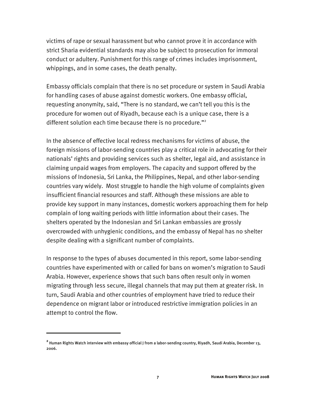victims of rape or sexual harassment but who cannot prove it in accordance with strict Sharia evidential standards may also be subject to prosecution for immoral conduct or adultery. Punishment for this range of crimes includes imprisonment, whippings, and in some cases, the death penalty.

Embassy officials complain that there is no set procedure or system in Saudi Arabia for handling cases of abuse against domestic workers. One embassy official, requesting anonymity, said, "There is no standard, we can't tell you this is the procedure for women out of Riyadh, because each is a unique case, there is a different solution each time because there is no procedure."<sup>2</sup>

In the absence of effective local redress mechanisms for victims of abuse, the foreign missions of labor-sending countries play a critical role in advocating for their nationals' rights and providing services such as shelter, legal aid, and assistance in claiming unpaid wages from employers. The capacity and support offered by the missions of Indonesia, Sri Lanka, the Philippines, Nepal, and other lab0r-sending countries vary widely. Most struggle to handle the high volume of complaints given insufficient financial resources and staff. Although these missions are able to provide key support in many instances, domestic workers approaching them for help complain of long waiting periods with little information about their cases. The shelters operated by the Indonesian and Sri Lankan embassies are grossly overcrowded with unhygienic conditions, and the embassy of Nepal has no shelter despite dealing with a significant number of complaints.

In response to the types of abuses documented in this report, some labor-sending countries have experimented with or called for bans on women's migration to Saudi Arabia. However, experience shows that such bans often result only in women migrating through less secure, illegal channels that may put them at greater risk. In turn, Saudi Arabia and other countries of employment have tried to reduce their dependence on migrant labor or introduced restrictive immigration policies in an attempt to control the flow.

**<sup>2</sup>** Human Rights Watch interview with embassy official J from a labor-sending country, Riyadh, Saudi Arabia, December 13, 2006.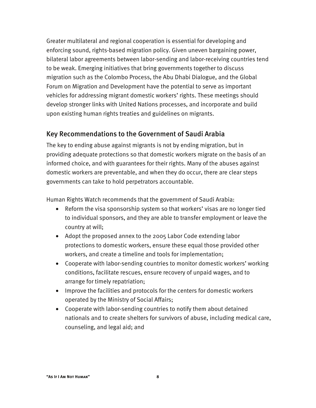Greater multilateral and regional cooperation is essential for developing and enforcing sound, rights-based migration policy. Given uneven bargaining power, bilateral labor agreements between labor-sending and labor-receiving countries tend to be weak. Emerging initiatives that bring governments together to discuss migration such as the Colombo Process, the Abu Dhabi Dialogue, and the Global Forum on Migration and Development have the potential to serve as important vehicles for addressing migrant domestic workers' rights. These meetings should develop stronger links with United Nations processes, and incorporate and build upon existing human rights treaties and guidelines on migrants.

## Key Recommendations to the Government of Saudi Arabia

The key to ending abuse against migrants is not by ending migration, but in providing adequate protections so that domestic workers migrate on the basis of an informed choice, and with guarantees for their rights. Many of the abuses against domestic workers are preventable, and when they do occur, there are clear steps governments can take to hold perpetrators accountable.

Human Rights Watch recommends that the government of Saudi Arabia:

- Reform the visa sponsorship system so that workers' visas are no longer tied to individual sponsors, and they are able to transfer employment or leave the country at will;
- Adopt the proposed annex to the 2005 Labor Code extending labor protections to domestic workers, ensure these equal those provided other workers, and create a timeline and tools for implementation;
- Cooperate with labor-sending countries to monitor domestic workers' working conditions, facilitate rescues, ensure recovery of unpaid wages, and to arrange for timely repatriation;
- Improve the facilities and protocols for the centers for domestic workers operated by the Ministry of Social Affairs;
- Cooperate with labor-sending countries to notify them about detained nationals and to create shelters for survivors of abuse, including medical care, counseling, and legal aid; and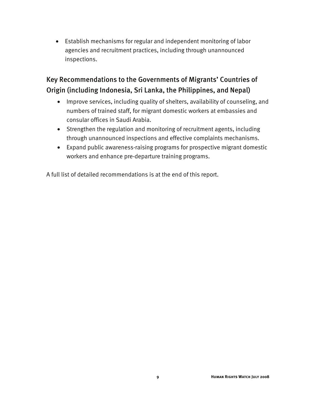• Establish mechanisms for regular and independent monitoring of labor agencies and recruitment practices, including through unannounced inspections.

## Key Recommendations to the Governments of Migrants' Countries of Origin (including Indonesia, Sri Lanka, the Philippines, and Nepal)

- Improve services, including quality of shelters, availability of counseling, and numbers of trained staff, for migrant domestic workers at embassies and consular offices in Saudi Arabia.
- Strengthen the regulation and monitoring of recruitment agents, including through unannounced inspections and effective complaints mechanisms.
- Expand public awareness-raising programs for prospective migrant domestic workers and enhance pre-departure training programs.

A full list of detailed recommendations is at the end of this report.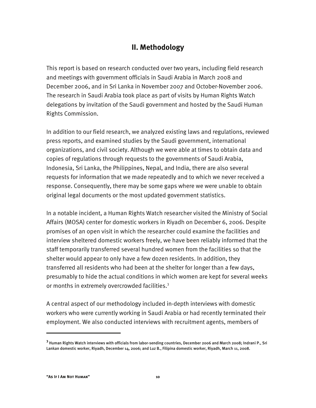## **II. Methodology**

This report is based on research conducted over two years, including field research and meetings with government officials in Saudi Arabia in March 2008 and December 2006, and in Sri Lanka in November 2007 and October-November 2006. The research in Saudi Arabia took place as part of visits by Human Rights Watch delegations by invitation of the Saudi government and hosted by the Saudi Human Rights Commission.

In addition to our field research, we analyzed existing laws and regulations, reviewed press reports, and examined studies by the Saudi government, international organizations, and civil society. Although we were able at times to obtain data and copies of regulations through requests to the governments of Saudi Arabia, Indonesia, Sri Lanka, the Philippines, Nepal, and India, there are also several requests for information that we made repeatedly and to which we never received a response. Consequently, there may be some gaps where we were unable to obtain original legal documents or the most updated government statistics.

In a notable incident, a Human Rights Watch researcher visited the Ministry of Social Affairs (MOSA) center for domestic workers in Riyadh on December 6, 2006. Despite promises of an open visit in which the researcher could examine the facilities and interview sheltered domestic workers freely, we have been reliably informed that the staff temporarily transferred several hundred women from the facilities so that the shelter would appear to only have a few dozen residents. In addition, they transferred all residents who had been at the shelter for longer than a few days, presumably to hide the actual conditions in which women are kept for several weeks or months in extremely overcrowded facilities.<sup>3</sup>

A central aspect of our methodology included in-depth interviews with domestic workers who were currently working in Saudi Arabia or had recently terminated their employment. We also conducted interviews with recruitment agents, members of

**<sup>3</sup>** Human Rights Watch interviews with officials from labor-sending countries, December 2006 and March 2008; Indrani P., Sri Lankan domestic worker, Riyadh, December 14, 2006; and Luz B., Filipina domestic worker, Riyadh, March 11, 2008.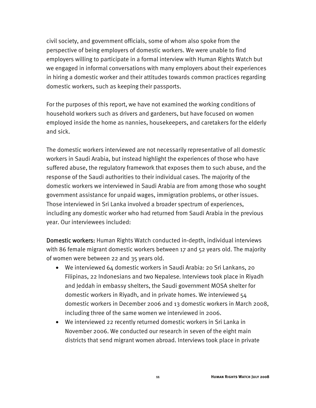civil society, and government officials, some of whom also spoke from the perspective of being employers of domestic workers. We were unable to find employers willing to participate in a formal interview with Human Rights Watch but we engaged in informal conversations with many employers about their experiences in hiring a domestic worker and their attitudes towards common practices regarding domestic workers, such as keeping their passports.

For the purposes of this report, we have not examined the working conditions of household workers such as drivers and gardeners, but have focused on women employed inside the home as nannies, housekeepers, and caretakers for the elderly and sick.

The domestic workers interviewed are not necessarily representative of all domestic workers in Saudi Arabia, but instead highlight the experiences of those who have suffered abuse, the regulatory framework that exposes them to such abuse, and the response of the Saudi authorities to their individual cases. The majority of the domestic workers we interviewed in Saudi Arabia are from among those who sought government assistance for unpaid wages, immigration problems, or other issues. Those interviewed in Sri Lanka involved a broader spectrum of experiences, including any domestic worker who had returned from Saudi Arabia in the previous year. Our interviewees included:

Domestic workers: Human Rights Watch conducted in-depth, individual interviews with 86 female migrant domestic workers between 17 and 52 years old. The majority of women were between 22 and 35 years old.

- We interviewed 64 domestic workers in Saudi Arabia: 20 Sri Lankans, 20 Filipinas, 22 Indonesians and two Nepalese. Interviews took place in Riyadh and Jeddah in embassy shelters, the Saudi government MOSA shelter for domestic workers in Riyadh, and in private homes. We interviewed 54 domestic workers in December 2006 and 13 domestic workers in March 2008, including three of the same women we interviewed in 2006.
- We interviewed 22 recently returned domestic workers in Sri Lanka in November 2006. We conducted our research in seven of the eight main districts that send migrant women abroad. Interviews took place in private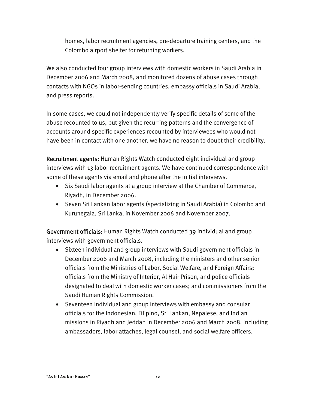homes, labor recruitment agencies, pre-departure training centers, and the Colombo airport shelter for returning workers.

We also conducted four group interviews with domestic workers in Saudi Arabia in December 2006 and March 2008, and monitored dozens of abuse cases through contacts with NGOs in labor-sending countries, embassy officials in Saudi Arabia, and press reports.

In some cases, we could not independently verify specific details of some of the abuse recounted to us, but given the recurring patterns and the convergence of accounts around specific experiences recounted by interviewees who would not have been in contact with one another, we have no reason to doubt their credibility.

Recruitment agents: Human Rights Watch conducted eight individual and group interviews with 13 labor recruitment agents. We have continued correspondence with some of these agents via email and phone after the initial interviews.

- Six Saudi labor agents at a group interview at the Chamber of Commerce, Riyadh, in December 2006.
- Seven Sri Lankan labor agents (specializing in Saudi Arabia) in Colombo and Kurunegala, Sri Lanka, in November 2006 and November 2007.

Government officials: Human Rights Watch conducted 39 individual and group interviews with government officials.

- Sixteen individual and group interviews with Saudi government officials in December 2006 and March 2008, including the ministers and other senior officials from the Ministries of Labor, Social Welfare, and Foreign Affairs; officials from the Ministry of Interior, Al Hair Prison, and police officials designated to deal with domestic worker cases; and commissioners from the Saudi Human Rights Commission.
- Seventeen individual and group interviews with embassy and consular officials for the Indonesian, Filipino, Sri Lankan, Nepalese, and Indian missions in Riyadh and Jeddah in December 2006 and March 2008, including ambassadors, labor attaches, legal counsel, and social welfare officers.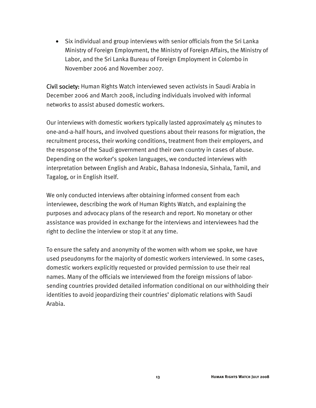• Six individual and group interviews with senior officials from the Sri Lanka Ministry of Foreign Employment, the Ministry of Foreign Affairs, the Ministry of Labor, and the Sri Lanka Bureau of Foreign Employment in Colombo in November 2006 and November 2007.

Civil society: Human Rights Watch interviewed seven activists in Saudi Arabia in December 2006 and March 2008, including individuals involved with informal networks to assist abused domestic workers.

Our interviews with domestic workers typically lasted approximately 45 minutes to one-and-a-half hours, and involved questions about their reasons for migration, the recruitment process, their working conditions, treatment from their employers, and the response of the Saudi government and their own country in cases of abuse. Depending on the worker's spoken languages, we conducted interviews with interpretation between English and Arabic, Bahasa Indonesia, Sinhala, Tamil, and Tagalog, or in English itself.

We only conducted interviews after obtaining informed consent from each interviewee, describing the work of Human Rights Watch, and explaining the purposes and advocacy plans of the research and report. No monetary or other assistance was provided in exchange for the interviews and interviewees had the right to decline the interview or stop it at any time.

To ensure the safety and anonymity of the women with whom we spoke, we have used pseudonyms for the majority of domestic workers interviewed. In some cases, domestic workers explicitly requested or provided permission to use their real names. Many of the officials we interviewed from the foreign missions of laborsending countries provided detailed information conditional on our withholding their identities to avoid jeopardizing their countries' diplomatic relations with Saudi Arabia.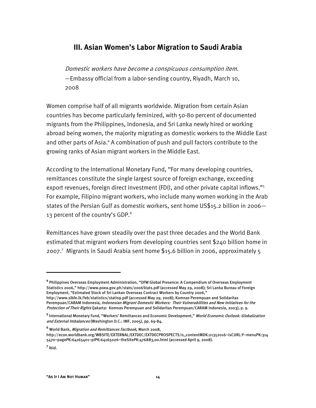## **III. Asian Women's Labor Migration to Saudi Arabia**

Domestic workers have become a conspicuous consumption item. —Embassy official from a labor-sending country, Riyadh, March 10, 2008

Women comprise half of all migrants worldwide. Migration from certain Asian countries has become particularly feminized, with 50-80 percent of documented migrants from the Philippines, Indonesia, and Sri Lanka newly hired or working abroad being women, the majority migrating as domestic workers to the Middle East and other parts of Asia.<sup>4</sup> A combination of push and pull factors contribute to the growing ranks of Asian migrant workers in the Middle East.

According to the International Monetary Fund, "For many developing countries, remittances constitute the single largest source of foreign exchange, exceeding export revenues, foreign direct investment (FDI), and other private capital inflows."5 For example, Filipino migrant workers, who include many women working in the Arab states of the Persian Gulf as domestic workers, sent home US\$15.2 billion in 2006— 13 percent of the country's GDP. $^6$ 

Remittances have grown steadily over the past three decades and the World Bank estimated that migrant workers from developing countries sent \$240 billion home in 2007.7 Migrants in Saudi Arabia sent home \$15.6 billion in 2006, approximately 5

http://www.slbfe.lk/feb/statistics/statis9.pdf (accessed May 29, 2008); Komnas Perempuan and Solidaritas Perempuan/CARAM Indonesia, Indonesian Migrant Domestic Workers: Their Vulnerabilities and New Initiatives for the Protection of Their Rights (Jakarta: Komnas Perempuan and Solidaritas Perempuan/CARAM Indonesia, 2003), p. 9.

**6** World Bank, Migration and Remittances Factbook, March 2008,

**<sup>4</sup>** Philippines Overseas Employment Administration, "OFW Global Presence: A Compendium of Overseas Employment Statistics 2006," http://www.poea.gov.ph/stats/2006Stats.pdf (accessed May 29, 2008); Sri Lanka Bureau of Foreign Employment, "Estimated Stock of Sri Lankan Overseas Contract Workers by Country 2006,"

<sup>&</sup>lt;sup>5</sup> International Monetary Fund, "Workers' Remittances and Economic Development," *World Economic Outlook: Globalization* and External Imbalances (Washington D.C.: IMF, 2005), pp. 69-84.

http://econ.worldbank.org/WBSITE/EXTERNAL/EXTDEC/EXTDECPROSPECTS/0,,contentMDK:21352016~isCURL:Y~menuPK:314 5470~pagePK:64165401~piPK:64165026~theSitePK:476883,00.html (accessed April 9, 2008).

**<sup>7</sup>** Ibid.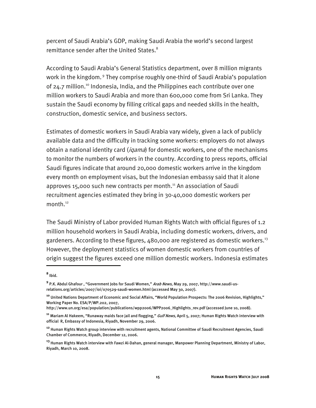percent of Saudi Arabia's GDP, making Saudi Arabia the world's second largest remittance sender after the United States.<sup>8</sup>

According to Saudi Arabia's General Statistics department, over 8 million migrants work in the kingdom.<sup>9</sup> They comprise roughly one-third of Saudi Arabia's population of 24.7 million.<sup>10</sup> Indonesia, India, and the Philippines each contribute over one million workers to Saudi Arabia and more than 600,000 come from Sri Lanka. They sustain the Saudi economy by filling critical gaps and needed skills in the health, construction, domestic service, and business sectors.

Estimates of domestic workers in Saudi Arabia vary widely, given a lack of publicly available data and the difficulty in tracking some workers: employers do not always obtain a national identity card (*iqama*) for domestic workers, one of the mechanisms to monitor the numbers of workers in the country. According to press reports, official Saudi figures indicate that around 20,000 domestic workers arrive in the kingdom every month on employment visas, but the Indonesian embassy said that it alone approves 15,000 such new contracts per month.<sup>11</sup> An association of Saudi recruitment agencies estimated they bring in 30-40,000 domestic workers per month. $12$ 

The Saudi Ministry of Labor provided Human Rights Watch with official figures of 1.2 million household workers in Saudi Arabia, including domestic workers, drivers, and gardeners. According to these figures,  $480,000$  are registered as domestic workers.<sup>13</sup> However, the deployment statistics of women domestic workers from countries of origin suggest the figures exceed one million domestic workers. Indonesia estimates

-

**<sup>8</sup>** Ibid.

**<sup>9</sup>** P.K. Abdul Ghafour , "Government Jobs for Saudi Women," Arab News, May 29, 2007, http://www.saudi-usrelations.org/articles/2007/ioi/070529-saudi-women.html (accessed May 30, 2007).

**<sup>10</sup>** United Nations Department of Economic and Social Affairs, "World Population Prospects: The 2006 Revision, Highlights," Working Paper No. ESA/P/WP.202, 2007,

http://www.un.org/esa/population/publications/wpp2006/WPP2006\_Highlights\_rev.pdf (accessed June 10, 2008).

**<sup>11</sup>** Mariam Al Hakeem, "Runaway maids face jail and flogging," Gulf News, April 5, 2007; Human Rights Watch interview with official R, Embassy of Indonesia, Riyadh, November 29, 2006.

**<sup>12</sup>** Human Rights Watch group interview with recruitment agents, National Committee of Saudi Recruitment Agencies, Saudi Chamber of Commerce, Riyadh, December 12, 2006.

**<sup>13</sup>** Human Rights Watch interview with Fawzi Al-Dahan, general manager, Manpower Planning Department, Ministry of Labor, Riyadh, March 10, 2008.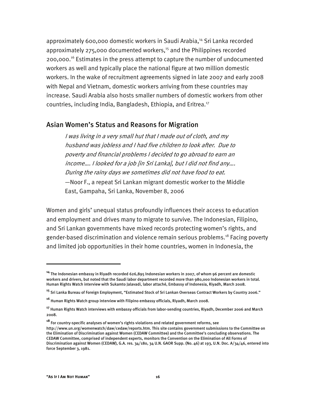approximately 600,000 domestic workers in Saudi Arabia,<sup>14</sup> Sri Lanka recorded approximately  $275,000$  documented workers,<sup>15</sup> and the Philippines recorded 200,000.16 Estimates in the press attempt to capture the number of undocumented workers as well and typically place the national figure at two million domestic workers. In the wake of recruitment agreements signed in late 2007 and early 2008 with Nepal and Vietnam, domestic workers arriving from these countries may increase. Saudi Arabia also hosts smaller numbers of domestic workers from other countries, including India, Bangladesh, Ethiopia, and Eritrea.17

#### Asian Women's Status and Reasons for Migration

I was living in a very small hut that I made out of cloth, and my husband was jobless and I had five children to look after. Due to poverty and financial problems I decided to go abroad to earn an income…. I looked for a job [in Sri Lanka], but I did not find any…. During the rainy days we sometimes did not have food to eat. —Noor F., a repeat Sri Lankan migrant domestic worker to the Middle East, Gampaha, Sri Lanka, November 8, 2006

Women and girls' unequal status profoundly influences their access to education and employment and drives many to migrate to survive. The Indonesian, Filipino, and Sri Lankan governments have mixed records protecting women's rights, and gender-based discrimination and violence remain serious problems.<sup>18</sup> Facing poverty and limited job opportunities in their home countries, women in Indonesia, the

**<sup>18</sup>** For country-specific analyses of women's rights violations and related government reforms, see

**<sup>14</sup>** The Indonesian embassy in Riyadh recorded 626,895 Indonesian workers in 2007, of whom 96 percent are domestic workers and drivers, but noted that the Saudi labor department recorded more than 980,000 Indonesian workers in total. Human Rights Watch interview with Sukamto Jalavadi, labor attaché, Embassy of Indonesia, Riyadh, March 2008.

**<sup>15</sup>** Sri Lanka Bureau of Foreign Employment, "Estimated Stock of Sri Lankan Overseas Contract Workers by Country 2006."

**<sup>16</sup>** Human Rights Watch group interview with Filipino embassy officials, Riyadh, March 2008.

**<sup>17</sup>** Human Rights Watch interviews with embassy officials from labor-sending countries, Riyadh, December 2006 and March 2008.

http://www.un.org/womenwatch/daw/cedaw/reports.htm. This site contains government submissions to the Committee on the Elimination of Discrimination against Women (CEDAW Committee) and the Committee's concluding observations. The CEDAW Committee, comprised of independent experts, monitors the Convention on the Elimination of All Forms of Discrimination against Women (CEDAW), G.A. res. 34/180, 34 U.N. GAOR Supp. (No. 46) at 193, U.N. Doc. A/34/46, entered into force September 3, 1981.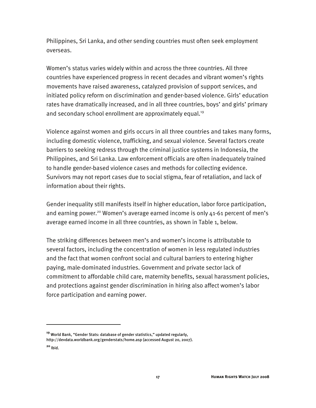Philippines, Sri Lanka, and other sending countries must often seek employment overseas.

Women's status varies widely within and across the three countries. All three countries have experienced progress in recent decades and vibrant women's rights movements have raised awareness, catalyzed provision of support services, and initiated policy reform on discrimination and gender-based violence. Girls' education rates have dramatically increased, and in all three countries, boys' and girls' primary and secondary school enrollment are approximately equal.<sup>19</sup>

Violence against women and girls occurs in all three countries and takes many forms, including domestic violence, trafficking, and sexual violence. Several factors create barriers to seeking redress through the criminal justice systems in Indonesia, the Philippines, and Sri Lanka. Law enforcement officials are often inadequately trained to handle gender-based violence cases and methods for collecting evidence. Survivors may not report cases due to social stigma, fear of retaliation, and lack of information about their rights.

Gender inequality still manifests itself in higher education, labor force participation, and earning power.<sup>20</sup> Women's average earned income is only  $41-61$  percent of men's average earned income in all three countries, as shown in Table 1, below.

The striking differences between men's and women's income is attributable to several factors, including the concentration of women in less regulated industries and the fact that women confront social and cultural barriers to entering higher paying, male-dominated industries. Government and private sector lack of commitment to affordable child care, maternity benefits, sexual harassment policies, and protections against gender discrimination in hiring also affect women's labor force participation and earning power.

**<sup>19</sup>** World Bank, "Gender Stats: database of gender statistics," updated regularly,

http://devdata.worldbank.org/genderstats/home.asp (accessed August 20, 2007).

**<sup>20</sup>** Ibid.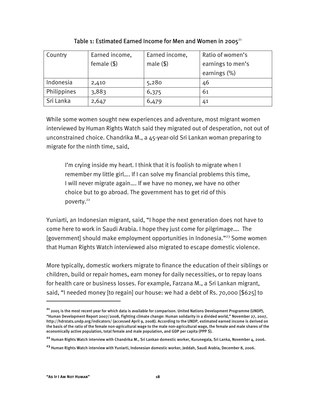| Country     | Earned income, | Earned income, | Ratio of women's  |
|-------------|----------------|----------------|-------------------|
|             | female $(\$)$  | male $($ \$)   | earnings to men's |
|             |                |                | earnings (%)      |
| Indonesia   | 2,410          | 5,280          | 46                |
| Philippines | 3,883          | 6,375          | 61                |
| Sri Lanka   | 2,647          | 6,479          | 41                |

Table 1: Estimated Earned Income for Men and Women in 2005 $^{21}$ 

While some women sought new experiences and adventure, most migrant women interviewed by Human Rights Watch said they migrated out of desperation, not out of unconstrained choice. Chandrika M., a 45-year-old Sri Lankan woman preparing to migrate for the ninth time, said,

I'm crying inside my heart. I think that it is foolish to migrate when I remember my little girl…. If I can solve my financial problems this time, I will never migrate again…. If we have no money, we have no other choice but to go abroad. The government has to get rid of this poverty.<sup>22</sup>

Yuniarti, an Indonesian migrant, said, "I hope the next generation does not have to come here to work in Saudi Arabia. I hope they just come for pilgrimage…. The [government] should make employment opportunities in Indonesia."<sup>23</sup> Some women that Human Rights Watch interviewed also migrated to escape domestic violence.

More typically, domestic workers migrate to finance the education of their siblings or children, build or repair homes, earn money for daily necessities, or to repay loans for health care or business losses. For example, Farzana M., a Sri Lankan migrant, said, "I needed money [to regain] our house: we had a debt of Rs. 70,000 [\$625] to

**<sup>21</sup>** 2005 is the most recent year for which data is available for comparison. United Nations Development Programme (UNDP), "Human Development Report 2007/2008, Fighting climate change: Human solidarity in a divided world," November 27, 2007, http://hdrstats.undp.org/indicators/ (accessed April 9, 2008). According to the UNDP, estimated earned income is derived on the basis of the ratio of the female non-agricultural wage to the male non-agricultural wage, the female and male shares of the economically active population, total female and male population, and GDP per capita (PPP \$).

**<sup>22</sup>** Human Rights Watch interview with Chandrika M., Sri Lankan domestic worker, Kurunegala, Sri Lanka, November 4, 2006.

**<sup>23</sup>** Human Rights Watch interview with Yuniarti, Indonesian domestic worker, Jeddah, Saudi Arabia, December 8, 2006.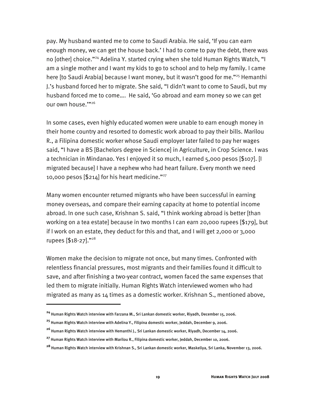pay. My husband wanted me to come to Saudi Arabia. He said, 'If you can earn enough money, we can get the house back.' I had to come to pay the debt, there was no [other] choice."24 Adelina Y. started crying when she told Human Rights Watch, "I am a single mother and I want my kids to go to school and to help my family. I came here [to Saudi Arabia] because I want money, but it wasn't good for me."<sup>25</sup> Hemanthi J.'s husband forced her to migrate. She said, "I didn't want to come to Saudi, but my husband forced me to come…. He said, 'Go abroad and earn money so we can get our own house."26

In some cases, even highly educated women were unable to earn enough money in their home country and resorted to domestic work abroad to pay their bills. Marilou R., a Filipina domestic worker whose Saudi employer later failed to pay her wages said, "I have a BS [Bachelors degree in Science] in Agriculture, in Crop Science. I was a technician in Mindanao. Yes I enjoyed it so much, I earned 5,000 pesos [\$107]. [I migrated because] I have a nephew who had heart failure. Every month we need 10,000 pesos  $[$214]$  for his heart medicine."<sup>27</sup>

Many women encounter returned migrants who have been successful in earning money overseas, and compare their earning capacity at home to potential income abroad. In one such case, Krishnan S. said, "I think working abroad is better [than working on a tea estate] because in two months I can earn 20,000 rupees [\$179], but if I work on an estate, they deduct for this and that, and I will get 2,000 or 3,000 rupees [\$18-27]."28

Women make the decision to migrate not once, but many times. Confronted with relentless financial pressures, most migrants and their families found it difficult to save, and after finishing a two-year contract, women faced the same expenses that led them to migrate initially. Human Rights Watch interviewed women who had migrated as many as 14 times as a domestic worker. Krishnan S., mentioned above,

**<sup>24</sup>** Human Rights Watch interview with Farzana M., Sri Lankan domestic worker, Riyadh, December 15, 2006.

**<sup>25</sup>** Human Rights Watch interview with Adelina Y., Filipina domestic worker, Jeddah, December 9, 2006.

**<sup>26</sup>** Human Rights Watch interview with Hemanthi J., Sri Lankan domestic worker, Riyadh, December 14, 2006.

**<sup>27</sup>** Human Rights Watch interview with Marilou R., Filipina domestic worker, Jeddah, December 10, 2006.

**<sup>28</sup>** Human Rights Watch interview with Krishnan S., Sri Lankan domestic worker, Maskeliya, Sri Lanka, November 13, 2006.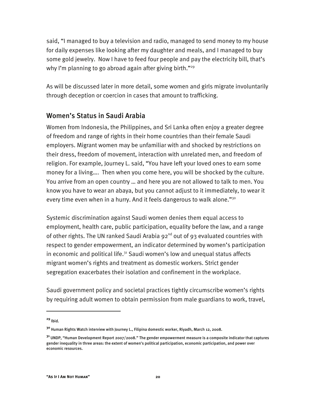said, "I managed to buy a television and radio, managed to send money to my house for daily expenses like looking after my daughter and meals, and I managed to buy some gold jewelry. Now I have to feed four people and pay the electricity bill, that's why I'm planning to go abroad again after giving birth."<sup>29</sup>

As will be discussed later in more detail, some women and girls migrate involuntarily through deception or coercion in cases that amount to trafficking.

#### Women's Status in Saudi Arabia

Women from Indonesia, the Philippines, and Sri Lanka often enjoy a greater degree of freedom and range of rights in their home countries than their female Saudi employers. Migrant women may be unfamiliar with and shocked by restrictions on their dress, freedom of movement, interaction with unrelated men, and freedom of religion. For example, Journey L. said, "You have left your loved ones to earn some money for a living…. Then when you come here, you will be shocked by the culture. You arrive from an open country … and here you are not allowed to talk to men. You know you have to wear an abaya, but you cannot adjust to it immediately, to wear it every time even when in a hurry. And it feels dangerous to walk alone."<sup>30</sup>

Systemic discrimination against Saudi women denies them equal access to employment, health care, public participation, equality before the law, and a range of other rights. The UN ranked Saudi Arabia 92<sup>nd</sup> out of 93 evaluated countries with respect to gender empowerment, an indicator determined by women's participation in economic and political life.<sup>31</sup> Saudi women's low and unequal status affects migrant women's rights and treatment as domestic workers. Strict gender segregation exacerbates their isolation and confinement in the workplace.

Saudi government policy and societal practices tightly circumscribe women's rights by requiring adult women to obtain permission from male guardians to work, travel,

-

**<sup>29</sup>** Ibid.

**<sup>30</sup>** Human Rights Watch interview with Journey L., Filipina domestic worker, Riyadh, March 12, 2008.

**<sup>31</sup>** UNDP, "Human Development Report 2007/2008." The gender empowerment measure is a composite indicator that captures gender inequality in three areas: the extent of women's political participation, economic participation, and power over economic resources.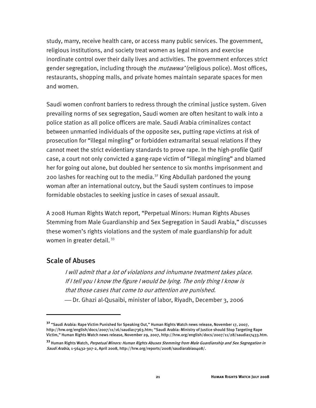study, marry, receive health care, or access many public services. The government, religious institutions, and society treat women as legal minors and exercise inordinate control over their daily lives and activities. The government enforces strict gender segregation, including through the *mutawwa'* (religious police). Most offices, restaurants, shopping malls, and private homes maintain separate spaces for men and women.

Saudi women confront barriers to redress through the criminal justice system. Given prevailing norms of sex segregation, Saudi women are often hesitant to walk into a police station as all police officers are male. Saudi Arabia criminalizes contact between unmarried individuals of the opposite sex, putting rape victims at risk of prosecution for "illegal mingling" or forbidden extramarital sexual relations if they cannot meet the strict evidentiary standards to prove rape. In the high-profile Qatif case, a court not only convicted a gang-rape victim of "illegal mingling" and blamed her for going out alone, but doubled her sentence to six months imprisonment and 200 lashes for reaching out to the media.<sup>32</sup> King Abdullah pardoned the young woman after an international outcry, but the Saudi system continues to impose formidable obstacles to seeking justice in cases of sexual assault.

A 2008 Human Rights Watch report, "Perpetual Minors: Human Rights Abuses Stemming from Male Guardianship and Sex Segregation in Saudi Arabia," discusses these women's rights violations and the system of male guardianship for adult women in greater detail.<sup>33</sup>

#### Scale of Abuses

-

I will admit that a lot of violations and inhumane treatment takes place. If I tell you I know the figure I would be lying. The only thing I know is that those cases that come to our attention are punished. ⎯ Dr. Ghazi al-Qusaibi, minister of labor, Riyadh, December 3, 2006

**<sup>32</sup>** "Saudi Arabia: Rape Victim Punished for Speaking Out," Human Rights Watch news release, November 17, 2007, http://hrw.org/english/docs/2007/11/16/saudia17363.htm; "Saudi Arabia: Ministry of Justice should Stop Targeting Rape Victim," Human Rights Watch news release, November 29, 2007, http://hrw.org/english/docs/2007/11/28/saudia17433.htm.

**<sup>33</sup>** Human Rights Watch, Perpetual Minors: Human Rights Abuses Stemming from Male Guardianship and Sex Segregation in Saudi Arabia, 1-56432-307-2, April 2008, http://hrw.org/reports/2008/saudiarabia0408/.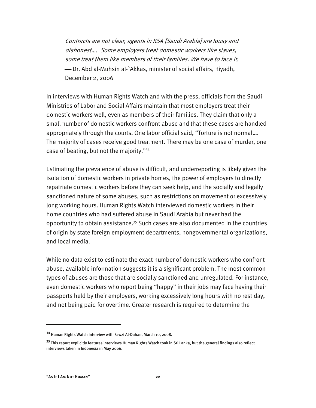Contracts are not clear, agents in KSA [Saudi Arabia] are lousy and dishonest…. Some employers treat domestic workers like slaves, some treat them like members of their families. We have to face it.  $-$  Dr. Abd al-Muhsin al-`Akkas, minister of social affairs, Riyadh, December 2, 2006

In interviews with Human Rights Watch and with the press, officials from the Saudi Ministries of Labor and Social Affairs maintain that most employers treat their domestic workers well, even as members of their families. They claim that only a small number of domestic workers confront abuse and that these cases are handled appropriately through the courts. One labor official said, "Torture is not normal…. The majority of cases receive good treatment. There may be one case of murder, one case of beating, but not the majority."34

Estimating the prevalence of abuse is difficult, and underreporting is likely given the isolation of domestic workers in private homes, the power of employers to directly repatriate domestic workers before they can seek help, and the socially and legally sanctioned nature of some abuses, such as restrictions on movement or excessively long working hours. Human Rights Watch interviewed domestic workers in their home countries who had suffered abuse in Saudi Arabia but never had the opportunity to obtain assistance.<sup>35</sup> Such cases are also documented in the countries of origin by state foreign employment departments, nongovernmental organizations, and local media.

While no data exist to estimate the exact number of domestic workers who confront abuse, available information suggests it is a significant problem. The most common types of abuses are those that are socially sanctioned and unregulated. For instance, even domestic workers who report being "happy" in their jobs may face having their passports held by their employers, working excessively long hours with no rest day, and not being paid for overtime. Greater research is required to determine the

**<sup>34</sup>** Human Rights Watch interview with Fawzi Al-Dahan, March 10, 2008.

**<sup>35</sup>** This report explicitly features interviews Human Rights Watch took in Sri Lanka, but the general findings also reflect interviews taken in Indonesia in May 2006.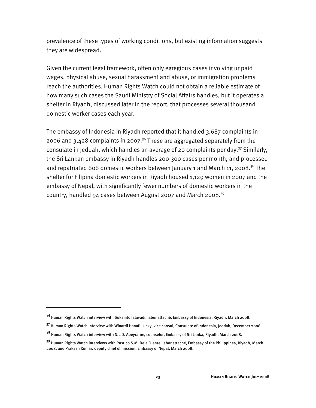prevalence of these types of working conditions, but existing information suggests they are widespread.

Given the current legal framework, often only egregious cases involving unpaid wages, physical abuse, sexual harassment and abuse, or immigration problems reach the authorities. Human Rights Watch could not obtain a reliable estimate of how many such cases the Saudi Ministry of Social Affairs handles, but it operates a shelter in Riyadh, discussed later in the report, that processes several thousand domestic worker cases each year.

The embassy of Indonesia in Riyadh reported that it handled 3,687 complaints in 2006 and  $3,428$  complaints in 2007.<sup>36</sup> These are aggregated separately from the consulate in Jeddah, which handles an average of 20 complaints per day.<sup>37</sup> Similarly, the Sri Lankan embassy in Riyadh handles 200-300 cases per month, and processed and repatriated 606 domestic workers between January 1 and March 11, 2008.<sup>38</sup> The shelter for Filipina domestic workers in Riyadh housed 1,129 women in 2007 and the embassy of Nepal, with significantly fewer numbers of domestic workers in the country, handled 94 cases between August 2007 and March 2008.<sup>39</sup>

j

**<sup>36</sup>** Human Rights Watch interview with Sukamto Jalavadi, labor attaché, Embassy of Indonesia, Riyadh, March 2008.

**<sup>37</sup>** Human Rights Watch interview with Winardi Hanafi Lucky, vice consul, Consulate of Indonesia, Jeddah, December 2006.

**<sup>38</sup>** Human Rights Watch interview with N.L.D. Abeyratne, counselor, Embassy of Sri Lanka, Riyadh, March 2008.

**<sup>39</sup>** Human Rights Watch interviews with Rustico S.M. Dela Fuente, labor attaché, Embassy of the Philippines, Riyadh, March 2008, and Prakash Kumar, deputy chief of mission, Embassy of Nepal, March 2008.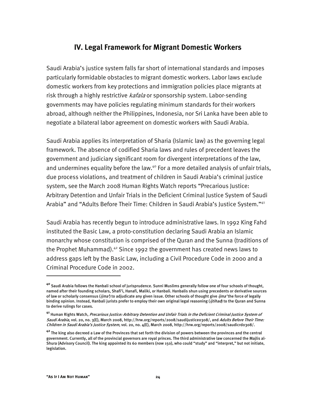## **IV. Legal Framework for Migrant Domestic Workers**

Saudi Arabia's justice system falls far short of international standards and imposes particularly formidable obstacles to migrant domestic workers. Labor laws exclude domestic workers from key protections and immigration policies place migrants at risk through a highly restrictive *kafala* or sponsorship system. Labor-sending governments may have policies regulating minimum standards for their workers abroad, although neither the Philippines, Indonesia, nor Sri Lanka have been able to negotiate a bilateral labor agreement on domestic workers with Saudi Arabia.

Saudi Arabia applies its interpretation of Sharia (Islamic law) as the governing legal framework. The absence of codified Sharia laws and rules of precedent leaves the government and judiciary significant room for divergent interpretations of the law, and undermines equality before the law.<sup>40</sup> For a more detailed analysis of unfair trials, due process violations, and treatment of children in Saudi Arabia's criminal justice system, see the March 2008 Human Rights Watch reports "Precarious Justice: Arbitrary Detention and Unfair Trials in the Deficient Criminal Justice System of Saudi Arabia" and "Adults Before Their Time: Children in Saudi Arabia's Justice System."<sup>41</sup>

Saudi Arabia has recently begun to introduce administrative laws. In 1992 King Fahd instituted the Basic Law, a proto-constitution declaring Saudi Arabia an Islamic monarchy whose constitution is comprised of the Quran and the Sunna (traditions of the Prophet Muhammad).<sup>42</sup> Since 1992 the government has created news laws to address gaps left by the Basic Law, including a Civil Procedure Code in 2000 and a Criminal Procedure Code in 2002.

**<sup>40</sup>** Saudi Arabia follows the Hanbali school of jurisprudence. Sunni Muslims generally follow one of four schools of thought, named after their founding scholars, Shafi'i, Hanafi, Maliki, or Hanbali. Hanbalis shun using precedents or derivative sources of law or scholarly consensus (*ijma*) to adjudicate any given issue. Other schools of thought give *ijma*' the force of legally binding opinion. Instead, Hanbali jurists prefer to employ their own original legal reasoning (*ijtihad*) to the Quran and Sunna to derive rulings for cases.

**<sup>41</sup>** Human Rights Watch, Precarious Justice: Arbitrary Detention and Unfair Trials in the Deficient Criminal Justice System of Saudi Arabia, vol. 20, no. 3(E), March 2008, http://hrw.org/reports/2008/saudijustice0308/, and Adults Before Their Time: Children in Saudi Arabia's Justice System, vol. 20, no. 4(E), March 2008, http://hrw.org/reports/2008/saudicrd0308/.

**<sup>42</sup>** The king also decreed a Law of the Provinces that set forth the division of powers between the provinces and the central government. Currently, all of the provincial governors are royal princes. The third administrative law concerned the Majlis al-Shura (Advisory Council). The king appointed its 60 members (now 150), who could "study" and "interpret," but not initiate, legislation.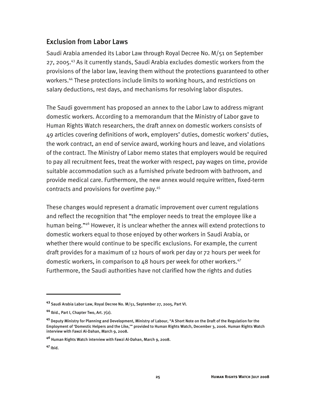## Exclusion from Labor Laws

Saudi Arabia amended its Labor Law through Royal Decree No. M/51 on September 27, 2005.<sup>43</sup> As it currently stands, Saudi Arabia excludes domestic workers from the provisions of the labor law, leaving them without the protections guaranteed to other workers.<sup>44</sup> These protections include limits to working hours, and restrictions on salary deductions, rest days, and mechanisms for resolving labor disputes.

The Saudi government has proposed an annex to the Labor Law to address migrant domestic workers. According to a memorandum that the Ministry of Labor gave to Human Rights Watch researchers, the draft annex on domestic workers consists of 49 articles covering definitions of work, employers' duties, domestic workers' duties, the work contract, an end of service award, working hours and leave, and violations of the contract. The Ministry of Labor memo states that employers would be required to pay all recruitment fees, treat the worker with respect, pay wages on time, provide suitable accommodation such as a furnished private bedroom with bathroom, and provide medical care. Furthermore, the new annex would require written, fixed-term contracts and provisions for overtime pay.45

These changes would represent a dramatic improvement over current regulations and reflect the recognition that "the employer needs to treat the employee like a human being."46 However, it is unclear whether the annex will extend protections to domestic workers equal to those enjoyed by other workers in Saudi Arabia, or whether there would continue to be specific exclusions. For example, the current draft provides for a maximum of 12 hours of work per day or 72 hours per week for domestic workers, in comparison to  $48$  hours per week for other workers.<sup>47</sup> Furthermore, the Saudi authorities have not clarified how the rights and duties

j

**<sup>43</sup>** Saudi Arabia Labor Law, Royal Decree No. M/51, September 27, 2005, Part VI.

**<sup>44</sup>** Ibid., Part I, Chapter Two, Art. 7(2).

**<sup>45</sup>** Deputy Ministry for Planning and Development, Ministry of Labour, "A Short Note on the Draft of the Regulation for the Employment of 'Domestic Helpers and the Like,'" provided to Human Rights Watch, December 3, 2006. Human Rights Watch interview with Fawzi Al-Dahan, March 9, 2008.

**<sup>46</sup>** Human Rights Watch interview with Fawzi Al-Dahan, March 9, 2008.

**<sup>47</sup>** Ibid.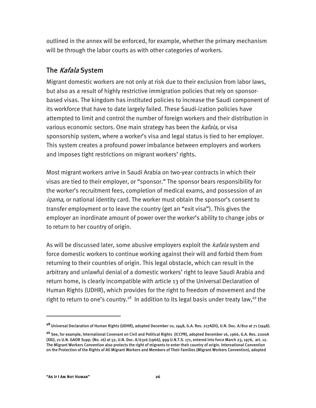outlined in the annex will be enforced, for example, whether the primary mechanism will be through the labor courts as with other categories of workers.

## The *Kafala* System

Migrant domestic workers are not only at risk due to their exclusion from labor laws, but also as a result of highly restrictive immigration policies that rely on sponsorbased visas. The kingdom has instituted policies to increase the Saudi component of its workforce that have to date largely failed. These Saudi-ization policies have attempted to limit and control the number of foreign workers and their distribution in various economic sectors. One main strategy has been the *kafala*, or visa sponsorship system, where a worker's visa and legal status is tied to her employer. This system creates a profound power imbalance between employers and workers and imposes tight restrictions on migrant workers' rights.

Most migrant workers arrive in Saudi Arabia on two-year contracts in which their visas are tied to their employer, or "sponsor." The sponsor bears responsibility for the worker's recruitment fees, completion of medical exams, and possession of an igama, or national identity card. The worker must obtain the sponsor's consent to transfer employment or to leave the country (get an "exit visa"). This gives the employer an inordinate amount of power over the worker's ability to change jobs or to return to her country of origin.

As will be discussed later, some abusive employers exploit the *kafala* system and force domestic workers to continue working against their will and forbid them from returning to their countries of origin. This legal obstacle, which can result in the arbitrary and unlawful denial of a domestic workers' right to leave Saudi Arabia and return home, is clearly incompatible with article 13 of the Universal Declaration of Human Rights (UDHR), which provides for the right to freedom of movement and the right to return to one's country.<sup>48</sup> In addition to its legal basis under treaty law,<sup>49</sup> the

**<sup>48</sup>** Universal Declaration of Human Rights (UDHR), adopted December 10, 1948, G.A. Res. 217A(III), U.N. Doc. A/810 at 71 (1948).

**<sup>49</sup>** See, for example, International Covenant on Civil and Political Rights (ICCPR), adopted December 16, 1966, G.A. Res. 2200A (XXI), 21 U.N. GAOR Supp. (No. 16) at 52, U.N. Doc. A/6316 (1966), 999 U.N.T.S. 171, entered into force March 23, 1976, art. 12. The Migrant Workers Convention also protects the right of migrants to enter their country of origin. International Convention on the Protection of the Rights of All Migrant Workers and Members of Their Families (Migrant Workers Convention), adopted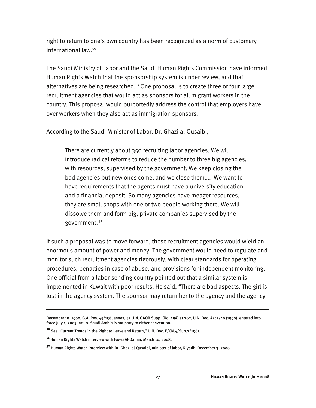right to return to one's own country has been recognized as a norm of customary international law.<sup>50</sup>

The Saudi Ministry of Labor and the Saudi Human Rights Commission have informed Human Rights Watch that the sponsorship system is under review, and that alternatives are being researched.<sup>51</sup> One proposal is to create three or four large recruitment agencies that would act as sponsors for all migrant workers in the country. This proposal would purportedly address the control that employers have over workers when they also act as immigration sponsors.

According to the Saudi Minister of Labor, Dr. Ghazi al-Qusaibi,

There are currently about 350 recruiting labor agencies. We will introduce radical reforms to reduce the number to three big agencies, with resources, supervised by the government. We keep closing the bad agencies but new ones come, and we close them…. We want to have requirements that the agents must have a university education and a financial deposit. So many agencies have meager resources, they are small shops with one or two people working there. We will dissolve them and form big, private companies supervised by the government. 52

If such a proposal was to move forward, these recruitment agencies would wield an enormous amount of power and money. The government would need to regulate and monitor such recruitment agencies rigorously, with clear standards for operating procedures, penalties in case of abuse, and provisions for independent monitoring. One official from a labor-sending country pointed out that a similar system is implemented in Kuwait with poor results. He said, "There are bad aspects. The girl is lost in the agency system. The sponsor may return her to the agency and the agency

December 18, 1990, G.A. Res. 45/158, annex, 45 U.N. GAOR Supp. (No. 49A) at 262, U.N. Doc. A/45/49 (1990), entered into force July 1, 2003, art. 8. Saudi Arabia is not party to either convention.

**<sup>50</sup>** See "Current Trends in the Right to Leave and Return," U.N. Doc. E/CN.4/Sub.2/1985.

**<sup>51</sup>** Human Rights Watch interview with Fawzi Al-Dahan, March 10, 2008.

**<sup>52</sup>** Human Rights Watch interview with Dr. Ghazi al-Qusaibi, minister of labor, Riyadh, December 3, 2006.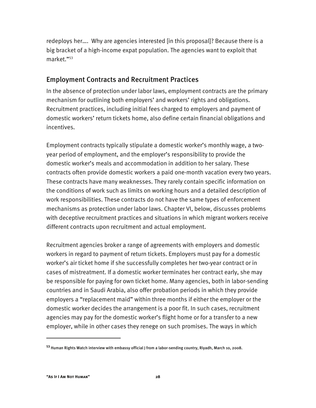redeploys her…. Why are agencies interested [in this proposal]? Because there is a big bracket of a high-income expat population. The agencies want to exploit that market."53

## Employment Contracts and Recruitment Practices

In the absence of protection under labor laws, employment contracts are the primary mechanism for outlining both employers' and workers' rights and obligations. Recruitment practices, including initial fees charged to employers and payment of domestic workers' return tickets home, also define certain financial obligations and incentives.

Employment contracts typically stipulate a domestic worker's monthly wage, a twoyear period of employment, and the employer's responsibility to provide the domestic worker's meals and accommodation in addition to her salary. These contracts often provide domestic workers a paid one-month vacation every two years. These contracts have many weaknesses. They rarely contain specific information on the conditions of work such as limits on working hours and a detailed description of work responsibilities. These contracts do not have the same types of enforcement mechanisms as protection under labor laws. Chapter VI, below, discusses problems with deceptive recruitment practices and situations in which migrant workers receive different contracts upon recruitment and actual employment.

Recruitment agencies broker a range of agreements with employers and domestic workers in regard to payment of return tickets. Employers must pay for a domestic worker's air ticket home if she successfully completes her two-year contract or in cases of mistreatment. If a domestic worker terminates her contract early, she may be responsible for paying for own ticket home. Many agencies, both in labor-sending countries and in Saudi Arabia, also offer probation periods in which they provide employers a "replacement maid" within three months if either the employer or the domestic worker decides the arrangement is a poor fit. In such cases, recruitment agencies may pay for the domestic worker's flight home or for a transfer to a new employer, while in other cases they renege on such promises. The ways in which

**<sup>53</sup>** Human Rights Watch interview with embassy official J from a labor-sending country, Riyadh, March 10, 2008.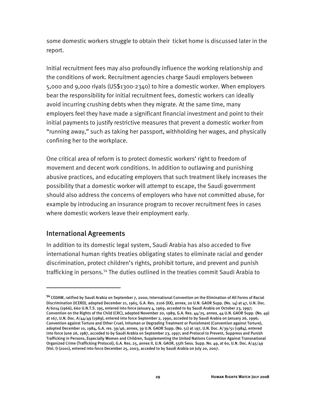some domestic workers struggle to obtain their ticket home is discussed later in the report.

Initial recruitment fees may also profoundly influence the working relationship and the conditions of work. Recruitment agencies charge Saudi employers between 5,000 and 9,000 riyals (US\$1300-2340) to hire a domestic worker. When employers bear the responsibility for initial recruitment fees, domestic workers can ideally avoid incurring crushing debts when they migrate. At the same time, many employers feel they have made a significant financial investment and point to their initial payments to justify restrictive measures that prevent a domestic worker from "running away," such as taking her passport, withholding her wages, and physically confining her to the workplace.

One critical area of reform is to protect domestic workers' right to freedom of movement and decent work conditions. In addition to outlawing and punishing abusive practices, and educating employers that such treatment likely increases the possibility that a domestic worker will attempt to escape, the Saudi government should also address the concerns of employers who have not committed abuse, for example by introducing an insurance program to recover recruitment fees in cases where domestic workers leave their employment early.

## International Agreements

-

In addition to its domestic legal system, Saudi Arabia has also acceded to five international human rights treaties obligating states to eliminate racial and gender discrimination, protect children's rights, prohibit torture, and prevent and punish trafficking in persons.<sup>54</sup> The duties outlined in the treaties commit Saudi Arabia to

**<sup>54</sup>** CEDAW, ratified by Saudi Arabia on September 7, 2000; International Convention on the Elimination of All Forms of Racial Discrimination (ICERD), adopted December 21, 1965, G.A. Res. 2106 (XX), annex, 20 U.N. GAOR Supp. (No. 14) at 47, U.N. Doc. A/6014 (1966), 660 U.N.T.S. 195, entered into force January 4, 1969, acceded to by Saudi Arabia on October 23, 1997; Convention on the Rights of the Child (CRC), adopted November 20, 1989, G.A. Res. 44/25, annex, 44 U.N. GAOR Supp. (No. 49) at 167, U.N. Doc. A/44/49 (1989), entered into force September 2, 1990, acceded to by Saudi Arabia on January 26, 1996; Convention against Torture and Other Cruel, Inhuman or Degrading Treatment or Punishment (Convention against Torture), adopted December 10, 1984, G.A. res. 39/46, annex, 39 U.N. GAOR Supp. (No. 51) at 197, U.N. Doc. A/39/51 (1984), entered into force June 26, 1987, acceded to by Saudi Arabia on September 23, 1997; and Protocol to Prevent, Suppress and Punish Trafficking in Persons, Especially Women and Children, Supplementing the United Nations Convention Against Transnational Organized Crime (Trafficking Protocol), G.A. Res. 25, annex II, U.N. GAOR, 55th Sess. Supp. No. 49, at 60, U.N. Doc. A/45/49 (Vol. I) (2001), entered into force December 25, 2003, acceded to by Saudi Arabia on July 20, 2007.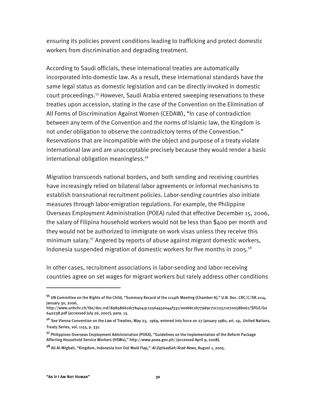ensuring its policies prevent conditions leading to trafficking and protect domestic workers from discrimination and degrading treatment.

According to Saudi officials, these international treaties are automatically incorporated into domestic law. As a result, these international standards have the same legal status as domestic legislation and can be directly invoked in domestic court proceedings.55 However, Saudi Arabia entered sweeping reservations to these treaties upon accession, stating in the case of the Convention on the Elimination of All Forms of Discrimination Against Women (CEDAW), "In case of contradiction between any term of the Convention and the norms of Islamic law, the Kingdom is not under obligation to observe the contradictory terms of the Convention." Reservations that are incompatible with the object and purpose of a treaty violate international law and are unacceptable precisely because they would render a basic international obligation meaningless.<sup>56</sup>

Migration transcends national borders, and both sending and receiving countries have increasingly relied on bilateral labor agreements or informal mechanisms to establish transnational recruitment policies. Labor-sending countries also initiate measures through labor-emigration regulations. For example, the Philippine Overseas Employment Administration (POEA) ruled that effective December 15, 2006, the salary of Filipina household workers would not be less than \$400 per month and they would not be authorized to immigrate on work visas unless they receive this minimum salary.<sup>57</sup> Angered by reports of abuse against migrant domestic workers, Indonesia suspended migration of domestic workers for five months in 2005.<sup>58</sup>

In other cases, recruitment associations in labor-sending and labor-receiving countries agree on set wages for migrant workers but rarely address other conditions

**<sup>55</sup>** UN Committee on the Rights of the Child, "Summary Record of the 1114th Meeting (Chamber A)," U.N. Doc. CRC/C/SR.1114, January 30, 2006,

http://www.unhchr.ch/tbs/doc.nsf/898586b1dc7b4043c1256a450044f331/eeebbc1b779d9c72c12571070058b061/\$FILE/G0 640238.pdf (accessed July 26, 2007), para. 13.

**<sup>56</sup>** See Vienna Convention on the Law of Treaties, May 23, 1969, entered into force on 27 January 1980, art. 19,. United Nations, Treaty Series, vol. 1155, p. 331.

**<sup>57</sup>** Philippines Overseas Employment Administration (POEA), "Guidelines on the Implementation of the Reform Package Affecting Household Service Workers (HSWs)," http://www.poea.gov.ph/ (accessed April 9, 2008).

**<sup>58</sup>** Ali Al-Migbali, "Kingdom, Indonesia Iron Out Maid Flap," Al-Eqtisadiah/Arab News, August 1, 2005.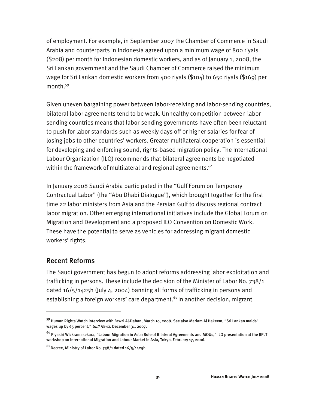of employment. For example, in September 2007 the Chamber of Commerce in Saudi Arabia and counterparts in Indonesia agreed upon a minimum wage of 800 riyals (\$208) per month for Indonesian domestic workers, and as of January 1, 2008, the Sri Lankan government and the Saudi Chamber of Commerce raised the minimum wage for Sri Lankan domestic workers from 400 riyals (\$104) to 650 riyals (\$169) per month<sup>59</sup>

Given uneven bargaining power between labor-receiving and labor-sending countries, bilateral labor agreements tend to be weak. Unhealthy competition between laborsending countries means that labor-sending governments have often been reluctant to push for labor standards such as weekly days off or higher salaries for fear of losing jobs to other countries' workers. Greater multilateral cooperation is essential for developing and enforcing sound, rights-based migration policy. The International Labour Organization (ILO) recommends that bilateral agreements be negotiated within the framework of multilateral and regional agreements.<sup>60</sup>

In January 2008 Saudi Arabia participated in the "Gulf Forum on Temporary Contractual Labor" (the "Abu Dhabi Dialogue"), which brought together for the first time 22 labor ministers from Asia and the Persian Gulf to discuss regional contract labor migration. Other emerging international initiatives include the Global Forum on Migration and Development and a proposed ILO Convention on Domestic Work. These have the potential to serve as vehicles for addressing migrant domestic workers' rights.

## Recent Reforms

I

The Saudi government has begun to adopt reforms addressing labor exploitation and trafficking in persons. These include the decision of the Minister of Labor No.  $738/1$ dated 16/5/1425h (July 4, 2004) banning all forms of trafficking in persons and establishing a foreign workers' care department.<sup>61</sup> In another decision, migrant

**<sup>59</sup>** Human Rights Watch interview with Fawzi Al-Dahan, March 10, 2008. See also Mariam Al Hakeem, "Sri Lankan maids' wages up by 65 percent," Gulf News, December 31, 2007.

**<sup>60</sup>** Piyasiri Wickramasekara, "Labour Migration in Asia: Role of Bilateral Agreements and MOUs," ILO presentation at the JIPLT workshop on International Migration and Labour Market in Asia, Tokyo, February 17, 2006.

**<sup>61</sup>** Decree, Ministry of Labor No. 738/1 dated 16/5/1425h.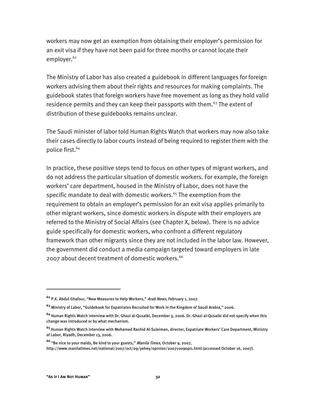workers may now get an exemption from obtaining their employer's permission for an exit visa if they have not been paid for three months or cannot locate their employer.<sup>62</sup>

The Ministry of Labor has also created a guidebook in different languages for foreign workers advising them about their rights and resources for making complaints. The guidebook states that foreign workers have free movement as long as they hold valid residence permits and they can keep their passports with them.<sup>63</sup> The extent of distribution of these guidebooks remains unclear.

The Saudi minister of labor told Human Rights Watch that workers may now also take their cases directly to labor courts instead of being required to register them with the police first.<sup>64</sup>

In practice, these positive steps tend to focus on other types of migrant workers, and do not address the particular situation of domestic workers. For example, the foreign workers' care department, housed in the Ministry of Labor, does not have the specific mandate to deal with domestic workers.<sup>65</sup> The exemption from the requirement to obtain an employer's permission for an exit visa applies primarily to other migrant workers, since domestic workers in dispute with their employers are referred to the Ministry of Social Affairs (see Chapter X, below). There is no advice guide specifically for domestic workers, who confront a different regulatory framework than other migrants since they are not included in the labor law. However, the government did conduct a media campaign targeted toward employers in late 2007 about decent treatment of domestic workers.<sup>66</sup>

j

**<sup>62</sup>** P.K. Abdul Ghafour, "New Measures to Help Workers," Arab News, February 1, 2007.

**<sup>63</sup>** Ministry of Labor, "Guidebook for Expatriates Recruited for Work in the Kingdom of Saudi Arabia," 2006.

**<sup>64</sup>** Human Rights Watch interview with Dr. Ghazi al-Qusaibi, December 3, 2006. Dr. Ghazi al-Qusaibi did not specify when this change was introduced or by what mechanism.

**<sup>65</sup>** Human Rights Watch interview with Mohamed Rashid Al-Suleiman, director, Expatriate Workers' Care Department, Ministry of Labor, Riyadh, December 13, 2006.

**<sup>66</sup>** "Be nice to your maids, Be kind to your guests," Manila Times, October 9, 2007,

http://www.manilatimes.net/national/2007/oct/09/yehey/opinion/20071009opi1.html (accessed October 16, 2007).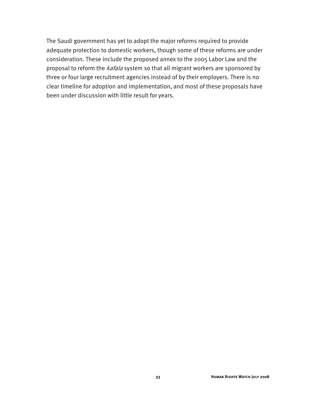The Saudi government has yet to adopt the major reforms required to provide adequate protection to domestic workers, though some of these reforms are under consideration. These include the proposed annex to the 2005 Labor Law and the proposal to reform the *kafala* system so that all migrant workers are sponsored by three or four large recruitment agencies instead of by their employers. There is no clear timeline for adoption and implementation, and most of these proposals have been under discussion with little result for years.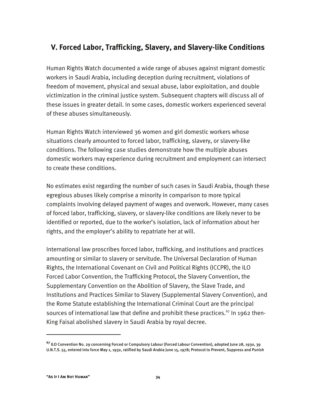# **V. Forced Labor, Trafficking, Slavery, and Slavery-like Conditions**

Human Rights Watch documented a wide range of abuses against migrant domestic workers in Saudi Arabia, including deception during recruitment, violations of freedom of movement, physical and sexual abuse, labor exploitation, and double victimization in the criminal justice system. Subsequent chapters will discuss all of these issues in greater detail. In some cases, domestic workers experienced several of these abuses simultaneously.

Human Rights Watch interviewed 36 women and girl domestic workers whose situations clearly amounted to forced labor, trafficking, slavery, or slavery-like conditions. The following case studies demonstrate how the multiple abuses domestic workers may experience during recruitment and employment can intersect to create these conditions.

No estimates exist regarding the number of such cases in Saudi Arabia, though these egregious abuses likely comprise a minority in comparison to more typical complaints involving delayed payment of wages and overwork. However, many cases of forced labor, trafficking, slavery, or slavery-like conditions are likely never to be identified or reported, due to the worker's isolation, lack of information about her rights, and the employer's ability to repatriate her at will.

International law proscribes forced labor, trafficking, and institutions and practices amounting or similar to slavery or servitude. The Universal Declaration of Human Rights, the International Covenant on Civil and Political Rights (ICCPR), the ILO Forced Labor Convention, the Trafficking Protocol, the Slavery Convention, the Supplementary Convention on the Abolition of Slavery, the Slave Trade, and Institutions and Practices Similar to Slavery (Supplemental Slavery Convention), and the Rome Statute establishing the International Criminal Court are the principal sources of international law that define and prohibit these practices.<sup>67</sup> In 1962 then-King Faisal abolished slavery in Saudi Arabia by royal decree.

**<sup>67</sup>** ILO Convention No. 29 concerning Forced or Compulsory Labour (Forced Labour Convention), adopted June 28, 1930, 39 U.N.T.S. 55, entered into force May 1, 1932, ratified by Saudi Arabia June 15, 1978; Protocol to Prevent, Suppress and Punish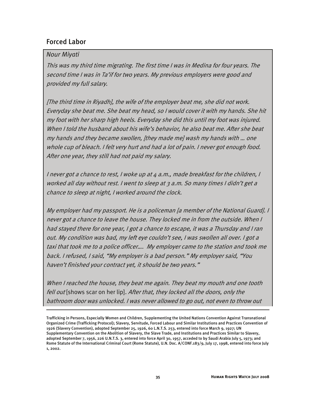## Forced Labor

#### *Nour Miyati*

j

This was my third time migrating. The first time I was in Medina for four years. The second time I was in Ta'if for two years. My previous employers were good and provided my full salary.

[The third time in Riyadh], the wife of the employer beat me, she did not work. Everyday she beat me. She beat my head, so I would cover it with my hands. She hit my foot with her sharp high heels. Everyday she did this until my foot was injured. When I told the husband about his wife's behavior, he also beat me. After she beat my hands and they became swollen, [they made me] wash my hands with … one whole cup of bleach. I felt very hurt and had a lot of pain. I never got enough food. After one year, they still had not paid my salary.

I never got a chance to rest, I woke up at 4 a.m., made breakfast for the children, I worked all day without rest. I went to sleep at 3 a.m. So many times I didn't get a chance to sleep at night, I worked around the clock.

My employer had my passport. He is a policeman [a member of the National Guard]. I never got a chance to leave the house. They locked me in from the outside. When I had stayed there for one year, I got a chance to escape, it was a Thursday and I ran out. My condition was bad, my left eye couldn't see, I was swollen all over. I got a taxi that took me to a police officer…. My employer came to the station and took me back. I refused, I said, "My employer is a bad person." My employer said, "You haven't finished your contract yet, it should be two years."

When I reached the house, they beat me again. They beat my mouth and one tooth fell out [shows scar on her lip]. After that, they locked all the doors, only the bathroom door was unlocked. I was never allowed to go out, not even to throw out

Trafficking in Persons, Especially Women and Children, Supplementing the United Nations Convention Against Transnational Organized Crime (Trafficking Protocol); Slavery, Servitude, Forced Labour and Similar Institutions and Practices Convention of 1926 (Slavery Convention), adopted September 25, 1926, 60 L.N.T.S. 253, entered into force March 9, 1927; UN Supplementary Convention on the Abolition of Slavery, the Slave Trade, and Institutions and Practices Similar to Slavery, adopted September 7, 1956, 226 U.N.T.S. 3, entered into force April 30, 1957, acceded to by Saudi Arabia July 5, 1973; and Rome Statute of the International Criminal Court (Rome Statute), U.N. Doc. A/CONF.183/9, July 17, 1998, entered into force July 1, 2002.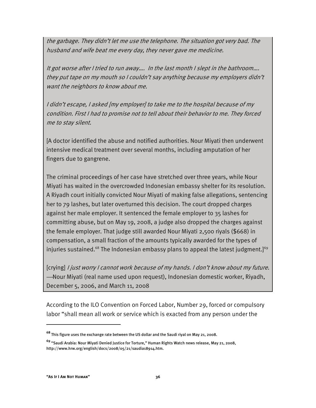the garbage. They didn't let me use the telephone. The situation got very bad. The husband and wife beat me every day, they never gave me medicine.

It got worse after I tried to run away…. In the last month I slept in the bathroom…. they put tape on my mouth so I couldn't say anything because my employers didn't want the neighbors to know about me.

I didn't escape, I asked [my employer] to take me to the hospital because of my condition. First I had to promise not to tell about their behavior to me. They forced me to stay silent.

[A doctor identified the abuse and notified authorities. Nour Miyati then underwent intensive medical treatment over several months, including amputation of her fingers due to gangrene.

The criminal proceedings of her case have stretched over three years, while Nour Miyati has waited in the overcrowded Indonesian embassy shelter for its resolution. A Riyadh court initially convicted Nour Miyati of making false allegations, sentencing her to 79 lashes, but later overturned this decision. The court dropped charges against her male employer. It sentenced the female employer to 35 lashes for committing abuse, but on May 19, 2008, a judge also dropped the charges against the female employer. That judge still awarded Nour Miyati 2,500 riyals (\$668) in compensation, a small fraction of the amounts typically awarded for the types of injuries sustained.<sup>68</sup> The Indonesian embassy plans to appeal the latest judgment.<sup>169</sup>

[crying] I just worry I cannot work because of my hands. I don't know about my future. <sup>⎯</sup>Nour Miyati (real name used upon request), Indonesian domestic worker, Riyadh, December 5, 2006, and March 11, 2008

According to the ILO Convention on Forced Labor, Number 29, forced or compulsory labor "shall mean all work or service which is exacted from any person under the

**<sup>68</sup>** This figure uses the exchange rate between the US dollar and the Saudi riyal on May 21, 2008.

**<sup>69</sup>** "Saudi Arabia: Nour Miyati Denied Justice for Torture," Human Rights Watch news release, May 21, 2008, http://www.hrw.org/english/docs/2008/05/21/saudia18914.htm.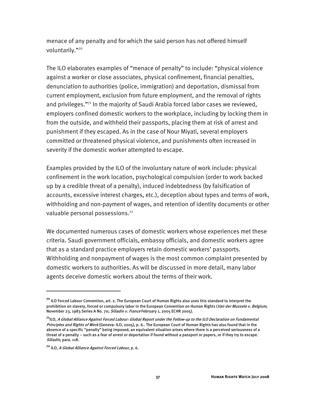menace of any penalty and for which the said person has not offered himself voluntarily."70

The ILO elaborates examples of "menace of penalty" to include: "physical violence against a worker or close associates, physical confinement, financial penalties, denunciation to authorities (police, immigration) and deportation, dismissal from current employment, exclusion from future employment, and the removal of rights and privileges."<sup>71</sup> In the majority of Saudi Arabia forced labor cases we reviewed, employers confined domestic workers to the workplace, including by locking them in from the outside, and withheld their passports, placing them at risk of arrest and punishment if they escaped. As in the case of Nour Miyati, several employers committed or threatened physical violence, and punishments often increased in severity if the domestic worker attempted to escape.

Examples provided by the ILO of the involuntary nature of work include: physical confinement in the work location, psychological compulsion (order to work backed up by a credible threat of a penalty), induced indebtedness (by falsification of accounts, excessive interest charges, etc.), deception about types and terms of work, withholding and non-payment of wages, and retention of identity documents or other valuable personal possessions.72

We documented numerous cases of domestic workers whose experiences met these criteria. Saudi government officials, embassy officials, and domestic workers agree that as a standard practice employers retain domestic workers' passports. Withholding and nonpayment of wages is the most common complaint presented by domestic workers to authorities. As will be discussed in more detail, many labor agents deceive domestic workers about the terms of their work.

**<sup>70</sup>** ILO Forced Labour Convention, art. 2. The European Court of Human Rights also uses this standard to interpret the prohibition on slavery, forced or compulsory labor in the European Convention on Human Rights (*Van der Mussele v. Belgium*, November 23, 1983 Series A No. 70; Siliadin v. France February 1, 2005 ECHR 2005).

**<sup>71</sup>**ILO, A Global Alliance Against Forced Labour: Global Report under the Follow-up to the ILO Declaration on Fundamental Principles and Rights of Work (Geneva: ILO, 2005), p. 6.. The European Court of Human Rights has also found that in the absence of a specific "penalty" being imposed, an equivalent situation arises where there is a perceived seriousness of a threat of a penalty – such as a fear of arrest or deportation if found without a passport or papers, or if they try to escape. Siliadin, para. 118.

**<sup>72</sup>** ILO, A Global Alliance Against Forced Labour, p. 6.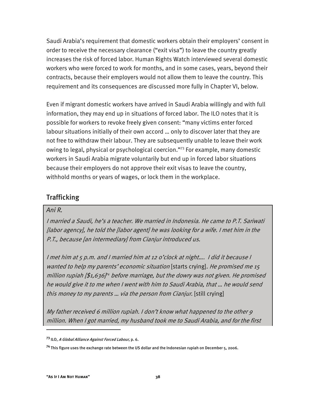Saudi Arabia's requirement that domestic workers obtain their employers' consent in order to receive the necessary clearance ("exit visa") to leave the country greatly increases the risk of forced labor. Human Rights Watch interviewed several domestic workers who were forced to work for months, and in some cases, years, beyond their contracts, because their employers would not allow them to leave the country. This requirement and its consequences are discussed more fully in Chapter VI, below.

Even if migrant domestic workers have arrived in Saudi Arabia willingly and with full information, they may end up in situations of forced labor. The ILO notes that it is possible for workers to revoke freely given consent: "many victims enter forced labour situations initially of their own accord … only to discover later that they are not free to withdraw their labour. They are subsequently unable to leave their work owing to legal, physical or psychological coercion."73 For example, many domestic workers in Saudi Arabia migrate voluntarily but end up in forced labor situations because their employers do not approve their exit visas to leave the country, withhold months or years of wages, or lock them in the workplace.

# Trafficking

#### *Ani R.*

I married a Saudi, he's a teacher. We married in Indonesia. He came to P.T. Sariwati [labor agency], he told the [labor agent] he was looking for a wife. I met him in the P.T., because [an intermediary] from Cianjur introduced us.

I met him at 5 p.m. and I married him at 12 o'clock at night…. I did it because I wanted to help my parents' economic situation [starts crying]. He promised me 15 million rupiah  $\int \frac{51}{636}$ <sup>4</sup> before marriage, but the dowry was not given. He promised he would give it to me when I went with him to Saudi Arabia, that … he would send this money to my parents ... via the person from Cianjur. [still crying]

My father received 6 million rupiah. I don't know what happened to the other 9 million. When I got married, my husband took me to Saudi Arabia, and for the first

**<sup>73</sup>** ILO, A Global Alliance Against Forced Labour, p. 6.

**<sup>74</sup>** This figure uses the exchange rate between the US dollar and the Indonesian rupiah on December 5, 2006.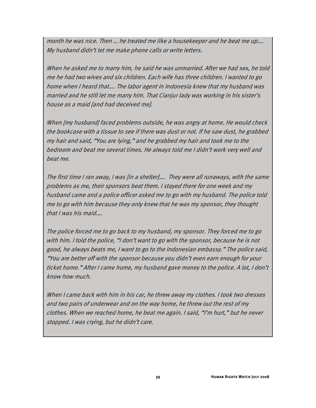month he was nice. Then … he treated me like a housekeeper and he beat me up…. My husband didn't let me make phone calls or write letters.

When he asked me to marry him, he said he was unmarried. After we had sex, he told me he had two wives and six children. Each wife has three children. I wanted to go home when I heard that…. The labor agent in Indonesia knew that my husband was married and he still let me marry him. That Cianjur lady was working in his sister's house as a maid [and had deceived me].

When [my husband] faced problems outside, he was angry at home. He would check the bookcase with a tissue to see if there was dust or not. If he saw dust, he grabbed my hair and said, "You are lying," and he grabbed my hair and took me to the bedroom and beat me several times. He always told me I didn't work very well and beat me.

The first time I ran away, I was [in a shelter]…. They were all runaways, with the same problems as me, their sponsors beat them. I stayed there for one week and my husband came and a police officer asked me to go with my husband. The police told me to go with him because they only knew that he was my sponsor, they thought that I was his maid….

The police forced me to go back to my husband, my sponsor. They forced me to go with him. I told the police, "I don't want to go with the sponsor, because he is not good, he always beats me, I want to go to the Indonesian embassy." The police said, "You are better off with the sponsor because you didn't even earn enough for your ticket home." After I came home, my husband gave money to the police. A lot, I don't know how much.

When I came back with him in his car, he threw away my clothes. I took two dresses and two pairs of underwear and on the way home, he threw out the rest of my clothes. When we reached home, he beat me again. I said, "I'm hurt," but he never stopped. I was crying, but he didn't care.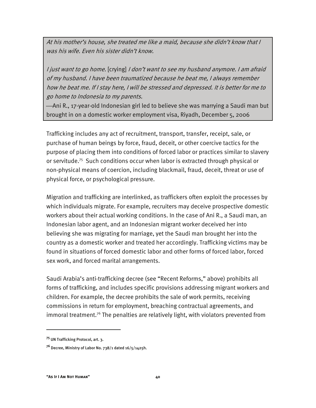At his mother's house, she treated me like a maid, because she didn't know that I was his wife. Even his sister didn't know.

I just want to go home. [crying] I don't want to see my husband anymore. I am afraid of my husband. I have been traumatized because he beat me, I always remember how he beat me. If I stay here, I will be stressed and depressed. It is better for me to go home to Indonesia to my parents.

—Ani R., 17-year-old Indonesian girl led to believe she was marrying a Saudi man but brought in on a domestic worker employment visa, Riyadh, December 5, 2006

Trafficking includes any act of recruitment, transport, transfer, receipt, sale, or purchase of human beings by force, fraud, deceit, or other coercive tactics for the purpose of placing them into conditions of forced labor or practices similar to slavery or servitude.<sup>75</sup> Such conditions occur when labor is extracted through physical or non-physical means of coercion, including blackmail, fraud, deceit, threat or use of physical force, or psychological pressure.

Migration and trafficking are interlinked, as traffickers often exploit the processes by which individuals migrate. For example, recruiters may deceive prospective domestic workers about their actual working conditions. In the case of Ani R., a Saudi man, an Indonesian labor agent, and an Indonesian migrant worker deceived her into believing she was migrating for marriage, yet the Saudi man brought her into the country as a domestic worker and treated her accordingly. Trafficking victims may be found in situations of forced domestic labor and other forms of forced labor, forced sex work, and forced marital arrangements.

Saudi Arabia's anti-trafficking decree (see "Recent Reforms," above) prohibits all forms of trafficking, and includes specific provisions addressing migrant workers and children. For example, the decree prohibits the sale of work permits, receiving commissions in return for employment, breaching contractual agreements, and immoral treatment.<sup>76</sup> The penalties are relatively light, with violators prevented from

**<sup>75</sup>** UN Trafficking Protocol, art. 3.

**<sup>76</sup>** Decree, Ministry of Labor No. 738/1 dated 16/5/1425h.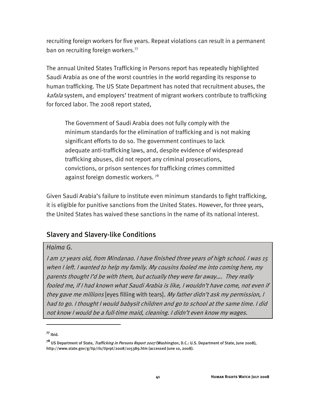recruiting foreign workers for five years. Repeat violations can result in a permanent ban on recruiting foreign workers.<sup>77</sup>

The annual United States Trafficking in Persons report has repeatedly highlighted Saudi Arabia as one of the worst countries in the world regarding its response to human trafficking. The US State Department has noted that recruitment abuses, the kafala system, and employers' treatment of migrant workers contribute to trafficking for forced labor. The 2008 report stated,

The Government of Saudi Arabia does not fully comply with the minimum standards for the elimination of trafficking and is not making significant efforts to do so. The government continues to lack adequate anti-trafficking laws, and, despite evidence of widespread trafficking abuses, did not report any criminal prosecutions, convictions, or prison sentences for trafficking crimes committed against foreign domestic workers.  $78$ 

Given Saudi Arabia's failure to institute even minimum standards to fight trafficking, it is eligible for punitive sanctions from the United States. However, for three years, the United States has waived these sanctions in the name of its national interest.

# Slavery and Slavery-like Conditions

#### *Haima G.*

I am 17 years old, from Mindanao. I have finished three years of high school. I was 15 when I left. I wanted to help my family. My cousins fooled me into coming here, my parents thought I'd be with them, but actually they were far away…. They really fooled me, if I had known what Saudi Arabia is like, I wouldn't have come, not even if they gave me millions [eyes filling with tears]. My father didn't ask my permission, I had to go. I thought I would babysit children and go to school at the same time. I did not know I would be a full-time maid, cleaning. I didn't even know my wages.

**<sup>77</sup>** Ibid.

**<sup>78</sup>** US Department of State, Trafficking in Persons Report 2007 (Washington, D.C.: U.S. Department of State, June 2008), http://www.state.gov/g/tip/rls/tiprpt/2008/105389.htm (accessed June 10, 2008).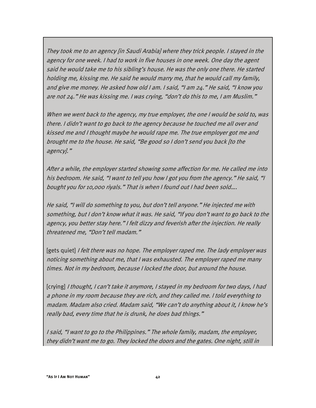They took me to an agency [in Saudi Arabia] where they trick people. I stayed in the agency for one week. I had to work in five houses in one week. One day the agent said he would take me to his sibling's house. He was the only one there. He started holding me, kissing me. He said he would marry me, that he would call my family, and give me money. He asked how old I am. I said, "I am 24." He said, "I know you are not 24." He was kissing me. I was crying, "don't do this to me, I am Muslim."

When we went back to the agency, my true employer, the one I would be sold to, was there. I didn't want to go back to the agency because he touched me all over and kissed me and I thought maybe he would rape me. The true employer got me and brought me to the house. He said, "Be good so I don't send you back [to the agency]."

After a while, the employer started showing some affection for me. He called me into his bedroom. He said, "I want to tell you how I got you from the agency." He said, "I bought you for 10,000 riyals." That is when I found out I had been sold….

He said, "I will do something to you, but don't tell anyone." He injected me with something, but I don't know what it was. He said, "If you don't want to go back to the agency, you better stay here." I felt dizzy and feverish after the injection. He really threatened me, "Don't tell madam."

[gets quiet] I felt there was no hope. The employer raped me. The lady employer was noticing something about me, that I was exhausted. The employer raped me many times. Not in my bedroom, because I locked the door, but around the house.

[crying] I thought, I can't take it anymore, I stayed in my bedroom for two days, I had a phone in my room because they are rich, and they called me. I told everything to madam. Madam also cried. Madam said, "We can't do anything about it, I know he's really bad, every time that he is drunk, he does bad things."

I said, "I want to go to the Philippines." The whole family, madam, the employer, they didn't want me to go. They locked the doors and the gates. One night, still in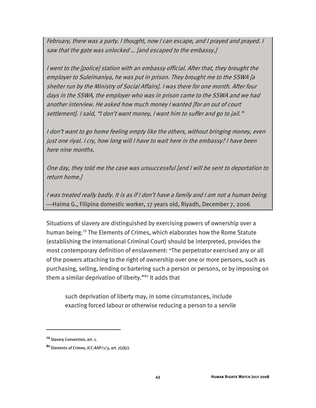February, there was a party. I thought, now I can escape, and I prayed and prayed. I saw that the gate was unlocked … [and escaped to the embassy.]

I went to the [police] station with an embassy official. After that, they brought the employer to Suleimaniya, he was put in prison. They brought me to the SSWA [a shelter run by the Ministry of Social Affairs]. I was there for one month. After four days in the SSWA, the employer who was in prison came to the SSWA and we had another interview. He asked how much money I wanted [for an out of court settlement]. I said, "I don't want money, I want him to suffer and go to jail."

I don't want to go home feeling empty like the others, without bringing money, even just one riyal. I cry, how long will I have to wait here in the embassy? I have been here nine months.

One day, they told me the case was unsuccessful [and I will be sent to deportation to return home.]

I was treated really badly. It is as if I don't have a family and I am not a human being. ⎯Haima G., Filipina domestic worker, 17 years old, Riyadh, December 7, 2006

Situations of slavery are distinguished by exercising powers of ownership over a human being.<sup>79</sup> The Elements of Crimes, which elaborates how the Rome Statute (establishing the International Criminal Court) should be interpreted, provides the most contemporary definition of enslavement: "The perpetrator exercised any or all of the powers attaching to the right of ownership over one or more persons, such as purchasing, selling, lending or bartering such a person or persons, or by imposing on them a similar deprivation of liberty."<sup>80</sup> It adds that

such deprivation of liberty may, in some circumstances, include exacting forced labour or otherwise reducing a person to a servile

**<sup>79</sup>** Slavery Convention, art. 1.

**<sup>80</sup>** Elements of Crimes, ICC-ASP/1/3, art. 7(1)(c).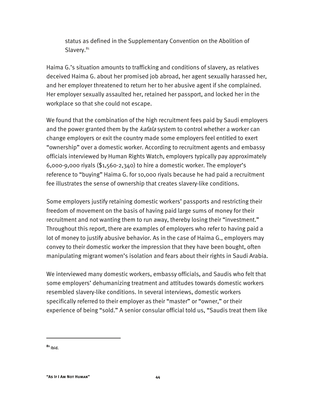status as defined in the Supplementary Convention on the Abolition of Slavery.<sup>81</sup>

Haima G.'s situation amounts to trafficking and conditions of slavery, as relatives deceived Haima G. about her promised job abroad, her agent sexually harassed her, and her employer threatened to return her to her abusive agent if she complained. Her employer sexually assaulted her, retained her passport, and locked her in the workplace so that she could not escape.

We found that the combination of the high recruitment fees paid by Saudi employers and the power granted them by the *kafala* system to control whether a worker can change employers or exit the country made some employers feel entitled to exert "ownership" over a domestic worker. According to recruitment agents and embassy officials interviewed by Human Rights Watch, employers typically pay approximately 6,000-9,000 riyals (\$1,560-2,340) to hire a domestic worker. The employer's reference to "buying" Haima G. for 10,000 riyals because he had paid a recruitment fee illustrates the sense of ownership that creates slavery-like conditions.

Some employers justify retaining domestic workers' passports and restricting their freedom of movement on the basis of having paid large sums of money for their recruitment and not wanting them to run away, thereby losing their "investment." Throughout this report, there are examples of employers who refer to having paid a lot of money to justify abusive behavior. As in the case of Haima G., employers may convey to their domestic worker the impression that they have been bought, often manipulating migrant women's isolation and fears about their rights in Saudi Arabia.

We interviewed many domestic workers, embassy officials, and Saudis who felt that some employers' dehumanizing treatment and attitudes towards domestic workers resembled slavery-like conditions. In several interviews, domestic workers specifically referred to their employer as their "master" or "owner," or their experience of being "sold." A senior consular official told us, "Saudis treat them like

**<sup>81</sup>** Ibid.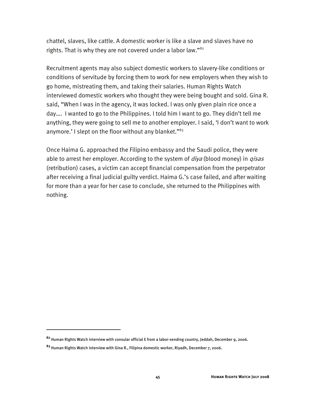chattel, slaves, like cattle. A domestic worker is like a slave and slaves have no rights. That is why they are not covered under a labor law."<sup>82</sup>

Recruitment agents may also subject domestic workers to slavery-like conditions or conditions of servitude by forcing them to work for new employers when they wish to go home, mistreating them, and taking their salaries. Human Rights Watch interviewed domestic workers who thought they were being bought and sold. Gina R. said, "When I was in the agency, it was locked. I was only given plain rice once a day…. I wanted to go to the Philippines. I told him I want to go. They didn't tell me anything, they were going to sell me to another employer. I said, 'I don't want to work anymore.' I slept on the floor without any blanket."<sup>83</sup>

Once Haima G. approached the Filipino embassy and the Saudi police, they were able to arrest her employer. According to the system of  $\frac{di}{a}$  (blood money) in  $\frac{g}{isas}$ (retribution) cases, a victim can accept financial compensation from the perpetrator after receiving a final judicial guilty verdict. Haima G.'s case failed, and after waiting for more than a year for her case to conclude, she returned to the Philippines with nothing.

**<sup>82</sup>** Human Rights Watch interview with consular official E from a labor-sending country, Jeddah, December 9, 2006.

**<sup>83</sup>** Human Rights Watch interview with Gina R., Filipina domestic worker, Riyadh, December 7, 2006.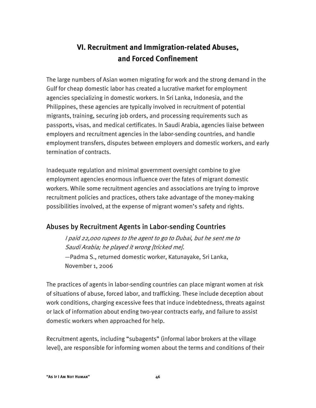# **VI. Recruitment and Immigration-related Abuses, and Forced Confinement**

The large numbers of Asian women migrating for work and the strong demand in the Gulf for cheap domestic labor has created a lucrative market for employment agencies specializing in domestic workers. In Sri Lanka, Indonesia, and the Philippines, these agencies are typically involved in recruitment of potential migrants, training, securing job orders, and processing requirements such as passports, visas, and medical certificates. In Saudi Arabia, agencies liaise between employers and recruitment agencies in the labor-sending countries, and handle employment transfers, disputes between employers and domestic workers, and early termination of contracts.

Inadequate regulation and minimal government oversight combine to give employment agencies enormous influence over the fates of migrant domestic workers. While some recruitment agencies and associations are trying to improve recruitment policies and practices, others take advantage of the money-making possibilities involved, at the expense of migrant women's safety and rights.

# Abuses by Recruitment Agents in Labor-sending Countries

I paid 22,000 rupees to the agent to go to Dubai, but he sent me to Saudi Arabia; he played it wrong [tricked me]. —Padma S., returned domestic worker, Katunayake, Sri Lanka, November 1, 2006

The practices of agents in labor-sending countries can place migrant women at risk of situations of abuse, forced labor, and trafficking. These include deception about work conditions, charging excessive fees that induce indebtedness, threats against or lack of information about ending two-year contracts early, and failure to assist domestic workers when approached for help.

Recruitment agents, including "subagents" (informal labor brokers at the village level), are responsible for informing women about the terms and conditions of their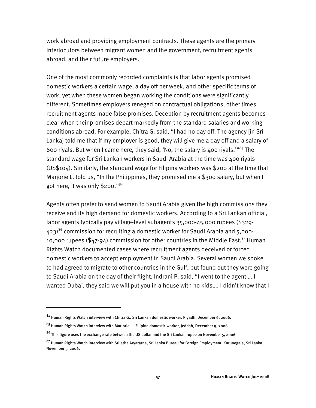work abroad and providing employment contracts. These agents are the primary interlocutors between migrant women and the government, recruitment agents abroad, and their future employers.

One of the most commonly recorded complaints is that labor agents promised domestic workers a certain wage, a day off per week, and other specific terms of work, yet when these women began working the conditions were significantly different. Sometimes employers reneged on contractual obligations, other times recruitment agents made false promises. Deception by recruitment agents becomes clear when their promises depart markedly from the standard salaries and working conditions abroad. For example, Chitra G. said, "I had no day off. The agency [in Sri Lanka] told me that if my employer is good, they will give me a day off and a salary of 600 riyals. But when I came here, they said, 'No, the salary is 400 riyals.'"84 The standard wage for Sri Lankan workers in Saudi Arabia at the time was 400 riyals (US\$104). Similarly, the standard wage for Filipina workers was \$200 at the time that Marjorie L. told us, "In the Philippines, they promised me a \$300 salary, but when I got here, it was only \$200."85

Agents often prefer to send women to Saudi Arabia given the high commissions they receive and its high demand for domestic workers. According to a Sri Lankan official, labor agents typically pay village-level subagents 35,000-45,000 rupees (\$329-  $423$ <sup>86</sup> commission for recruiting a domestic worker for Saudi Arabia and 5,000-10,000 rupees  $(\$47-94)$  commission for other countries in the Middle East.<sup>87</sup> Human Rights Watch documented cases where recruitment agents deceived or forced domestic workers to accept employment in Saudi Arabia. Several women we spoke to had agreed to migrate to other countries in the Gulf, but found out they were going to Saudi Arabia on the day of their flight. Indrani P. said, "I went to the agent … I wanted Dubai, they said we will put you in a house with no kids…. I didn't know that I

j

**<sup>84</sup>** Human Rights Watch interview with Chitra G., Sri Lankan domestic worker, Riyadh, December 6, 2006.

**<sup>85</sup>** Human Rights Watch interview with Marjorie L., Filipina domestic worker, Jeddah, December 9, 2006.

**<sup>86</sup>** This figure uses the exchange rate between the US dollar and the Sri Lankan rupee on November 5, 2006.

**<sup>87</sup>** Human Rights Watch interview with Srilatha Aryaratne, Sri Lanka Bureau for Foreign Employment, Kurunegala, Sri Lanka, November 5, 2006.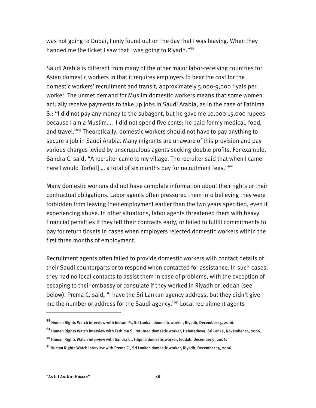was not going to Dubai, I only found out on the day that I was leaving. When they handed me the ticket I saw that I was going to Riyadh."<sup>88</sup>

Saudi Arabia is different from many of the other major labor-receiving countries for Asian domestic workers in that it requires employers to bear the cost for the domestic workers' recruitment and transit, approximately 5,000-9,000 riyals per worker. The unmet demand for Muslim domestic workers means that some women actually receive payments to take up jobs in Saudi Arabia, as in the case of Fathima S.: "I did not pay any money to the subagent, but he gave me 10,000-15,000 rupees because I am a Muslim…. I did not spend five cents; he paid for my medical, food, and travel."<sup>89</sup> Theoretically, domestic workers should not have to pay anything to secure a job in Saudi Arabia. Many migrants are unaware of this provision and pay various charges levied by unscrupulous agents seeking double profits. For example, Sandra C. said, "A recruiter came to my village. The recruiter said that when I came here I would [forfeit] ... a total of six months pay for recruitment fees."<sup>90</sup>

Many domestic workers did not have complete information about their rights or their contractual obligations. Labor agents often pressured them into believing they were forbidden from leaving their employment earlier than the two years specified, even if experiencing abuse. In other situations, labor agents threatened them with heavy financial penalties if they left their contracts early, or failed to fulfill commitments to pay for return tickets in cases when employers rejected domestic workers within the first three months of employment.

Recruitment agents often failed to provide domestic workers with contact details of their Saudi counterparts or to respond when contacted for assistance. In such cases, they had no local contacts to assist them in case of problems, with the exception of escaping to their embassy or consulate if they worked in Riyadh or Jeddah (see below). Prema C. said, "I have the Sri Lankan agency address, but they didn't give me the number or address for the Saudi agency."<sup>91</sup> Local recruitment agents

j

**<sup>88</sup>** Human Rights Watch interview with Indrani P., Sri Lankan domestic worker, Riyadh, December 15, 2006.

**<sup>89</sup>** Human Rights Watch interview with Fathima S., returned domestic worker, Habaraduwa, Sri Lanka, November 14, 2006.

**<sup>90</sup>** Human Rights Watch interview with Sandra C., Filipina domestic worker, Jeddah, December 9, 2006.

**<sup>91</sup>** Human Rights Watch interview with Prema C., Sri Lankan domestic worker, Riyadh, December 15, 2006.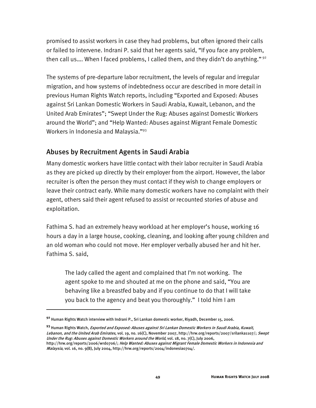promised to assist workers in case they had problems, but often ignored their calls or failed to intervene. Indrani P. said that her agents said, "If you face any problem, then call us.... When I faced problems, I called them, and they didn't do anything."<sup>92</sup>

The systems of pre-departure labor recruitment, the levels of regular and irregular migration, and how systems of indebtedness occur are described in more detail in previous Human Rights Watch reports, including "Exported and Exposed: Abuses against Sri Lankan Domestic Workers in Saudi Arabia, Kuwait, Lebanon, and the United Arab Emirates"; "Swept Under the Rug: Abuses against Domestic Workers around the World"; and "Help Wanted: Abuses against Migrant Female Domestic Workers in Indonesia and Malaysia."93

## Abuses by Recruitment Agents in Saudi Arabia

Many domestic workers have little contact with their labor recruiter in Saudi Arabia as they are picked up directly by their employer from the airport. However, the labor recruiter is often the person they must contact if they wish to change employers or leave their contract early. While many domestic workers have no complaint with their agent, others said their agent refused to assist or recounted stories of abuse and exploitation.

Fathima S. had an extremely heavy workload at her employer's house, working 16 hours a day in a large house, cooking, cleaning, and looking after young children and an old woman who could not move. Her employer verbally abused her and hit her. Fathima S. said,

The lady called the agent and complained that I'm not working. The agent spoke to me and shouted at me on the phone and said, "You are behaving like a breastfed baby and if you continue to do that I will take you back to the agency and beat you thoroughly." I told him I am

**<sup>92</sup>** Human Rights Watch interview with Indrani P., Sri Lankan domestic worker, Riyadh, December 15, 2006.

**<sup>93</sup>** Human Rights Watch, Exported and Exposed: Abuses against Sri Lankan Domestic Workers in Saudi Arabia, Kuwait, Lebanon, and the United Arab Emirates, vol. 19, no. 16(C), November 2007, http://hrw.org/reports/2007/srilanka1107/; Swept Under the Rug: Abuses against Domestic Workers around the World, vol. 18, no. 7(C), July 2006, http://hrw.org/reports/2006/wrd0706/; Help Wanted: Abuses against Migrant Female Domestic Workers in Indonesia and Malaysia, vol. 16, no. 9(B), July 2004, http://hrw.org/reports/2004/indonesia0704/.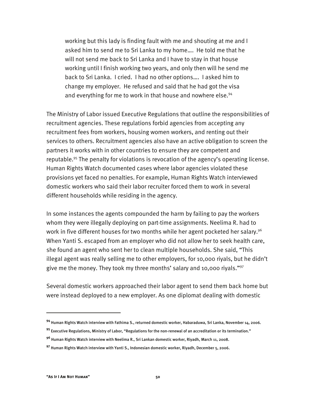working but this lady is finding fault with me and shouting at me and I asked him to send me to Sri Lanka to my home…. He told me that he will not send me back to Sri Lanka and I have to stay in that house working until I finish working two years, and only then will he send me back to Sri Lanka. I cried. I had no other options…. I asked him to change my employer. He refused and said that he had got the visa and everything for me to work in that house and nowhere else.<sup>94</sup>

The Ministry of Labor issued Executive Regulations that outline the responsibilities of recruitment agencies. These regulations forbid agencies from accepting any recruitment fees from workers, housing women workers, and renting out their services to others. Recruitment agencies also have an active obligation to screen the partners it works with in other countries to ensure they are competent and reputable.<sup>95</sup> The penalty for violations is revocation of the agency's operating license. Human Rights Watch documented cases where labor agencies violated these provisions yet faced no penalties. For example, Human Rights Watch interviewed domestic workers who said their labor recruiter forced them to work in several different households while residing in the agency.

In some instances the agents compounded the harm by failing to pay the workers whom they were illegally deploying on part-time assignments. Neelima R. had to work in five different houses for two months while her agent pocketed her salary.<sup>96</sup> When Yanti S. escaped from an employer who did not allow her to seek health care, she found an agent who sent her to clean multiple households. She said, "This illegal agent was really selling me to other employers, for 10,000 riyals, but he didn't give me the money. They took my three months' salary and 10,000 riyals."97

Several domestic workers approached their labor agent to send them back home but were instead deployed to a new employer. As one diplomat dealing with domestic

j

**<sup>94</sup>** Human Rights Watch interview with Fathima S., returned domestic worker, Habaraduwa, Sri Lanka, November 14, 2006.

**<sup>95</sup>** Executive Regulations, Ministry of Labor, "Regulations for the non-renewal of an accreditation or its termination."

**<sup>96</sup>** Human Rights Watch interview with Neelima R., Sri Lankan domestic worker, Riyadh, March 11, 2008.

**<sup>97</sup>** Human Rights Watch interview with Yanti S., Indonesian domestic worker, Riyadh, December 5, 2006.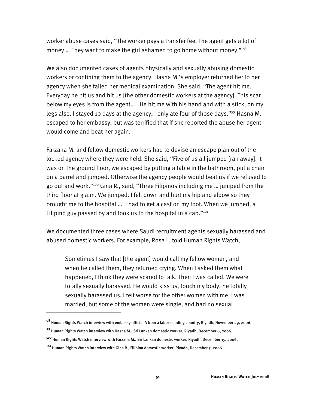worker abuse cases said, "The worker pays a transfer fee. The agent gets a lot of money ... They want to make the girl ashamed to go home without money."<sup>98</sup>

We also documented cases of agents physically and sexually abusing domestic workers or confining them to the agency. Hasna M.'s employer returned her to her agency when she failed her medical examination. She said, "The agent hit me. Everyday he hit us and hit us [the other domestic workers at the agency]. This scar below my eyes is from the agent…. He hit me with his hand and with a stick, on my legs also. I stayed 10 days at the agency, I only ate four of those days."<sup>99</sup> Hasna M. escaped to her embassy, but was terrified that if she reported the abuse her agent would come and beat her again.

Farzana M. and fellow domestic workers had to devise an escape plan out of the locked agency where they were held. She said, "Five of us all jumped [ran away]. It was on the ground floor, we escaped by putting a table in the bathroom, put a chair on a barrel and jumped. Otherwise the agency people would beat us if we refused to go out and work."100 Gina R., said, "Three Filipinos including me … jumped from the third floor at 3 a.m. We jumped. I fell down and hurt my hip and elbow so they brought me to the hospital…. I had to get a cast on my foot. When we jumped, a Filipino guy passed by and took us to the hospital in a cab." $1011$ 

We documented three cases where Saudi recruitment agents sexually harassed and abused domestic workers. For example, Rosa L. told Human Rights Watch,

Sometimes I saw that [the agent] would call my fellow women, and when he called them, they returned crying. When I asked them what happened, I think they were scared to talk. Then I was called. We were totally sexually harassed. He would kiss us, touch my body, he totally sexually harassed us. I felt worse for the other women with me. I was married, but some of the women were single, and had no sexual

**<sup>98</sup>** Human Rights Watch interview with embassy official A from a labor-sending country, Riyadh, November 29, 2006.

**<sup>99</sup>** Human Rights Watch interview with Hasna M., Sri Lankan domestic worker, Riyadh, December 6, 2006.

**<sup>100</sup>** Human Rights Watch interview with Farzana M., Sri Lankan domestic worker, Riyadh, December 15, 2006.

**<sup>101</sup>** Human Rights Watch interview with Gina R., Filipina domestic worker, Riyadh, December 7, 2006.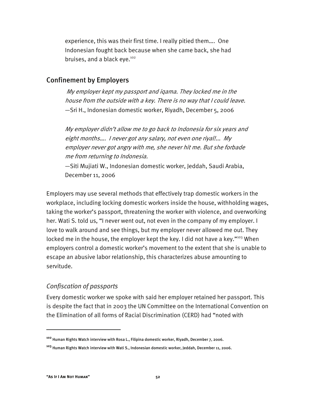experience, this was their first time. I really pitied them…. One Indonesian fought back because when she came back, she had bruises, and a black eye.<sup>102</sup>

#### Confinement by Employers

My employer kept my passport and iqama. They locked me in the house from the outside with a key. There is no way that I could leave. —Sri H., Indonesian domestic worker, Riyadh, December 5, 2006

My employer didn't allow me to go back to Indonesia for six years and eight months…. I never got any salary, not even one riyal!... My employer never got angry with me, she never hit me. But she forbade me from returning to Indonesia.

—Siti Mujiati W., Indonesian domestic worker, Jeddah, Saudi Arabia, December 11, 2006

Employers may use several methods that effectively trap domestic workers in the workplace, including locking domestic workers inside the house, withholding wages, taking the worker's passport, threatening the worker with violence, and overworking her. Wati S. told us, "I never went out, not even in the company of my employer. I love to walk around and see things, but my employer never allowed me out. They locked me in the house, the employer kept the key. I did not have a key." $103$  When employers control a domestic worker's movement to the extent that she is unable to escape an abusive labor relationship, this characterizes abuse amounting to servitude.

#### *Confiscation of passports*

Every domestic worker we spoke with said her employer retained her passport. This is despite the fact that in 2003 the UN Committee on the International Convention on the Elimination of all forms of Racial Discrimination (CERD) had "noted with

**<sup>102</sup>** Human Rights Watch interview with Rosa L., Filipina domestic worker, Riyadh, December 7, 2006.

**<sup>103</sup>** Human Rights Watch interview with Wati S., Indonesian domestic worker, Jeddah, December 11, 2006.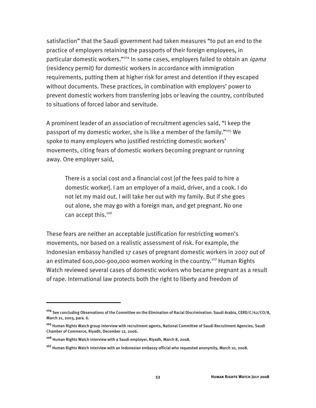satisfaction" that the Saudi government had taken measures "to put an end to the practice of employers retaining the passports of their foreign employees, in particular domestic workers."<sup>104</sup> In some cases, employers failed to obtain an *iqama* (residency permit) for domestic workers in accordance with immigration requirements, putting them at higher risk for arrest and detention if they escaped without documents. These practices, in combination with employers' power to prevent domestic workers from transferring jobs or leaving the country, contributed to situations of forced labor and servitude.

A prominent leader of an association of recruitment agencies said, "I keep the passport of my domestic worker, she is like a member of the family."105 We spoke to many employers who justified restricting domestic workers' movements, citing fears of domestic workers becoming pregnant or running away. One employer said,

There is a social cost and a financial cost [of the fees paid to hire a domestic worker]. I am an employer of a maid, driver, and a cook. I do not let my maid out. I will take her out with my family. But if she goes out alone, she may go with a foreign man, and get pregnant. No one can accept this.<sup>106</sup>

These fears are neither an acceptable justification for restricting women's movements, nor based on a realistic assessment of risk. For example, the Indonesian embassy handled 17 cases of pregnant domestic workers in 2007 out of an estimated 600,000-900,000 women working in the country.<sup>107</sup> Human Rights Watch reviewed several cases of domestic workers who became pregnant as a result of rape. International law protects both the right to liberty and freedom of

j

**<sup>104</sup>** See concluding Observations of the Committee on the Elimination of Racial Discrimination: Saudi Arabia, CERD/C/62/CO/8, March 21, 2003, para. 6.

**<sup>105</sup>** Human Rights Watch group interview with recruitment agents, National Committee of Saudi Recruitment Agencies, Saudi Chamber of Commerce, Riyadh, December 12, 2006.

**<sup>106</sup>** Human Rights Watch interview with a Saudi employer, Riyadh, March 8, 2008.

**<sup>107</sup>** Human Rights Watch interview with an Indonesian embassy official who requested anonymity, March 10, 2008.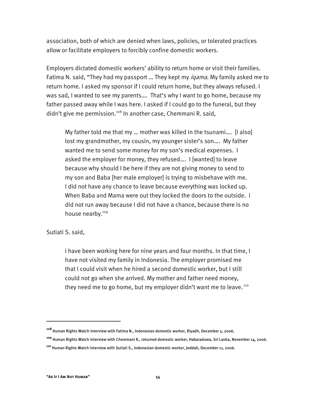association, both of which are denied when laws, policies, or tolerated practices allow or facilitate employers to forcibly confine domestic workers.

Employers dictated domestic workers' ability to return home or visit their families. Fatima N. said, "They had my passport ... They kept my *iqama*. My family asked me to return home. I asked my sponsor if I could return home, but they always refused. I was sad, I wanted to see my parents…. That's why I want to go home, because my father passed away while I was here. I asked if I could go to the funeral, but they didn't give me permission.<sup>108</sup> In another case, Chemmani R, said,

My father told me that my … mother was killed in the tsunami…. [I also] lost my grandmother, my cousin, my younger sister's son…. My father wanted me to send some money for my son's medical expenses. I asked the employer for money, they refused…. I [wanted] to leave because why should I be here if they are not giving money to send to my son and Baba [her male employer] is trying to misbehave with me. I did not have any chance to leave because everything was locked up. When Baba and Mama were out they locked the doors to the outside. I did not run away because I did not have a chance, because there is no house nearby.<sup>109</sup>

Sutiati S. said,

I have been working here for nine years and four months. In that time, I have not visited my family in Indonesia. The employer promised me that I could visit when he hired a second domestic worker, but I still could not go when she arrived. My mother and father need money, they need me to go home, but my employer didn't want me to leave.<sup>110</sup>

**<sup>108</sup>** Human Rights Watch interview with Fatima N., Indonesian domestic worker, Riyadh, December 5, 2006.

**<sup>109</sup>** Human Rights Watch interview with Chemmani R., returned domestic worker, Habaraduwa, Sri Lanka, November 14, 2006.

**<sup>110</sup>** Human Rights Watch interview with Sutiati S., Indonesian domestic worker, Jeddah, December 11, 2006.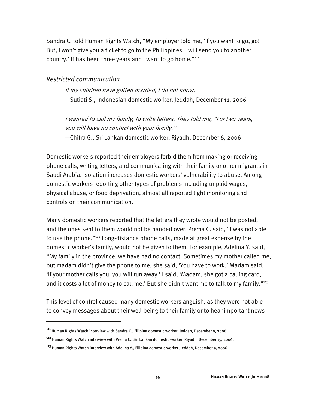Sandra C. told Human Rights Watch, "My employer told me, 'If you want to go, go! But, I won't give you a ticket to go to the Philippines, I will send you to another country.' It has been three years and I want to go home."<sup>111</sup>

#### *Restricted communication*

I

If my children have gotten married, I do not know. —Sutiati S., Indonesian domestic worker, Jeddah, December 11, 2006

I wanted to call my family, to write letters. They told me, "For two years, you will have no contact with your family." —Chitra G., Sri Lankan domestic worker, Riyadh, December 6, 2006

Domestic workers reported their employers forbid them from making or receiving phone calls, writing letters, and communicating with their family or other migrants in Saudi Arabia. Isolation increases domestic workers' vulnerability to abuse. Among domestic workers reporting other types of problems including unpaid wages, physical abuse, or food deprivation, almost all reported tight monitoring and controls on their communication.

Many domestic workers reported that the letters they wrote would not be posted, and the ones sent to them would not be handed over. Prema C. said, "I was not able to use the phone."112 Long-distance phone calls, made at great expense by the domestic worker's family, would not be given to them. For example, Adelina Y. said, "My family in the province, we have had no contact. Sometimes my mother called me, but madam didn't give the phone to me, she said, 'You have to work.' Madam said, 'If your mother calls you, you will run away.' I said, 'Madam, she got a calling card, and it costs a lot of money to call me.' But she didn't want me to talk to my family."<sup>113</sup>

This level of control caused many domestic workers anguish, as they were not able to convey messages about their well-being to their family or to hear important news

**<sup>111</sup>** Human Rights Watch interview with Sandra C., Filipina domestic worker, Jeddah, December 9, 2006.

**<sup>112</sup>** Human Rights Watch interview with Prema C., Sri Lankan domestic worker, Riyadh, December 15, 2006.

**<sup>113</sup>** Human Rights Watch interview with Adelina Y., Filipina domestic worker, Jeddah, December 9, 2006.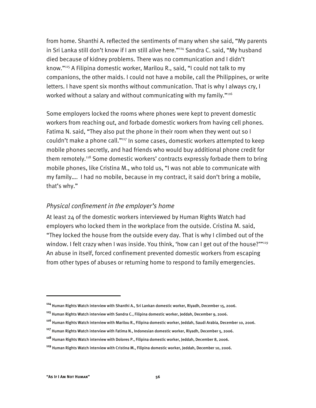from home. Shanthi A. reflected the sentiments of many when she said, "My parents in Sri Lanka still don't know if I am still alive here."<sup>114</sup> Sandra C. said, "My husband died because of kidney problems. There was no communication and I didn't know."115 A Filipina domestic worker, Marilou R., said, "I could not talk to my companions, the other maids. I could not have a mobile, call the Philippines, or write letters. I have spent six months without communication. That is why I always cry, I worked without a salary and without communicating with my family."<sup>116</sup>

Some employers locked the rooms where phones were kept to prevent domestic workers from reaching out, and forbade domestic workers from having cell phones. Fatima N. said, "They also put the phone in their room when they went out so I couldn't make a phone call."<sup>117</sup> In some cases, domestic workers attempted to keep mobile phones secretly, and had friends who would buy additional phone credit for them remotely.<sup>118</sup> Some domestic workers' contracts expressly forbade them to bring mobile phones, like Cristina M., who told us, "I was not able to communicate with my family…. I had no mobile, because in my contract, it said don't bring a mobile, that's why."

## *Physical confinement in the employer's home*

At least 24 of the domestic workers interviewed by Human Rights Watch had employers who locked them in the workplace from the outside. Cristina M. said, "They locked the house from the outside every day. That is why I climbed out of the window. I felt crazy when I was inside. You think, 'how can I get out of the house?""<sup>119</sup> An abuse in itself, forced confinement prevented domestic workers from escaping from other types of abuses or returning home to respond to family emergencies.

**<sup>114</sup>** Human Rights Watch interview with Shanthi A., Sri Lankan domestic worker, Riyadh, December 15, 2006.

**<sup>115</sup>** Human Rights Watch interview with Sandra C., Filipina domestic worker, Jeddah, December 9, 2006.

**<sup>116</sup>** Human Rights Watch interview with Marilou R., Filipina domestic worker, Jeddah, Saudi Arabia, December 10, 2006.

**<sup>117</sup>** Human Rights Watch interview with Fatima N., Indonesian domestic worker, Riyadh, December 5, 2006.

**<sup>118</sup>** Human Rights Watch interview with Dolores P., Filipina domestic worker, Jeddah, December 8, 2006.

**<sup>119</sup>** Human Rights Watch interview with Cristina M., Filipina domestic worker, Jeddah, December 10, 2006.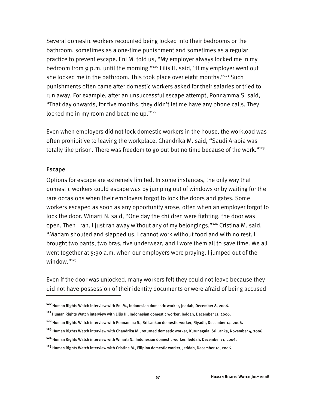Several domestic workers recounted being locked into their bedrooms or the bathroom, sometimes as a one-time punishment and sometimes as a regular practice to prevent escape. Eni M. told us, "My employer always locked me in my bedroom from 9 p.m. until the morning."<sup>120</sup> Lilis H. said, "If my employer went out she locked me in the bathroom. This took place over eight months."<sup>121</sup> Such punishments often came after domestic workers asked for their salaries or tried to run away. For example, after an unsuccessful escape attempt, Ponnamma S. said, "That day onwards, for five months, they didn't let me have any phone calls. They locked me in my room and beat me up."<sup>122</sup>

Even when employers did not lock domestic workers in the house, the workload was often prohibitive to leaving the workplace. Chandrika M. said, "Saudi Arabia was totally like prison. There was freedom to go out but no time because of the work."<sup>123</sup>

#### Escape

I

Options for escape are extremely limited. In some instances, the only way that domestic workers could escape was by jumping out of windows or by waiting for the rare occasions when their employers forgot to lock the doors and gates. Some workers escaped as soon as any opportunity arose, often when an employer forgot to lock the door. Winarti N. said, "One day the children were fighting, the door was open. Then I ran. I just ran away without any of my belongings."<sup>124</sup> Cristina M. said, "Madam shouted and slapped us. I cannot work without food and with no rest. I brought two pants, two bras, five underwear, and I wore them all to save time. We all went together at 5:30 a.m. when our employers were praying. I jumped out of the window."<sup>125</sup>

Even if the door was unlocked, many workers felt they could not leave because they did not have possession of their identity documents or were afraid of being accused

**<sup>120</sup>** Human Rights Watch interview with Eni M., Indonesian domestic worker, Jeddah, December 8, 2006.

**<sup>121</sup>** Human Rights Watch interview with Lilis H., Indonesian domestic worker, Jeddah, December 11, 2006.

**<sup>122</sup>** Human Rights Watch interview with Ponnamma S., Sri Lankan domestic worker, Riyadh, December 14, 2006.

**<sup>123</sup>** Human Rights Watch interview with Chandrika M., returned domestic worker, Kurunegala, Sri Lanka, November 4, 2006.

**<sup>124</sup>** Human Rights Watch interview with Winarti N., Indonesian domestic worker, Jeddah, December 11, 2006.

**<sup>125</sup>** Human Rights Watch interview with Cristina M., Filipina domestic worker, Jeddah, December 10, 2006.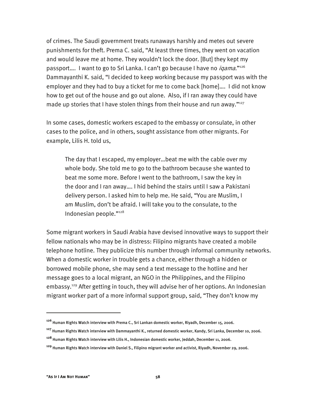of crimes. The Saudi government treats runaways harshly and metes out severe punishments for theft. Prema C. said, "At least three times, they went on vacation and would leave me at home. They wouldn't lock the door. [But] they kept my passport.... I want to go to Sri Lanka. I can't go because I have no *iqama*."<sup>126</sup> Dammayanthi K. said, "I decided to keep working because my passport was with the employer and they had to buy a ticket for me to come back [home]…. I did not know how to get out of the house and go out alone. Also, if I ran away they could have made up stories that I have stolen things from their house and run awav."<sup>127</sup>

In some cases, domestic workers escaped to the embassy or consulate, in other cases to the police, and in others, sought assistance from other migrants. For example, Lilis H. told us,

The day that I escaped, my employer…beat me with the cable over my whole body. She told me to go to the bathroom because she wanted to beat me some more. Before I went to the bathroom, I saw the key in the door and I ran away…. I hid behind the stairs until I saw a Pakistani delivery person. I asked him to help me. He said, "You are Muslim, I am Muslim, don't be afraid. I will take you to the consulate, to the Indonesian people."128

Some migrant workers in Saudi Arabia have devised innovative ways to support their fellow nationals who may be in distress: Filipino migrants have created a mobile telephone hotline. They publicize this number through informal community networks. When a domestic worker in trouble gets a chance, either through a hidden or borrowed mobile phone, she may send a text message to the hotline and her message goes to a local migrant, an NGO in the Philippines, and the Filipino embassy.<sup>129</sup> After getting in touch, they will advise her of her options. An Indonesian migrant worker part of a more informal support group, said, "They don't know my

**<sup>126</sup>** Human Rights Watch interview with Prema C., Sri Lankan domestic worker, Riyadh, December 15, 2006.

**<sup>127</sup>** Human Rights Watch interview with Dammayanthi K., returned domestic worker, Kandy, Sri Lanka, December 10, 2006.

**<sup>128</sup>** Human Rights Watch interview with Lilis H., Indonesian domestic worker, Jeddah, December 11, 2006.

**<sup>129</sup>** Human Rights Watch interview with Daniel S., Filipino migrant worker and activist, Riyadh, November 29, 2006.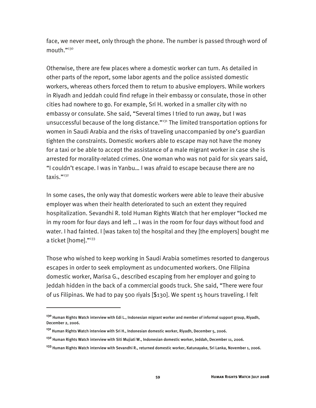face, we never meet, only through the phone. The number is passed through word of mouth."130

Otherwise, there are few places where a domestic worker can turn. As detailed in other parts of the report, some labor agents and the police assisted domestic workers, whereas others forced them to return to abusive employers. While workers in Riyadh and Jeddah could find refuge in their embassy or consulate, those in other cities had nowhere to go. For example, Sri H. worked in a smaller city with no embassy or consulate. She said, "Several times I tried to run away, but I was unsuccessful because of the long distance."131 The limited transportation options for women in Saudi Arabia and the risks of traveling unaccompanied by one's guardian tighten the constraints. Domestic workers able to escape may not have the money for a taxi or be able to accept the assistance of a male migrant worker in case she is arrested for morality-related crimes. One woman who was not paid for six years said, "I couldn't escape. I was in Yanbu… I was afraid to escape because there are no taxis."132

In some cases, the only way that domestic workers were able to leave their abusive employer was when their health deteriorated to such an extent they required hospitalization. Sevandhi R. told Human Rights Watch that her employer "locked me in my room for four days and left … I was in the room for four days without food and water. I had fainted. I [was taken to] the hospital and they [the employers] bought me a ticket [home]."133

Those who wished to keep working in Saudi Arabia sometimes resorted to dangerous escapes in order to seek employment as undocumented workers. One Filipina domestic worker, Marisa G., described escaping from her employer and going to Jeddah hidden in the back of a commercial goods truck. She said, "There were four of us Filipinas. We had to pay 500 riyals [\$130]. We spent 15 hours traveling. I felt

j

**<sup>130</sup>** Human Rights Watch interview with Edi L., Indonesian migrant worker and member of informal support group, Riyadh, December 2, 2006.

**<sup>131</sup>** Human Rights Watch interview with Sri H., Indonesian domestic worker, Riyadh, December 5, 2006.

**<sup>132</sup>** Human Rights Watch interview with Siti Mujiati W., Indonesian domestic worker, Jeddah, December 11, 2006.

**<sup>133</sup>** Human Rights Watch interview with Sevandhi R., returned domestic worker, Katunayake, Sri Lanka, November 1, 2006.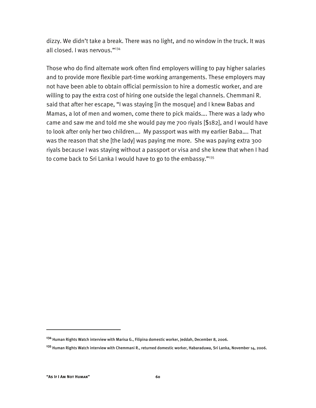dizzy. We didn't take a break. There was no light, and no window in the truck. It was all closed. I was nervous."134

Those who do find alternate work often find employers willing to pay higher salaries and to provide more flexible part-time working arrangements. These employers may not have been able to obtain official permission to hire a domestic worker, and are willing to pay the extra cost of hiring one outside the legal channels. Chemmani R. said that after her escape, "I was staying [in the mosque] and I knew Babas and Mamas, a lot of men and women, come there to pick maids…. There was a lady who came and saw me and told me she would pay me 700 riyals [\$182], and I would have to look after only her two children…. My passport was with my earlier Baba…. That was the reason that she [the lady] was paying me more. She was paying extra 300 riyals because I was staying without a passport or visa and she knew that when I had to come back to Sri Lanka I would have to go to the embassy."<sup>135</sup>

**<sup>134</sup>** Human Rights Watch interview with Marisa G., Filipina domestic worker, Jeddah, December 8, 2006.

**<sup>135</sup>** Human Rights Watch interview with Chemmani R., returned domestic worker, Habaraduwa, Sri Lanka, November 14, 2006.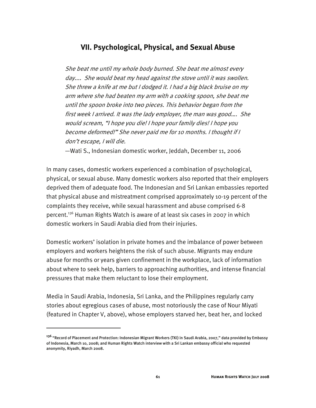## **VII. Psychological, Physical, and Sexual Abuse**

She beat me until my whole body burned. She beat me almost every day.... She would beat my head against the stove until it was swollen. She threw a knife at me but I dodged it. I had a big black bruise on my arm where she had beaten my arm with a cooking spoon, she beat me until the spoon broke into two pieces. This behavior began from the first week I arrived. It was the lady employer, the man was good…. She would scream, "I hope you die! I hope your family dies! I hope you become deformed!" She never paid me for 10 months. I thought if I don't escape, I will die.

—Wati S., Indonesian domestic worker, Jeddah, December 11, 2006

In many cases, domestic workers experienced a combination of psychological, physical, or sexual abuse. Many domestic workers also reported that their employers deprived them of adequate food. The Indonesian and Sri Lankan embassies reported that physical abuse and mistreatment comprised approximately 10-19 percent of the complaints they receive, while sexual harassment and abuse comprised 6-8 percent.136 Human Rights Watch is aware of at least six cases in 2007 in which domestic workers in Saudi Arabia died from their injuries.

Domestic workers' isolation in private homes and the imbalance of power between employers and workers heightens the risk of such abuse. Migrants may endure abuse for months or years given confinement in the workplace, lack of information about where to seek help, barriers to approaching authorities, and intense financial pressures that make them reluctant to lose their employment.

Media in Saudi Arabia, Indonesia, Sri Lanka, and the Philippines regularly carry stories about egregious cases of abuse, most notoriously the case of Nour Miyati (featured in Chapter V, above), whose employers starved her, beat her, and locked

**<sup>136</sup>** "Record of Placement and Protection: Indonesian Migrant Workers (TKI) in Saudi Arabia, 2007," data provided by Embassy of Indonesia, March 10, 2008; and Human Rights Watch interview with a Sri Lankan embassy official who requested anonymity, Riyadh, March 2008.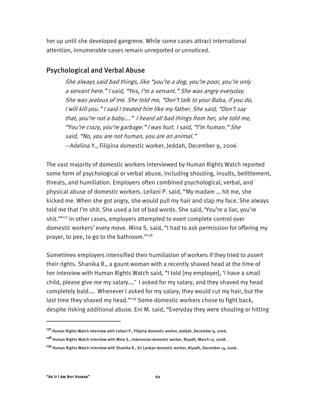her up until she developed gangrene. While some cases attract international attention, innumerable cases remain unreported or unnoticed.

## Psychological and Verbal Abuse

She always said bad things, like "you're a dog, you're poor, you're only a servant here." I said, "Yes, I'm a servant." She was angry everyday. She was jealous of me. She told me, "Don't talk to your Baba, if you do, I will kill you." I said I treated him like my father. She said, "Don't say that, you're not a baby…." I heard all bad things from her, she told me, "You're crazy, you're garbage." I was hurt. I said, "I'm human." She said, "No, you are not human, you are an animal." —Adelina Y., Filipina domestic worker, Jeddah, December 9, 2006

The vast majority of domestic workers interviewed by Human Rights Watch reported some form of psychological or verbal abuse, including shouting, insults, belittlement, threats, and humiliation. Employers often combined psychological, verbal, and physical abuse of domestic workers. Leilani P. said, "My madam … hit me, she kicked me. When she got angry, she would pull my hair and slap my face. She always told me that I'm shit. She used a lot of bad words. She said, 'You're a liar, you're shit.""<sup>137</sup> In other cases, employers attempted to exert complete control over domestic workers' every move. Mina S. said, "I had to ask permission for offering my prayer, to pee, to go to the bathroom."138

Sometimes employers intensified their humiliation of workers if they tried to assert their rights. Shanika R., a gaunt woman with a recently shaved head at the time of her interview with Human Rights Watch said, "I told [my employer], 'I have a small child, please give me my salary….' I asked for my salary, and they shaved my head completely bald…. Whenever I asked for my salary, they would cut my hair, but the last time they shaved my head."<sup>139</sup> Some domestic workers chose to fight back, despite risking additional abuse. Eni M. said, "Everyday they were shouting or hitting

**<sup>137</sup>** Human Rights Watch interview with Leilani P., Filipina domestic worker, Jeddah, December 9, 2006.

**<sup>138</sup>** Human Rights Watch interview with Mina S., Indonesian domestic worker, Riyadh, March 12, 2008.

**<sup>139</sup>** Human Rights Watch interview with Shanika R., Sri Lankan domestic worker, Riyadh, December 14, 2006.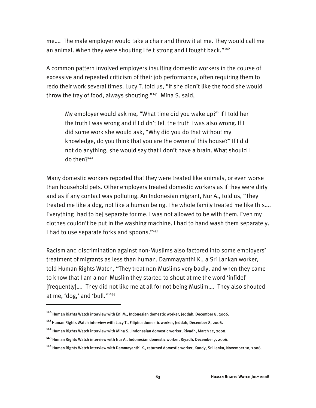me…. The male employer would take a chair and throw it at me. They would call me an animal. When they were shouting I felt strong and I fought back."<sup>140</sup>

A common pattern involved employers insulting domestic workers in the course of excessive and repeated criticism of their job performance, often requiring them to redo their work several times. Lucy T. told us, "If she didn't like the food she would throw the tray of food, always shouting."141 Mina S. said,

My employer would ask me, "What time did you wake up?" If I told her the truth I was wrong and if I didn't tell the truth I was also wrong. If I did some work she would ask, "Why did you do that without my knowledge, do you think that you are the owner of this house?" If I did not do anything, she would say that I don't have a brain. What should I do then?<sup>142</sup>

Many domestic workers reported that they were treated like animals, or even worse than household pets. Other employers treated domestic workers as if they were dirty and as if any contact was polluting. An Indonesian migrant, Nur A., told us, "They treated me like a dog, not like a human being. The whole family treated me like this…. Everything [had to be] separate for me. I was not allowed to be with them. Even my clothes couldn't be put in the washing machine. I had to hand wash them separately. I had to use separate forks and spoons."<sup>143</sup>

Racism and discrimination against non-Muslims also factored into some employers' treatment of migrants as less than human. Dammayanthi K., a Sri Lankan worker, told Human Rights Watch, "They treat non-Muslims very badly, and when they came to know that I am a non-Muslim they started to shout at me the word 'infidel' [frequently]…. They did not like me at all for not being Muslim…. They also shouted at me, 'dog,' and 'bull.'"144

**<sup>140</sup>** Human Rights Watch interview with Eni M., Indonesian domestic worker, Jeddah, December 8, 2006.

**<sup>141</sup>** Human Rights Watch interview with Lucy T., Filipina domestic worker, Jeddah, December 8, 2006.

**<sup>142</sup>** Human Rights Watch interview with Mina S., Indonesian domestic worker, Riyadh, March 12, 2008.

**<sup>143</sup>** Human Rights Watch interview with Nur A., Indonesian domestic worker, Riyadh, December 7, 2006.

**<sup>144</sup>** Human Rights Watch interview with Dammayanthi K., returned domestic worker, Kandy, Sri Lanka, November 10, 2006.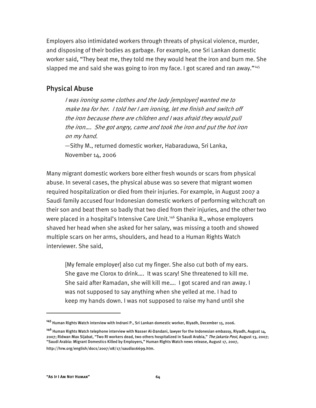Employers also intimidated workers through threats of physical violence, murder, and disposing of their bodies as garbage. For example, one Sri Lankan domestic worker said, "They beat me, they told me they would heat the iron and burn me. She slapped me and said she was going to iron my face. I got scared and ran away." $145$ 

#### Physical Abuse

I was ironing some clothes and the lady [employer] wanted me to make tea for her. I told her I am ironing, let me finish and switch off the iron because there are children and I was afraid they would pull the iron…. She got angry, came and took the iron and put the hot iron on my hand.

—Sithy M., returned domestic worker, Habaraduwa, Sri Lanka, November 14, 2006

Many migrant domestic workers bore either fresh wounds or scars from physical abuse. In several cases, the physical abuse was so severe that migrant women required hospitalization or died from their injuries. For example, in August 2007 a Saudi family accused four Indonesian domestic workers of performing witchcraft on their son and beat them so badly that two died from their injuries, and the other two were placed in a hospital's Intensive Care Unit.<sup>146</sup> Shanika R., whose employers shaved her head when she asked for her salary, was missing a tooth and showed multiple scars on her arms, shoulders, and head to a Human Rights Watch interviewer. She said,

[My female employer] also cut my finger. She also cut both of my ears. She gave me Clorox to drink…. It was scary! She threatened to kill me. She said after Ramadan, she will kill me…. I got scared and ran away. I was not supposed to say anything when she yelled at me. I had to keep my hands down. I was not supposed to raise my hand until she

**<sup>145</sup>** Human Rights Watch interview with Indrani P., Sri Lankan domestic worker, Riyadh, December 15, 2006.

**<sup>146</sup>** Human Rights Watch telephone interview with Nasser Al-Dandani, lawyer for the Indonesian embassy, Riyadh, August 14, 2007; Ridwan Max Sijabat, "Two RI workers dead, two others hospitalized in Saudi Arabia," The Jakarta Post, August 13, 2007; "Saudi Arabia: Migrant Domestics Killed by Employers," Human Rights Watch news release, August 17, 2007, http://hrw.org/english/docs/2007/08/17/saudia16699.htm.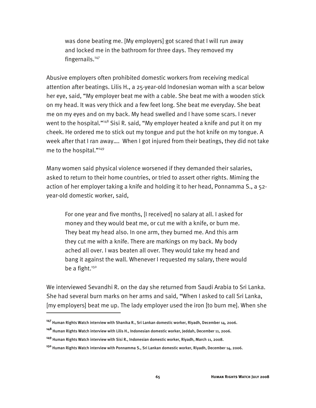was done beating me. [My employers] got scared that I will run away and locked me in the bathroom for three days. They removed my fingernails.<sup>147</sup>

Abusive employers often prohibited domestic workers from receiving medical attention after beatings. Lilis H., a 25-year-old Indonesian woman with a scar below her eye, said, "My employer beat me with a cable. She beat me with a wooden stick on my head. It was very thick and a few feet long. She beat me everyday. She beat me on my eyes and on my back. My head swelled and I have some scars. I never went to the hospital."<sup>148</sup> Sisi R. said, "My employer heated a knife and put it on my cheek. He ordered me to stick out my tongue and put the hot knife on my tongue. A week after that I ran away…. When I got injured from their beatings, they did not take me to the hospital."149

Many women said physical violence worsened if they demanded their salaries, asked to return to their home countries, or tried to assert other rights. Miming the action of her employer taking a knife and holding it to her head, Ponnamma S., a 52 year-old domestic worker, said,

For one year and five months, [I received] no salary at all. I asked for money and they would beat me, or cut me with a knife, or burn me. They beat my head also. In one arm, they burned me. And this arm they cut me with a knife. There are markings on my back. My body ached all over. I was beaten all over. They would take my head and bang it against the wall. Whenever I requested my salary, there would be a fight. $150$ 

We interviewed Sevandhi R. on the day she returned from Saudi Arabia to Sri Lanka. She had several burn marks on her arms and said, "When I asked to call Sri Lanka, [my employers] beat me up. The lady employer used the iron [to burn me]. When she

**<sup>147</sup>** Human Rights Watch interview with Shanika R., Sri Lankan domestic worker, Riyadh, December 14, 2006.

**<sup>148</sup>** Human Rights Watch interview with Lilis H., Indonesian domestic worker, Jeddah, December 11, 2006.

**<sup>149</sup>** Human Rights Watch interview with Sisi R., Indonesian domestic worker, Riyadh, March 11, 2008.

**<sup>150</sup>** Human Rights Watch interview with Ponnamma S., Sri Lankan domestic worker, Riyadh, December 14, 2006.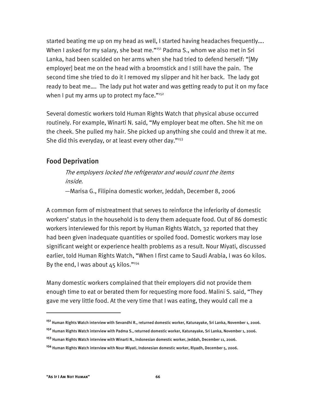started beating me up on my head as well, I started having headaches frequently…. When I asked for my salary, she beat me."<sup>151</sup> Padma S., whom we also met in Sri Lanka, had been scalded on her arms when she had tried to defend herself: "[My employer] beat me on the head with a broomstick and I still have the pain. The second time she tried to do it I removed my slipper and hit her back. The lady got ready to beat me…. The lady put hot water and was getting ready to put it on my face when I put my arms up to protect my face." $152$ 

Several domestic workers told Human Rights Watch that physical abuse occurred routinely. For example, Winarti N. said, "My employer beat me often. She hit me on the cheek. She pulled my hair. She picked up anything she could and threw it at me. She did this everyday, or at least every other day." $153$ 

## Food Deprivation

The employers locked the refrigerator and would count the items inside.

—Marisa G., Filipina domestic worker, Jeddah, December 8, 2006

A common form of mistreatment that serves to reinforce the inferiority of domestic workers' status in the household is to deny them adequate food. Out of 86 domestic workers interviewed for this report by Human Rights Watch, 32 reported that they had been given inadequate quantities or spoiled food. Domestic workers may lose significant weight or experience health problems as a result. Nour Miyati, discussed earlier, told Human Rights Watch, "When I first came to Saudi Arabia, I was 60 kilos. By the end, I was about  $45$  kilos."<sup>154</sup>

Many domestic workers complained that their employers did not provide them enough time to eat or berated them for requesting more food. Malini S. said, "They gave me very little food. At the very time that I was eating, they would call me a

**<sup>151</sup>** Human Rights Watch interview with Sevandhi R., returned domestic worker, Katunayake, Sri Lanka, November 1, 2006.

**<sup>152</sup>** Human Rights Watch interview with Padma S., returned domestic worker, Katunayake, Sri Lanka, November 1, 2006.

**<sup>153</sup>** Human Rights Watch interview with Winarti N., Indonesian domestic worker, Jeddah, December 11, 2006.

**<sup>154</sup>** Human Rights Watch interview with Nour Miyati, Indonesian domestic worker, Riyadh, December 5, 2006.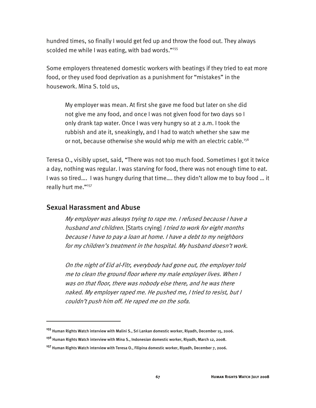hundred times, so finally I would get fed up and throw the food out. They always scolded me while I was eating, with bad words."<sup>155</sup>

Some employers threatened domestic workers with beatings if they tried to eat more food, or they used food deprivation as a punishment for "mistakes" in the housework. Mina S. told us,

My employer was mean. At first she gave me food but later on she did not give me any food, and once I was not given food for two days so I only drank tap water. Once I was very hungry so at 2 a.m. I took the rubbish and ate it, sneakingly, and I had to watch whether she saw me or not, because otherwise she would whip me with an electric cable.<sup>156</sup>

Teresa O., visibly upset, said, "There was not too much food. Sometimes I got it twice a day, nothing was regular. I was starving for food, there was not enough time to eat. I was so tired…. I was hungry during that time…. they didn't allow me to buy food … it really hurt me."157

#### Sexual Harassment and Abuse

I

My employer was always trying to rape me. I refused because I have a husband and children. [Starts crying] I tried to work for eight months because I have to pay a loan at home. I have a debt to my neighbors for my children's treatment in the hospital. My husband doesn't work.

On the night of Eid al-Fitr, everybody had gone out, the employer told me to clean the ground floor where my male employer lives. When I was on that floor, there was nobody else there, and he was there naked. My employer raped me. He pushed me, I tried to resist, but I couldn't push him off. He raped me on the sofa.

**<sup>155</sup>** Human Rights Watch interview with Malini S., Sri Lankan domestic worker, Riyadh, December 15, 2006.

**<sup>156</sup>** Human Rights Watch interview with Mina S., Indonesian domestic worker, Riyadh, March 12, 2008.

**<sup>157</sup>** Human Rights Watch interview with Teresa O., Filipina domestic worker, Riyadh, December 7, 2006.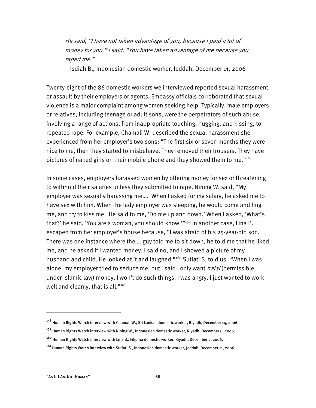He said, "I have not taken advantage of you, because I paid a lot of money for you." I said, "You have taken advantage of me because you raped me."

—Isdiah B., Indonesian domestic worker, Jeddah, December 11, 2006

Twenty-eight of the 86 domestic workers we interviewed reported sexual harassment or assault by their employers or agents. Embassy officials corroborated that sexual violence is a major complaint among women seeking help. Typically, male employers or relatives, including teenage or adult sons, were the perpetrators of such abuse, involving a range of actions, from inappropriate touching, hugging, and kissing, to repeated rape. For example, Chamali W. described the sexual harassment she experienced from her employer's two sons: "The first six or seven months they were nice to me, then they started to misbehave. They removed their trousers. They have pictures of naked girls on their mobile phone and they showed them to me."158

In some cases, employers harassed women by offering money for sex or threatening to withhold their salaries unless they submitted to rape. Nining W. said, "My employer was sexually harassing me…. When I asked for my salary, he asked me to have sex with him. When the lady employer was sleeping, he would come and hug me, and try to kiss me. He said to me, 'Do me up and down.' When I asked, 'What's that?' he said, 'You are a woman, you should know.'"<sup>159</sup> In another case, Lina B. escaped from her employer's house because, "I was afraid of his 25-year-old son. There was one instance where the … guy told me to sit down, he told me that he liked me, and he asked if I wanted money. I said no, and I showed a picture of my husband and child. He looked at it and laughed."<sup>160</sup> Sutiati S. told us, "When I was alone, my employer tried to seduce me, but I said I only want *halal* (permissible under Islamic law) money, I won't do such things. I was angry, I just wanted to work well and cleanly, that is all." $161$ 

**<sup>158</sup>** Human Rights Watch interview with Chamali W., Sri Lankan domestic worker, Riyadh, December 14, 2006.

**<sup>159</sup>** Human Rights Watch interview with Nining W., Indonesian domestic worker, Riyadh, December 6, 2006.

**<sup>160</sup>** Human Rights Watch interview with Lina B., Filipina domestic worker, Riyadh, December 7, 2006.

**<sup>161</sup>** Human Rights Watch interview with Sutiati S., Indonesian domestic worker, Jeddah, December 11, 2006.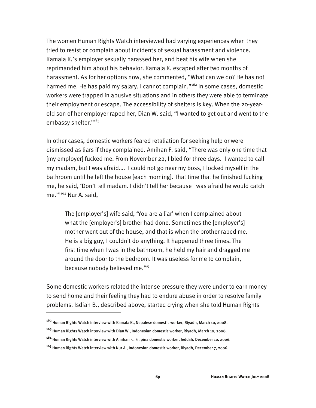The women Human Rights Watch interviewed had varying experiences when they tried to resist or complain about incidents of sexual harassment and violence. Kamala K.'s employer sexually harassed her, and beat his wife when she reprimanded him about his behavior. Kamala K. escaped after two months of harassment. As for her options now, she commented, "What can we do? He has not harmed me. He has paid my salary. I cannot complain."<sup>162</sup> In some cases, domestic workers were trapped in abusive situations and in others they were able to terminate their employment or escape. The accessibility of shelters is key. When the 20-yearold son of her employer raped her, Dian W. said, "I wanted to get out and went to the embassy shelter."<sup>163</sup>

In other cases, domestic workers feared retaliation for seeking help or were dismissed as liars if they complained. Amihan F. said, "There was only one time that [my employer] fucked me. From November 22, I bled for three days. I wanted to call my madam, but I was afraid…. I could not go near my boss, I locked myself in the bathroom until he left the house [each morning]. That time that he finished fucking me, he said, 'Don't tell madam. I didn't tell her because I was afraid he would catch me.""<sup>164</sup> Nur A. said,

The [employer's] wife said, 'You are a liar' when I complained about what the [employer's] brother had done. Sometimes the [employer's] mother went out of the house, and that is when the brother raped me. He is a big guy, I couldn't do anything. It happened three times. The first time when I was in the bathroom, he held my hair and dragged me around the door to the bedroom. It was useless for me to complain, because nobody believed me.<sup>165</sup>

Some domestic workers related the intense pressure they were under to earn money to send home and their feeling they had to endure abuse in order to resolve family problems. Isdiah B., described above, started crying when she told Human Rights

**<sup>162</sup>** Human Rights Watch interview with Kamala K., Nepalese domestic worker, Riyadh, March 10, 2008.

**<sup>163</sup>** Human Rights Watch interview with Dian W., Indonesian domestic worker, Riyadh, March 10, 2008.

**<sup>164</sup>** Human Rights Watch interview with Amihan F., Filipina domestic worker, Jeddah, December 10, 2006.

**<sup>165</sup>** Human Rights Watch interview with Nur A., Indonesian domestic worker, Riyadh, December 7, 2006.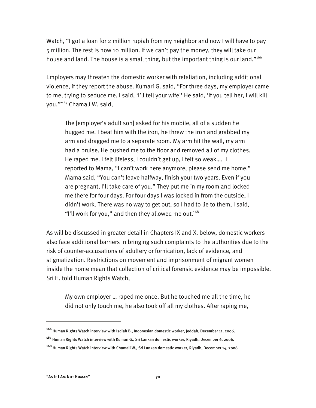Watch, "I got a loan for 2 million rupiah from my neighbor and now I will have to pay 5 million. The rest is now 10 million. If we can't pay the money, they will take our house and land. The house is a small thing, but the important thing is our land."<sup>166</sup>

Employers may threaten the domestic worker with retaliation, including additional violence, if they report the abuse. Kumari G. said, "For three days, my employer came to me, trying to seduce me. I said, 'I'll tell your wife!' He said, 'If you tell her, I will kill you.'"167 Chamali W. said,

The [employer's adult son] asked for his mobile, all of a sudden he hugged me. I beat him with the iron, he threw the iron and grabbed my arm and dragged me to a separate room. My arm hit the wall, my arm had a bruise. He pushed me to the floor and removed all of my clothes. He raped me. I felt lifeless, I couldn't get up, I felt so weak…. I reported to Mama, "I can't work here anymore, please send me home." Mama said, "You can't leave halfway, finish your two years. Even if you are pregnant, I'll take care of you." They put me in my room and locked me there for four days. For four days I was locked in from the outside, I didn't work. There was no way to get out, so I had to lie to them, I said, "I'll work for you," and then they allowed me out.<sup>168</sup>

As will be discussed in greater detail in Chapters IX and X, below, domestic workers also face additional barriers in bringing such complaints to the authorities due to the risk of counter-accusations of adultery or fornication, lack of evidence, and stigmatization. Restrictions on movement and imprisonment of migrant women inside the home mean that collection of critical forensic evidence may be impossible. Sri H. told Human Rights Watch,

My own employer … raped me once. But he touched me all the time, he did not only touch me, he also took off all my clothes. After raping me,

**"As If I Am Not Human" 70**

**<sup>166</sup>** Human Rights Watch interview with Isdiah B., Indonesian domestic worker, Jeddah, December 11, 2006.

**<sup>167</sup>** Human Rights Watch interview with Kumari G., Sri Lankan domestic worker, Riyadh, December 6, 2006.

**<sup>168</sup>** Human Rights Watch interview with Chamali W., Sri Lankan domestic worker, Riyadh, December 14, 2006.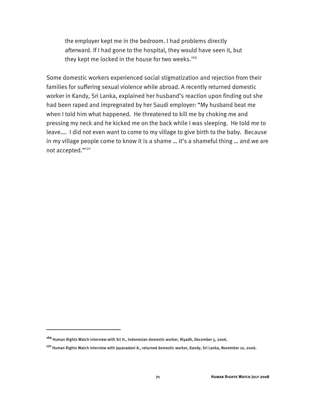the employer kept me in the bedroom. I had problems directly afterward. If I had gone to the hospital, they would have seen it, but they kept me locked in the house for two weeks.<sup>169</sup>

Some domestic workers experienced social stigmatization and rejection from their families for suffering sexual violence while abroad. A recently returned domestic worker in Kandy, Sri Lanka, explained her husband's reaction upon finding out she had been raped and impregnated by her Saudi employer: "My husband beat me when I told him what happened. He threatened to kill me by choking me and pressing my neck and he kicked me on the back while I was sleeping. He told me to leave…. I did not even want to come to my village to give birth to the baby. Because in my village people come to know it is a shame … it's a shameful thing … and we are not accepted."170

**<sup>169</sup>** Human Rights Watch interview with Sri H., Indonesian domestic worker, Riyadh, December 5, 2006.

**<sup>170</sup>** Human Rights Watch interview with Jayanadani A., returned domestic worker, Kandy, Sri Lanka, November 10, 2006.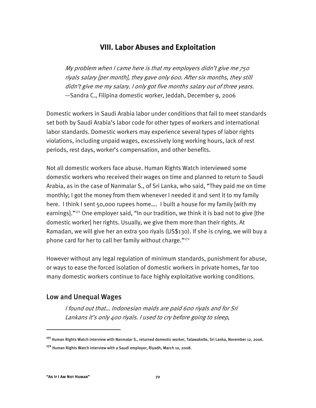# **VIII. Labor Abuses and Exploitation**

My problem when I came here is that my employers didn't give me 750 riyals salary [per month], they gave only 600. After six months, they still didn't give me my salary. I only got five months salary out of three years. —Sandra C., Filipina domestic worker, Jeddah, December 9, 2006

Domestic workers in Saudi Arabia labor under conditions that fail to meet standards set both by Saudi Arabia's labor code for other types of workers and international labor standards. Domestic workers may experience several types of labor rights violations, including unpaid wages, excessively long working hours, lack of rest periods, rest days, worker's compensation, and other benefits.

Not all domestic workers face abuse. Human Rights Watch interviewed some domestic workers who received their wages on time and planned to return to Saudi Arabia, as in the case of Nanmalar S., of Sri Lanka, who said, "They paid me on time monthly; I got the money from them whenever I needed it and sent it to my family here. I think I sent 50,000 rupees home…. I built a house for my family [with my earnings]."<sup>171</sup> One employer said, "In our tradition, we think it is bad not to give [the domestic worker] her rights. Usually, we give them more than their rights. At Ramadan, we will give her an extra 500 riyals (US\$130). If she is crying, we will buy a phone card for her to call her family without charge."<sup>172</sup>

However without any legal regulation of minimum standards, punishment for abuse, or ways to ease the forced isolation of domestic workers in private homes, far too many domestic workers continue to face highly exploitative working conditions.

# Low and Unequal Wages

I found out that… Indonesian maids are paid 600 riyals and for Sri Lankans it's only 400 riyals. I used to cry before going to sleep,

**<sup>171</sup>** Human Rights Watch interview with Nanmalar S., returned domestic worker, Talawakelle, Sri Lanka, November 12, 2006.

**<sup>172</sup>** Human Rights Watch interview with a Saudi employer, Riyadh, March 10, 2008.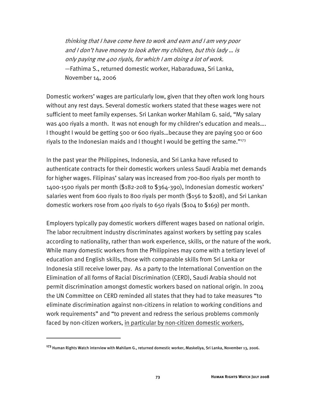thinking that I have come here to work and earn and I am very poor and I don't have money to look after my children, but this lady … is only paying me 400 riyals, for which I am doing a lot of work. —Fathima S., returned domestic worker, Habaraduwa, Sri Lanka, November 14, 2006

Domestic workers' wages are particularly low, given that they often work long hours without any rest days. Several domestic workers stated that these wages were not sufficient to meet family expenses. Sri Lankan worker Mahilam G. said, "My salary was 400 riyals a month. It was not enough for my children's education and meals…. I thought I would be getting 500 or 600 riyals…because they are paying 500 or 600 riyals to the Indonesian maids and I thought I would be getting the same." $173$ 

In the past year the Philippines, Indonesia, and Sri Lanka have refused to authenticate contracts for their domestic workers unless Saudi Arabia met demands for higher wages. Filipinas' salary was increased from 700-800 riyals per month to 1400-1500 riyals per month (\$182-208 to \$364-390), Indonesian domestic workers' salaries went from 600 riyals to 800 riyals per month (\$156 to \$208), and Sri Lankan domestic workers rose from 400 riyals to 650 riyals (\$104 to \$169) per month.

Employers typically pay domestic workers different wages based on national origin. The labor recruitment industry discriminates against workers by setting pay scales according to nationality, rather than work experience, skills, or the nature of the work. While many domestic workers from the Philippines may come with a tertiary level of education and English skills, those with comparable skills from Sri Lanka or Indonesia still receive lower pay. As a party to the International Convention on the Elimination of all forms of Racial Discrimination (CERD), Saudi Arabia should not permit discrimination amongst domestic workers based on national origin. In 2004 the UN Committee on CERD reminded all states that they had to take measures "to eliminate discrimination against non-citizens in relation to working conditions and work requirements" and "to prevent and redress the serious problems commonly faced by non-citizen workers, in particular by non-citizen domestic workers,

-

**<sup>173</sup>** Human Rights Watch interview with Mahilam G., returned domestic worker, Maskeliya, Sri Lanka, November 13, 2006.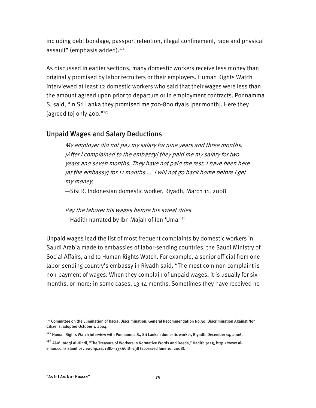including debt bondage, passport retention, illegal confinement, rape and physical assault" (emphasis added).174

As discussed in earlier sections, many domestic workers receive less money than originally promised by labor recruiters or their employers. Human Rights Watch interviewed at least 12 domestic workers who said that their wages were less than the amount agreed upon prior to departure or in employment contracts. Ponnamma S. said, "In Sri Lanka they promised me 700-800 riyals [per month]. Here they [agreed to] only 400."175

## Unpaid Wages and Salary Deductions

My employer did not pay my salary for nine years and three months. [After I complained to the embassy] they paid me my salary for two years and seven months. They have not paid the rest. I have been here [at the embassy] for 11 months.... I will not go back home before I get my money.

—Sisi R. Indonesian domestic worker, Riyadh, March 11, 2008

Pay the laborer his wages before his sweat dries.  $-$ Hadith narrated by Ibn Majah of Ibn 'Umar<sup>176</sup>

Unpaid wages lead the list of most frequent complaints by domestic workers in Saudi Arabia made to embassies of labor-sending countries, the Saudi Ministry of Social Affairs, and to Human Rights Watch. For example, a senior official from one labor-sending country's embassy in Riyadh said, "The most common complaint is non-payment of wages. When they complain of unpaid wages, it is usually for six months, or more; in some cases, 13-14 months. Sometimes they have received no

<sup>174</sup> Committee on the Elimination of Racial Discrimination, General Recommendation No.30: Discrimination Against Non Citizens, adopted October 1, 2004.

**<sup>175</sup>** Human Rights Watch interview with Ponnamma S., Sri Lankan domestic worker, Riyadh, December 14, 2006.

**<sup>176</sup>** Al-Mutaqqi Al-Hindi, "The Treasure of Workers in Normative Words and Deeds," Hadith 9125, http://www.aleman.com/islamlib/viewchp.asp?BID=137&CID=138 (accessed June 10, 2008).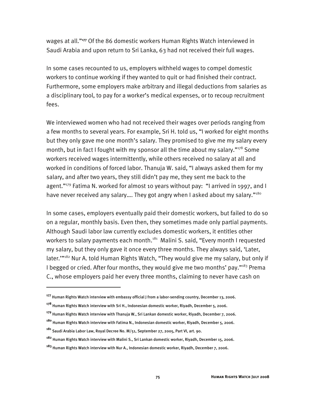wages at all."**<sup>177</sup>** Of the 86 domestic workers Human Rights Watch interviewed in Saudi Arabia and upon return to Sri Lanka, 63 had not received their full wages.

In some cases recounted to us, employers withheld wages to compel domestic workers to continue working if they wanted to quit or had finished their contract. Furthermore, some employers make arbitrary and illegal deductions from salaries as a disciplinary tool, to pay for a worker's medical expenses, or to recoup recruitment fees.

We interviewed women who had not received their wages over periods ranging from a few months to several years. For example, Sri H. told us, "I worked for eight months but they only gave me one month's salary. They promised to give me my salary every month, but in fact I fought with my sponsor all the time about my salary." $178$  Some workers received wages intermittently, while others received no salary at all and worked in conditions of forced labor. Thanuja W. said, "I always asked them for my salary, and after two years, they still didn't pay me, they sent me back to the agent."<sup>179</sup> Fatima N. worked for almost 10 years without pay: "I arrived in 1997, and I have never received any salary.... They got angry when I asked about my salary."<sup>180</sup>

In some cases, employers eventually paid their domestic workers, but failed to do so on a regular, monthly basis. Even then, they sometimes made only partial payments. Although Saudi labor law currently excludes domestic workers, it entitles other workers to salary payments each month.<sup>181</sup> Malini S. said, "Every month I requested my salary, but they only gave it once every three months. They always said, 'Later, later."<sup>182</sup> Nur A, told Human Rights Watch, "They would give me my salary, but only if I begged or cried. After four months, they would give me two months' pay."<sup>183</sup> Prema C., whose employers paid her every three months, claiming to never have cash on

-

**<sup>177</sup>** Human Rights Watch interview with embassy official J from a labor-sending country, December 13, 2006.

**<sup>178</sup>** Human Rights Watch interview with Sri H., Indonesian domestic worker, Riyadh, December 5, 2006.

**<sup>179</sup>** Human Rights Watch interview with Thanuja W., Sri Lankan domestic worker, Riyadh, December 7, 2006.

**<sup>180</sup>** Human Rights Watch interview with Fatima N., Indonesian domestic worker, Riyadh, December 5, 2006.

**<sup>181</sup>** Saudi Arabia Labor Law, Royal Decree No. M/51, September 27, 2005, Part VI, art. 90.

**<sup>182</sup>** Human Rights Watch interview with Malini S., Sri Lankan domestic worker, Riyadh, December 15, 2006.

**<sup>183</sup>** Human Rights Watch interview with Nur A., Indonesian domestic worker, Riyadh, December 7, 2006.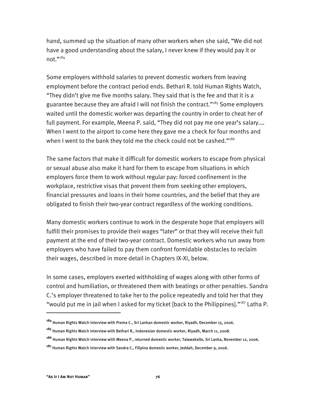hand, summed up the situation of many other workers when she said, "We did not have a good understanding about the salary, I never knew if they would pay it or not."184

Some employers withhold salaries to prevent domestic workers from leaving employment before the contract period ends. Bethari R. told Human Rights Watch, "They didn't give me five months salary. They said that is the fee and that it is a guarantee because they are afraid I will not finish the contract."<sup>185</sup> Some employers waited until the domestic worker was departing the country in order to cheat her of full payment. For example, Meena P. said, "They did not pay me one year's salary.… When I went to the airport to come here they gave me a check for four months and when I went to the bank they told me the check could not be cashed."186

The same factors that make it difficult for domestic workers to escape from physical or sexual abuse also make it hard for them to escape from situations in which employers force them to work without regular pay: forced confinement in the workplace, restrictive visas that prevent them from seeking other employers, financial pressures and loans in their home countries, and the belief that they are obligated to finish their two-year contract regardless of the working conditions.

Many domestic workers continue to work in the desperate hope that employers will fulfill their promises to provide their wages "later" or that they will receive their full payment at the end of their two-year contract. Domestic workers who run away from employers who have failed to pay them confront formidable obstacles to reclaim their wages, described in more detail in Chapters IX-XI, below.

In some cases, employers exerted withholding of wages along with other forms of control and humiliation, or threatened them with beatings or other penalties. Sandra C.'s employer threatened to take her to the police repeatedly and told her that they "would put me in jail when I asked for my ticket [back to the Philippines]."<sup>187</sup> Latha P.

**<sup>184</sup>** Human Rights Watch interview with Prema C., Sri Lankan domestic worker, Riyadh, December 15, 2006.

**<sup>185</sup>** Human Rights Watch interview with Bethari R., Indonesian domestic worker, Riyadh, March 11, 2008.

**<sup>186</sup>** Human Rights Watch interview with Meena P., returned domestic worker, Talawakelle, Sri Lanka, November 12, 2006.

**<sup>187</sup>** Human Rights Watch interview with Sandra C., Filipina domestic worker, Jeddah, December 9, 2006.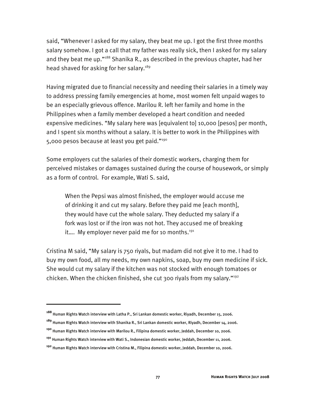said, "Whenever I asked for my salary, they beat me up. I got the first three months salary somehow. I got a call that my father was really sick, then I asked for my salary and they beat me up."<sup>188</sup> Shanika R., as described in the previous chapter, had her head shaved for asking for her salary.<sup>189</sup>

Having migrated due to financial necessity and needing their salaries in a timely way to address pressing family emergencies at home, most women felt unpaid wages to be an especially grievous offence. Marilou R. left her family and home in the Philippines when a family member developed a heart condition and needed expensive medicines. "My salary here was [equivalent to] 10,000 [pesos] per month, and I spent six months without a salary. It is better to work in the Philippines with 5,000 pesos because at least you get paid."190

Some employers cut the salaries of their domestic workers, charging them for perceived mistakes or damages sustained during the course of housework, or simply as a form of control. For example, Wati S. said,

When the Pepsi was almost finished, the employer would accuse me of drinking it and cut my salary. Before they paid me [each month], they would have cut the whole salary. They deducted my salary if a fork was lost or if the iron was not hot. They accused me of breaking it.... My employer never paid me for 10 months.<sup>191</sup>

Cristina M said, "My salary is 750 riyals, but madam did not give it to me. I had to buy my own food, all my needs, my own napkins, soap, buy my own medicine if sick. She would cut my salary if the kitchen was not stocked with enough tomatoes or chicken. When the chicken finished, she cut 300 riyals from my salary."<sup>192</sup>

**<sup>188</sup>** Human Rights Watch interview with Latha P., Sri Lankan domestic worker, Riyadh, December 15, 2006.

**<sup>189</sup>** Human Rights Watch interview with Shanika R., Sri Lankan domestic worker, Riyadh, December 14, 2006.

**<sup>190</sup>** Human Rights Watch interview with Marilou R., Filipina domestic worker, Jeddah, December 10, 2006.

**<sup>191</sup>** Human Rights Watch interview with Wati S., Indonesian domestic worker, Jeddah, December 11, 2006.

**<sup>192</sup>** Human Rights Watch interview with Cristina M., Filipina domestic worker, Jeddah, December 10, 2006.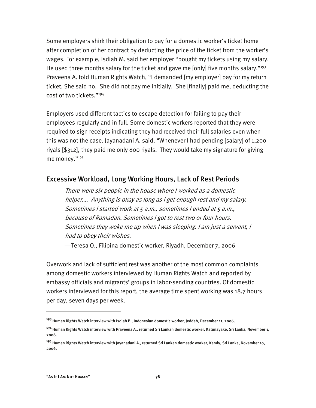Some employers shirk their obligation to pay for a domestic worker's ticket home after completion of her contract by deducting the price of the ticket from the worker's wages. For example, Isdiah M. said her employer "bought my tickets using my salary. He used three months salary for the ticket and gave me [only] five months salary."<sup>193</sup> Praveena A. told Human Rights Watch, "I demanded [my employer] pay for my return ticket. She said no. She did not pay me initially. She [finally] paid me, deducting the cost of two tickets."194

Employers used different tactics to escape detection for failing to pay their employees regularly and in full. Some domestic workers reported that they were required to sign receipts indicating they had received their full salaries even when this was not the case. Jayanadani A. said, "Whenever I had pending [salary] of 1,200 riyals [\$312], they paid me only 800 riyals. They would take my signature for giving me money."195

## Excessive Workload, Long Working Hours, Lack of Rest Periods

There were six people in the house where I worked as a domestic helper…. Anything is okay as long as I get enough rest and my salary. Sometimes I started work at 5 a.m., sometimes I ended at 5 a.m., because of Ramadan. Sometimes I got to rest two or four hours. Sometimes they woke me up when I was sleeping. I am just a servant, I had to obey their wishes.

— Teresa O., Filipina domestic worker, Riyadh, December 7, 2006

Overwork and lack of sufficient rest was another of the most common complaints among domestic workers interviewed by Human Rights Watch and reported by embassy officials and migrants' groups in labor-sending countries. Of domestic workers interviewed for this report, the average time spent working was 18.7 hours per day, seven days per week.

**<sup>193</sup>** Human Rights Watch interview with Isdiah B., Indonesian domestic worker, Jeddah, December 11, 2006.

**<sup>194</sup>** Human Rights Watch interview with Praveena A., returned Sri Lankan domestic worker, Katunayake, Sri Lanka, November 1, 2006.

**<sup>195</sup>** Human Rights Watch interview with Jayanadani A., returned Sri Lankan domestic worker, Kandy, Sri Lanka, November 10, 2006.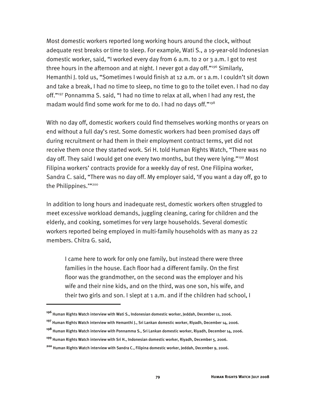Most domestic workers reported long working hours around the clock, without adequate rest breaks or time to sleep. For example, Wati S., a 19-year-old Indonesian domestic worker, said, "I worked every day from 6 a.m. to 2 or 3 a.m. I got to rest three hours in the afternoon and at night. I never got a day off."<sup>196</sup> Similarly. Hemanthi J. told us, "Sometimes I would finish at 12 a.m. or 1 a.m. I couldn't sit down and take a break, I had no time to sleep, no time to go to the toilet even. I had no day off."197 Ponnamma S. said, "I had no time to relax at all, when I had any rest, the madam would find some work for me to do. I had no days off."<sup>198</sup>

With no day off, domestic workers could find themselves working months or years on end without a full day's rest. Some domestic workers had been promised days off during recruitment or had them in their employment contract terms, yet did not receive them once they started work. Sri H. told Human Rights Watch, "There was no day off. They said I would get one every two months, but they were lying."<sup>199</sup> Most Filipina workers' contracts provide for a weekly day of rest. One Filipina worker, Sandra C. said, "There was no day off. My employer said, 'If you want a day off, go to the Philippines.""<sup>200</sup>

In addition to long hours and inadequate rest, domestic workers often struggled to meet excessive workload demands, juggling cleaning, caring for children and the elderly, and cooking, sometimes for very large households. Several domestic workers reported being employed in multi-family households with as many as 22 members. Chitra G. said,

I came here to work for only one family, but instead there were three families in the house. Each floor had a different family. On the first floor was the grandmother, on the second was the employer and his wife and their nine kids, and on the third, was one son, his wife, and their two girls and son. I slept at 1 a.m. and if the children had school, I

**<sup>196</sup>** Human Rights Watch interview with Wati S., Indonesian domestic worker, Jeddah, December 11, 2006.

**<sup>197</sup>** Human Rights Watch interview with Hemanthi J., Sri Lankan domestic worker, Riyadh, December 14, 2006.

**<sup>198</sup>** Human Rights Watch interview with Ponnamma S., Sri Lankan domestic worker, Riyadh, December 14, 2006.

**<sup>199</sup>** Human Rights Watch interview with Sri H., Indonesian domestic worker, Riyadh, December 5, 2006.

**<sup>200</sup>** Human Rights Watch interview with Sandra C., Filipina domestic worker, Jeddah, December 9, 2006.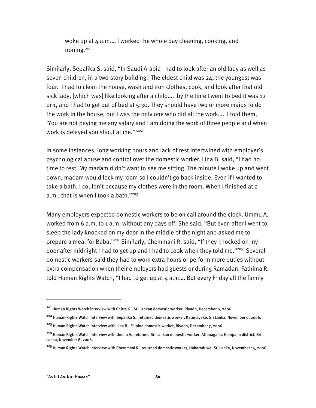woke up at 4 a.m.... I worked the whole day cleaning, cooking, and ironing.<sup>201</sup>

Similarly, Sepalika S. said, "In Saudi Arabia I had to look after an old lady as well as seven children, in a two-story building. The eldest child was 24, the youngest was four. I had to clean the house, wash and iron clothes, cook, and look after that old sick lady, [which was] like looking after a child…. by the time I went to bed it was 12 or 1, and I had to get out of bed at 5:30. They should have two or more maids to do the work in the house, but I was the only one who did all the work…. I told them, 'You are not paying me any salary and I am doing the work of three people and when work is delayed you shout at me.""<sup>202</sup>

In some instances, long working hours and lack of rest intertwined with employer's psychological abuse and control over the domestic worker. Lina B. said, "I had no time to rest. My madam didn't want to see me sitting. The minute I woke up and went down, madam would lock my room so I couldn't go back inside. Even if I wanted to take a bath, I couldn't because my clothes were in the room. When I finished at 2 a.m., that is when I took a bath."203

Many employers expected domestic workers to be on call around the clock. Ummu A. worked from 6 a.m. to 1 a.m. without any days off. She said, "But even after I went to sleep the lady knocked on my door in the middle of the night and asked me to prepare a meal for Baba."204 Similarly, Chemmani R. said, "If they knocked on my door after midnight I had to get up and I had to cook when they told me."<sup>205</sup> Several domestic workers said they had to work extra hours or perform more duties without extra compensation when their employers had guests or during Ramadan. Fathima R. told Human Rights Watch, "I had to get up at  $4$  a.m.... But every Friday all the family

**<sup>201</sup>** Human Rights Watch interview with Chitra G., Sri Lankan domestic worker, Riyadh, December 6, 2006.

**<sup>202</sup>** Human Rights Watch interview with Sepalika S., returned domestic worker, Katunayake, Sri Lanka, November 9, 2006.

**<sup>203</sup>** Human Rights Watch interview with Lina B., Filipina domestic worker, Riyadh, December 7, 2006.

**<sup>204</sup>** Human Rights Watch interview with Ummu A., returned Sri Lankan domestic worker, Attanagalla, Gampaha district, Sri Lanka, November 8, 2006.

**<sup>205</sup>** Human Rights Watch interview with Chemmani R., returned domestic worker, Habaraduwa, Sri Lanka, November 14, 2006.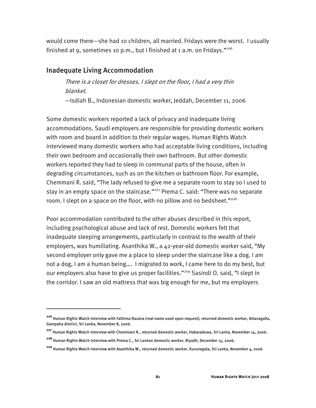would come there—she had 10 children, all married. Fridays were the worst. I usually finished at 9, sometimes 10 p.m., but I finished at 1 a.m. on Fridays."206

## Inadequate Living Accommodation

-

There is a closet for dresses. I slept on the floor, I had a very thin blanket.

—Isdiah B., Indonesian domestic worker, Jeddah, December 11, 2006

Some domestic workers reported a lack of privacy and inadequate living accommodations. Saudi employers are responsible for providing domestic workers with room and board in addition to their regular wages. Human Rights Watch interviewed many domestic workers who had acceptable living conditions, including their own bedroom and occasionally their own bathroom. But other domestic workers reported they had to sleep in communal parts of the house, often in degrading circumstances, such as on the kitchen or bathroom floor. For example, Chemmani R. said, "The lady refused to give me a separate room to stay so I used to stay in an empty space on the staircase."<sup>207</sup> Prema C. said: "There was no separate room. I slept on a space on the floor, with no pillow and no bedsheet."<sup>208</sup>

Poor accommodation contributed to the other abuses described in this report, including psychological abuse and lack of rest. Domestic workers felt that inadequate sleeping arrangements, particularly in contrast to the wealth of their employers, was humiliating. Asanthika W., a 42-year-old domestic worker said, "My second employer only gave me a place to sleep under the staircase like a dog. I am not a dog, I am a human being…. I migrated to work, I came here to do my best, but our employers also have to give us proper facilities."<sup>209</sup> Sasindi O. said, "I slept in the corridor. I saw an old mattress that was big enough for me, but my employers

**<sup>206</sup>** Human Rights Watch interview with Fathima Razana (real name used upon request), returned domestic worker, Attanagalla, Gampaha district, Sri Lanka, November 8, 2006.

**<sup>207</sup>** Human Rights Watch interview with Chemmani R., returned domestic worker, Habaraduwa, Sri Lanka, November 14, 2006. **<sup>208</sup>** Human Rights Watch interview with Prema C., Sri Lankan domestic worker, Riyadh, December 15, 2006.

**<sup>209</sup>** Human Rights Watch interview with Asanthika W., returned domestic worker, Kurunegala, Sri Lanka, November 4, 2006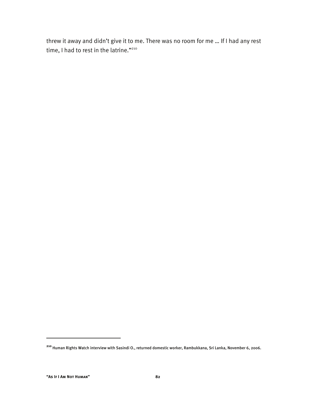threw it away and didn't give it to me. There was no room for me … If I had any rest time, I had to rest in the latrine."<sup>210</sup>

-

**<sup>210</sup>** Human Rights Watch interview with Sasindi O., returned domestic worker, Rambukkana, Sri Lanka, November 6, 2006.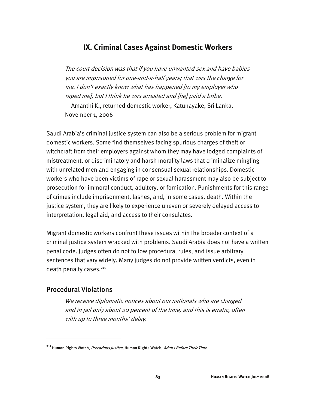# **IX. Criminal Cases Against Domestic Workers**

The court decision was that if you have unwanted sex and have babies you are imprisoned for one-and-a-half years; that was the charge for me. I don't exactly know what has happened [to my employer who raped me], but I think he was arrested and [he] paid a bribe. -Amanthi K., returned domestic worker, Katunayake, Sri Lanka, November 1, 2006

Saudi Arabia's criminal justice system can also be a serious problem for migrant domestic workers. Some find themselves facing spurious charges of theft or witchcraft from their employers against whom they may have lodged complaints of mistreatment, or discriminatory and harsh morality laws that criminalize mingling with unrelated men and engaging in consensual sexual relationships. Domestic workers who have been victims of rape or sexual harassment may also be subject to prosecution for immoral conduct, adultery, or fornication. Punishments for this range of crimes include imprisonment, lashes, and, in some cases, death. Within the justice system, they are likely to experience uneven or severely delayed access to interpretation, legal aid, and access to their consulates.

Migrant domestic workers confront these issues within the broader context of a criminal justice system wracked with problems. Saudi Arabia does not have a written penal code. Judges often do not follow procedural rules, and issue arbitrary sentences that vary widely. Many judges do not provide written verdicts, even in death penalty cases.<sup>211</sup>

# Procedural Violations

I

We receive diplomatic notices about our nationals who are charged and in jail only about 20 percent of the time, and this is erratic, often with up to three months' delay.

**<sup>211</sup>** Human Rights Watch, Precarious Justice; Human Rights Watch, Adults Before Their Time.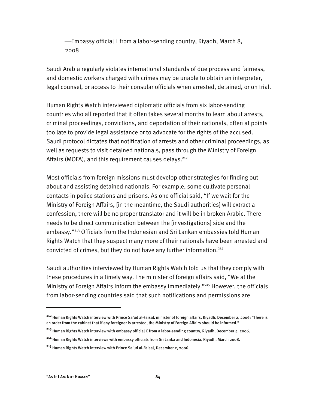— Embassy official L from a labor-sending country, Riyadh, March 8, 2008

Saudi Arabia regularly violates international standards of due process and fairness, and domestic workers charged with crimes may be unable to obtain an interpreter, legal counsel, or access to their consular officials when arrested, detained, or on trial.

Human Rights Watch interviewed diplomatic officials from six labor-sending countries who all reported that it often takes several months to learn about arrests, criminal proceedings, convictions, and deportation of their nationals, often at points too late to provide legal assistance or to advocate for the rights of the accused. Saudi protocol dictates that notification of arrests and other criminal proceedings, as well as requests to visit detained nationals, pass through the Ministry of Foreign Affairs (MOFA), and this requirement causes delays.<sup>212</sup>

Most officials from foreign missions must develop other strategies for finding out about and assisting detained nationals. For example, some cultivate personal contacts in police stations and prisons. As one official said, "If we wait for the Ministry of Foreign Affairs, [in the meantime, the Saudi authorities] will extract a confession, there will be no proper translator and it will be in broken Arabic. There needs to be direct communication between the [investigations] side and the embassy."213 Officials from the Indonesian and Sri Lankan embassies told Human Rights Watch that they suspect many more of their nationals have been arrested and convicted of crimes, but they do not have any further information.<sup>214</sup>

Saudi authorities interviewed by Human Rights Watch told us that they comply with these procedures in a timely way. The minister of foreign affairs said, "We at the Ministry of Foreign Affairs inform the embassy immediately."<sup>215</sup> However, the officials from labor-sending countries said that such notifications and permissions are

**<sup>213</sup>** Human Rights Watch interview with embassy official C from a labor-sending country, Riyadh, December 4, 2006.

**"As If I Am Not Human" 84**

**<sup>212</sup>** Human Rights Watch interview with Prince Sa'ud al-Faisal, minister of foreign affairs, Riyadh, December 2, 2006: "There is an order from the cabinet that if any foreigner is arrested, the Ministry of Foreign Affairs should be informed."

**<sup>214</sup>** Human Rights Watch interviews with embassy officials from Sri Lanka and Indonesia, Riyadh, March 2008.

**<sup>215</sup>** Human Rights Watch interview with Prince Sa'ud al-Faisal, December 2, 2006.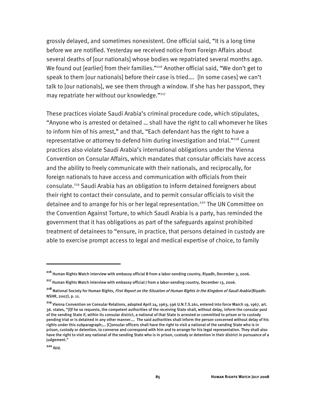grossly delayed, and sometimes nonexistent. One official said, "It is a long time before we are notified. Yesterday we received notice from Foreign Affairs about several deaths of [our nationals] whose bodies we repatriated several months ago. We found out [earlier] from their families."<sup>216</sup> Another official said, "We don't get to speak to them [our nationals] before their case is tried…. [In some cases] we can't talk to [our nationals], we see them through a window. If she has her passport, they may repatriate her without our knowledge."<sup>217</sup>

These practices violate Saudi Arabia's criminal procedure code, which stipulates, "Anyone who is arrested or detained … shall have the right to call whomever he likes to inform him of his arrest," and that, "Each defendant has the right to have a representative or attorney to defend him during investigation and trial."<sup>218</sup> Current practices also violate Saudi Arabia's international obligations under the Vienna Convention on Consular Affairs, which mandates that consular officials have access and the ability to freely communicate with their nationals, and reciprocally, for foreign nationals to have access and communication with officials from their consulate.219 Saudi Arabia has an obligation to inform detained foreigners about their right to contact their consulate, and to permit consular officials to visit the detainee and to arrange for his or her legal representation.<sup>220</sup> The UN Committee on the Convention Against Torture, to which Saudi Arabia is a party, has reminded the government that it has obligations as part of the safeguards against prohibited treatment of detainees to "ensure, in practice, that persons detained in custody are able to exercise prompt access to legal and medical expertise of choice, to family

**<sup>216</sup>** Human Rights Watch interview with embassy official B from a labor-sending country, Riyadh, December 3, 2006.

**<sup>217</sup>** Human Rights Watch interview with embassy official J from a labor-sending country, December 13, 2006.

**<sup>218</sup>** National Society for Human Rights, First Report on the Situation of Human Rights in the Kingdom of Saudi Arabia (Riyadh: NSHR, 2007), p. 11.

**<sup>219</sup>** Vienna Convention on Consular Relations, adopted April 24, 1963, 596 U.N.T.S.261, entered into force March 19, 1967, art. 36. states, "[I]f he so requests, the competent authorities of the receiving State shall, without delay, inform the consular post of the sending State if, within its consular district, a national of that State is arrested or committed to prison or to custody pending trial or is detained in any other manner…. The said authorities shall inform the person concerned without delay of his rights under this subparagraph;… [C]onsular officers shall have the right to visit a national of the sending State who is in prison, custody or detention, to converse and correspond with him and to arrange for his legal representation. They shall also have the right to visit any national of the sending State who is in prison, custody or detention in their district in pursuance of a judgement."

**<sup>220</sup>** Ibid.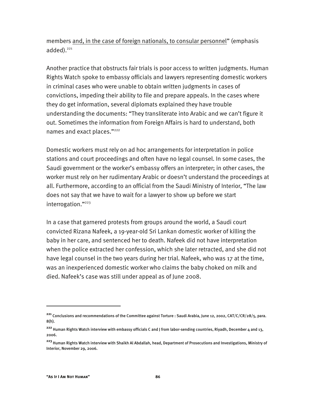members and, in the case of foreign nationals, to consular personnel" (emphasis  $added$ ). $221$ 

Another practice that obstructs fair trials is poor access to written judgments. Human Rights Watch spoke to embassy officials and lawyers representing domestic workers in criminal cases who were unable to obtain written judgments in cases of convictions, impeding their ability to file and prepare appeals. In the cases where they do get information, several diplomats explained they have trouble understanding the documents: "They transliterate into Arabic and we can't figure it out. Sometimes the information from Foreign Affairs is hard to understand, both names and exact places."<sup>222</sup>

Domestic workers must rely on ad hoc arrangements for interpretation in police stations and court proceedings and often have no legal counsel. In some cases, the Saudi government or the worker's embassy offers an interpreter; in other cases, the worker must rely on her rudimentary Arabic or doesn't understand the proceedings at all. Furthermore, according to an official from the Saudi Ministry of Interior, "The law does not say that we have to wait for a lawyer to show up before we start interrogation."<sup>223</sup>

In a case that garnered protests from groups around the world, a Saudi court convicted Rizana Nafeek, a 19-year-old Sri Lankan domestic worker of killing the baby in her care, and sentenced her to death. Nafeek did not have interpretation when the police extracted her confession, which she later retracted, and she did not have legal counsel in the two years during her trial. Nafeek, who was 17 at the time, was an inexperienced domestic worker who claims the baby choked on milk and died. Nafeek's case was still under appeal as of June 2008.

**<sup>221</sup>** Conclusions and recommendations of the Committee against Torture : Saudi Arabia, June 12, 2002, CAT/C/CR/28/5, para. 8(h).

**<sup>222</sup>** Human Rights Watch interview with embassy officials C and J from labor-sending countries, Riyadh, December 4 and 13, 2006.

**<sup>223</sup>** Human Rights Watch interview with Shaikh Al Abdallah, head, Department of Prosecutions and Investigations, Ministry of Interior, November 29, 2006.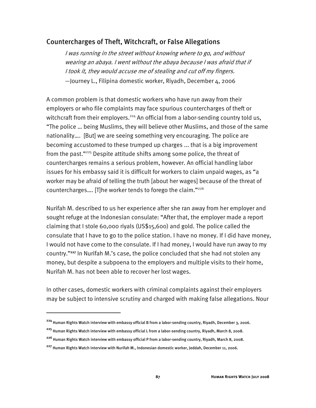## Countercharges of Theft, Witchcraft, or False Allegations

I was running in the street without knowing where to go, and without wearing an abaya. I went without the abaya because I was afraid that if I took it, they would accuse me of stealing and cut off my fingers. —Journey L., Filipina domestic worker, Riyadh, December 4, 2006

A common problem is that domestic workers who have run away from their employers or who file complaints may face spurious countercharges of theft or witchcraft from their employers.<sup>224</sup> An official from a labor-sending country told us, "The police … being Muslims, they will believe other Muslims, and those of the same nationality…. [But] we are seeing something very encouraging. The police are becoming accustomed to these trumped up charges ... that is a big improvement from the past."225 Despite attitude shifts among some police, the threat of countercharges remains a serious problem, however. An official handling labor issues for his embassy said it is difficult for workers to claim unpaid wages, as "a worker may be afraid of telling the truth [about her wages] because of the threat of countercharges…. [T]he worker tends to forego the claim."226

Nurifah M. described to us her experience after she ran away from her employer and sought refuge at the Indonesian consulate: "After that, the employer made a report claiming that I stole 60,000 riyals (US\$15,600) and gold. The police called the consulate that I have to go to the police station. I have no money. If I did have money, I would not have come to the consulate. If I had money, I would have run away to my country."**<sup>227</sup>** In Nurifah M.'s case, the police concluded that she had not stolen any money, but despite a subpoena to the employers and multiple visits to their home, Nurifah M. has not been able to recover her lost wages.

In other cases, domestic workers with criminal complaints against their employers may be subject to intensive scrutiny and charged with making false allegations. Nour

**<sup>224</sup>** Human Rights Watch interview with embassy official B from a labor-sending country, Riyadh, December 3, 2006.

**<sup>225</sup>** Human Rights Watch interview with embassy official L from a labor-sending country, Riyadh, March 8, 2008.

**<sup>226</sup>** Human Rights Watch interview with embassy official P from a labor-sending country, Riyadh, March 8, 2008.

**<sup>227</sup>** Human Rights Watch interview with Nurifah M., Indonesian domestic worker, Jeddah, December 11, 2006.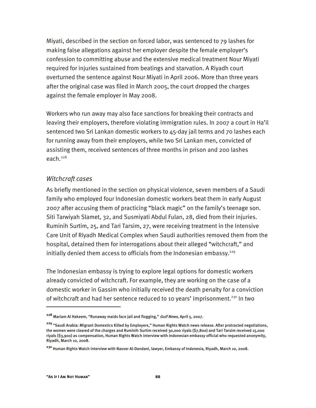Miyati, described in the section on forced labor, was sentenced to 79 lashes for making false allegations against her employer despite the female employer's confession to committing abuse and the extensive medical treatment Nour Miyati required for injuries sustained from beatings and starvation. A Riyadh court overturned the sentence against Nour Miyati in April 2006. More than three years after the original case was filed in March 2005, the court dropped the charges against the female employer in May 2008.

Workers who run away may also face sanctions for breaking their contracts and leaving their employers, therefore violating immigration rules. In 2007 a court in Ha'il sentenced two Sri Lankan domestic workers to 45-day jail terms and 70 lashes each for running away from their employers, while two Sri Lankan men, convicted of assisting them, received sentences of three months in prison and 200 lashes each.<sup>228</sup>

#### *Witchcraft cases*

As briefly mentioned in the section on physical violence, seven members of a Saudi family who employed four Indonesian domestic workers beat them in early August 2007 after accusing them of practicing "black magic" on the family's teenage son. Siti Tarwiyah Slamet, 32, and Susmiyati Abdul Fulan, 28, died from their injuries. Ruminih Surtim, 25, and Tari Tarsim, 27, were receiving treatment in the Intensive Care Unit of Riyadh Medical Complex when Saudi authorities removed them from the hospital, detained them for interrogations about their alleged "witchcraft," and initially denied them access to officials from the Indonesian embassy.<sup>229</sup>

The Indonesian embassy is trying to explore legal options for domestic workers already convicted of witchcraft. For example, they are working on the case of a domestic worker in Gassim who initially received the death penalty for a conviction of witchcraft and had her sentence reduced to 10 years' imprisonment.<sup>230</sup> In two

**<sup>228</sup>** Mariam Al Hakeem, "Runaway maids face jail and flogging," Gulf News, April 5, 2007.

**<sup>229</sup>** "Saudi Arabia: Migrant Domestics Killed by Employers," Human Rights Watch news release. After protracted negotiations, the women were cleared of the charges and Ruminih Surtim received 30,000 riyals (\$7,800) and Tari Tarsim received 15,000 riyals (\$3,900) as compensation, Human Rights Watch interview with Indonesian embassy official who requested anonymity, Riyadh, March 10, 2008.

**<sup>230</sup>** Human Rights Watch interview with Nasser Al-Dandani, lawyer, Embassy of Indonesia, Riyadh, March 10, 2008.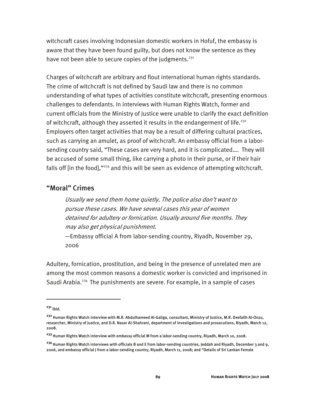witchcraft cases involving Indonesian domestic workers in Hofuf, the embassy is aware that they have been found guilty, but does not know the sentence as they have not been able to secure copies of the judgments.<sup>231</sup>

Charges of witchcraft are arbitrary and flout international human rights standards. The crime of witchcraft is not defined by Saudi law and there is no common understanding of what types of activities constitute witchcraft, presenting enormous challenges to defendants. In interviews with Human Rights Watch, former and current officials from the Ministry of Justice were unable to clarify the exact definition of witchcraft, although they asserted it results in the endangerment of life.<sup>232</sup> Employers often target activities that may be a result of differing cultural practices, such as carrying an amulet, as proof of witchcraft. An embassy official from a laborsending country said, "These cases are very hard, and it is complicated…. They will be accused of some small thing, like carrying a photo in their purse, or if their hair falls off [in the food],"<sup>233</sup> and this will be seen as evidence of attempting witchcraft.

### "Moral" Crimes

Usually we send them home quietly. The police also don't want to pursue these cases. We have several cases this year of women detained for adultery or fornication. Usually around five months. They may also get physical punishment.

—Embassy official A from labor-sending country, Riyadh, November 29, 2006

Adultery, fornication, prostitution, and being in the presence of unrelated men are among the most common reasons a domestic worker is convicted and imprisoned in Saudi Arabia.<sup>234</sup> The punishments are severe. For example, in a sample of cases

**<sup>231</sup>** Ibid.

**<sup>232</sup>** Human Rights Watch interview with M.R. Abdulhameed Al-Galiga, consultant, Ministry of Justice, M.R. Deefallh Al-Onzu, researcher, Ministry of Justice, and D.R. Naser Al-Shahrani, department of investigations and prosecutions, Riyadh, March 12, 2008.

**<sup>233</sup>** Human Rights Watch interview with embassy official M from a labor-sending country, Riyadh, March 10, 2008.

**<sup>234</sup>** Human Rights Watch interviews with officials B and E from labor-sending countries, Jeddah and Riyadh, December 3 and 9, 2006, and embassy official J from a labor-sending country, Riyadh, March 11, 2008; and "Details of Sri Lankan Female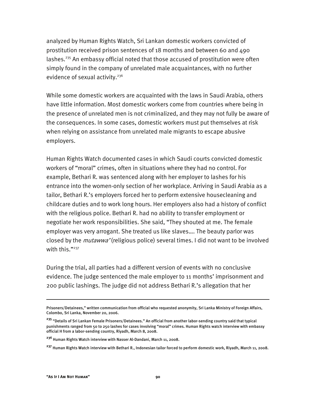analyzed by Human Rights Watch, Sri Lankan domestic workers convicted of prostitution received prison sentences of 18 months and between 60 and 490 lashes.<sup>235</sup> An embassy official noted that those accused of prostitution were often simply found in the company of unrelated male acquaintances, with no further evidence of sexual activity.<sup>236</sup>

While some domestic workers are acquainted with the laws in Saudi Arabia, others have little information. Most domestic workers come from countries where being in the presence of unrelated men is not criminalized, and they may not fully be aware of the consequences. In some cases, domestic workers must put themselves at risk when relying on assistance from unrelated male migrants to escape abusive employers.

Human Rights Watch documented cases in which Saudi courts convicted domestic workers of "moral" crimes, often in situations where they had no control. For example, Bethari R. was sentenced along with her employer to lashes for his entrance into the women-only section of her workplace. Arriving in Saudi Arabia as a tailor, Bethari R.'s employers forced her to perform extensive housecleaning and childcare duties and to work long hours. Her employers also had a history of conflict with the religious police. Bethari R. had no ability to transfer employment or negotiate her work responsibilities. She said, "They shouted at me. The female employer was very arrogant. She treated us like slaves…. The beauty parlor was closed by the *mutawwa'* (religious police) several times. I did not want to be involved with this."<sup>237</sup>

During the trial, all parties had a different version of events with no conclusive evidence. The judge sentenced the male employer to 11 months' imprisonment and 200 public lashings. The judge did not address Bethari R.'s allegation that her

**<sup>236</sup>** Human Rights Watch interview with Nasser Al-Dandani, March 11, 2008.

**<sup>237</sup>** Human Rights Watch interview with Bethari R., Indonesian tailor forced to perform domestic work, Riyadh, March 11, 2008.

Prisoners/Detainees," written communication from official who requested anonymity, Sri Lanka Ministry of Foreign Affairs, Colombo, Sri Lanka, November 20, 2006.

**<sup>235</sup>** "Details of Sri Lankan Female Prisoners/Detainees." An official from another labor-sending country said that typical punishments ranged from 50 to 250 lashes for cases involving "moral" crimes. Human Rights watch interview with embassy official H from a labor-sending country, Riyadh, March 8, 2008.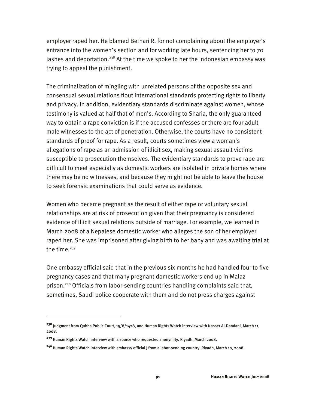employer raped her. He blamed Bethari R. for not complaining about the employer's entrance into the women's section and for working late hours, sentencing her to 70 lashes and deportation.<sup>238</sup> At the time we spoke to her the Indonesian embassy was trying to appeal the punishment.

The criminalization of mingling with unrelated persons of the opposite sex and consensual sexual relations flout international standards protecting rights to liberty and privacy. In addition, evidentiary standards discriminate against women, whose testimony is valued at half that of men's. According to Sharia, the only guaranteed way to obtain a rape conviction is if the accused confesses or there are four adult male witnesses to the act of penetration. Otherwise, the courts have no consistent standards of proof for rape. As a result, courts sometimes view a woman's allegations of rape as an admission of illicit sex, making sexual assault victims susceptible to prosecution themselves. The evidentiary standards to prove rape are difficult to meet especially as domestic workers are isolated in private homes where there may be no witnesses, and because they might not be able to leave the house to seek forensic examinations that could serve as evidence.

Women who became pregnant as the result of either rape or voluntary sexual relationships are at risk of prosecution given that their pregnancy is considered evidence of illicit sexual relations outside of marriage. For example, we learned in March 2008 of a Nepalese domestic worker who alleges the son of her employer raped her. She was imprisoned after giving birth to her baby and was awaiting trial at the time. $239$ 

One embassy official said that in the previous six months he had handled four to five pregnancy cases and that many pregnant domestic workers end up in Malaz prison.<sup>240</sup> Officials from labor-sending countries handling complaints said that, sometimes, Saudi police cooperate with them and do not press charges against

**<sup>238</sup>** Judgment from Qubba Public Court, 15/8/1428, and Human Rights Watch interview with Nasser Al-Dandani, March 11, 2008.

**<sup>239</sup>** Human Rights Watch interview with a source who requested anonymity, Riyadh, March 2008.

**<sup>240</sup>** Human Rights Watch interview with embassy official J from a labor-sending country, Riyadh, March 10, 2008.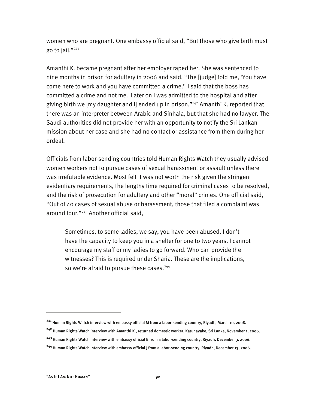women who are pregnant. One embassy official said, "But those who give birth must go to jail."241

Amanthi K. became pregnant after her employer raped her. She was sentenced to nine months in prison for adultery in 2006 and said, "The [judge] told me, 'You have come here to work and you have committed a crime.' I said that the boss has committed a crime and not me. Later on I was admitted to the hospital and after giving birth we [my daughter and I] ended up in prison."<sup>242</sup> Amanthi K. reported that there was an interpreter between Arabic and Sinhala, but that she had no lawyer. The Saudi authorities did not provide her with an opportunity to notify the Sri Lankan mission about her case and she had no contact or assistance from them during her ordeal.

Officials from labor-sending countries told Human Rights Watch they usually advised women workers not to pursue cases of sexual harassment or assault unless there was irrefutable evidence. Most felt it was not worth the risk given the stringent evidentiary requirements, the lengthy time required for criminal cases to be resolved, and the risk of prosecution for adultery and other "moral" crimes. One official said, "Out of 40 cases of sexual abuse or harassment, those that filed a complaint was around four."243 Another official said,

Sometimes, to some ladies, we say, you have been abused, I don't have the capacity to keep you in a shelter for one to two years. I cannot encourage my staff or my ladies to go forward. Who can provide the witnesses? This is required under Sharia. These are the implications, so we're afraid to pursue these cases.<sup>244</sup>

- **<sup>242</sup>** Human Rights Watch interview with Amanthi K., returned domestic worker, Katunayake, Sri Lanka, November 1, 2006.
- **<sup>243</sup>** Human Rights Watch interview with embassy official B from a labor-sending country, Riyadh, December 3, 2006.
- **<sup>244</sup>** Human Rights Watch interview with embassy official J from a labor-sending country, Riyadh, December 13, 2006.

**<sup>241</sup>** Human Rights Watch interview with embassy official M from a labor-sending country, Riyadh, March 10, 2008.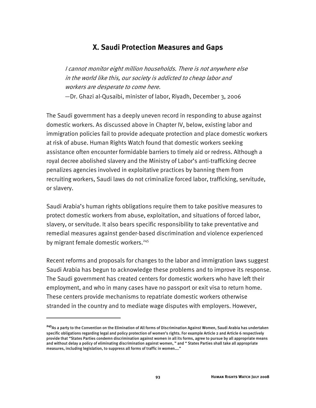# **X. Saudi Protection Measures and Gaps**

I cannot monitor eight million households. There is not anywhere else in the world like this, our society is addicted to cheap labor and workers are desperate to come here.

—Dr. Ghazi al-Qusaibi, minister of labor, Riyadh, December 3, 2006

The Saudi government has a deeply uneven record in responding to abuse against domestic workers. As discussed above in Chapter IV, below, existing labor and immigration policies fail to provide adequate protection and place domestic workers at risk of abuse. Human Rights Watch found that domestic workers seeking assistance often encounter formidable barriers to timely aid or redress. Although a royal decree abolished slavery and the Ministry of Labor's anti-trafficking decree penalizes agencies involved in exploitative practices by banning them from recruiting workers, Saudi laws do not criminalize forced labor, trafficking, servitude, or slavery.

Saudi Arabia's human rights obligations require them to take positive measures to protect domestic workers from abuse, exploitation, and situations of forced labor, slavery, or servitude. It also bears specific responsibility to take preventative and remedial measures against gender-based discrimination and violence experienced by migrant female domestic workers.<sup>245</sup>

Recent reforms and proposals for changes to the labor and immigration laws suggest Saudi Arabia has begun to acknowledge these problems and to improve its response. The Saudi government has created centers for domestic workers who have left their employment, and who in many cases have no passport or exit visa to return home. These centers provide mechanisms to repatriate domestic workers otherwise stranded in the country and to mediate wage disputes with employers. However,

-

**<sup>245</sup>**As a party to the Convention on the Elimination of All forms of Discrimination Against Women, Saudi Arabia has undertaken specific obligations regarding legal and policy protection of women's rights. For example Article 2 and Article 6 respectively provide that "States Parties condemn discrimination against women in all its forms, agree to pursue by all appropriate means and without delay a policy of eliminating discrimination against women, " and " States Parties shall take all appropriate measures, including legislation, to suppress all forms of traffic in women…."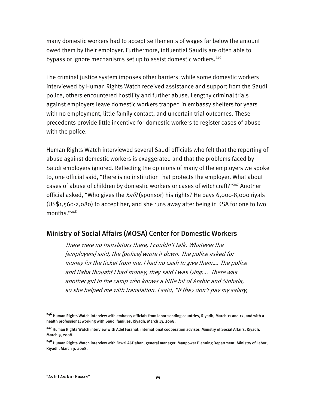many domestic workers had to accept settlements of wages far below the amount owed them by their employer. Furthermore, influential Saudis are often able to bypass or ignore mechanisms set up to assist domestic workers.<sup>246</sup>

The criminal justice system imposes other barriers: while some domestic workers interviewed by Human Rights Watch received assistance and support from the Saudi police, others encountered hostility and further abuse. Lengthy criminal trials against employers leave domestic workers trapped in embassy shelters for years with no employment, little family contact, and uncertain trial outcomes. These precedents provide little incentive for domestic workers to register cases of abuse with the police.

Human Rights Watch interviewed several Saudi officials who felt that the reporting of abuse against domestic workers is exaggerated and that the problems faced by Saudi employers ignored. Reflecting the opinions of many of the employers we spoke to, one official said, "there is no institution that protects the employer. What about cases of abuse of children by domestic workers or cases of witchcraft?"<sup>247</sup> Another official asked, "Who gives the *kafil* (sponsor) his rights? He pays 6,000-8,000 riyals (US\$1,560-2,080) to accept her, and she runs away after being in KSA for one to two months."248

### Ministry of Social Affairs (MOSA) Center for Domestic Workers

There were no translators there, I couldn't talk. Whatever the [employers] said, the [police] wrote it down. The police asked for money for the ticket from me. I had no cash to give them…. The police and Baba thought I had money, they said I was lying…. There was another girl in the camp who knows a little bit of Arabic and Sinhala, so she helped me with translation. I said, "If they don't pay my salary,

**<sup>246</sup>** Human Rights Watch interview with embassy officials from labor sending countries, Riyadh, March 11 and 12, and with a health professional working with Saudi families, Riyadh, March 13, 2008.

**<sup>247</sup>** Human Rights Watch interview with Adel Farahat, international cooperation advisor, Ministry of Social Affairs, Riyadh, March 9, 2008.

**<sup>248</sup>** Human Rights Watch interview with Fawzi Al-Dahan, general manager, Manpower Planning Department, Ministry of Labor, Riyadh, March 9, 2008.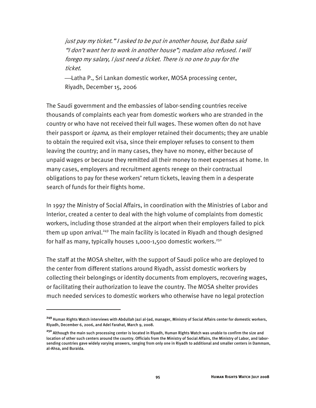just pay my ticket." I asked to be put in another house, but Baba said "I don't want her to work in another house"; madam also refused. I will forego my salary, I just need a ticket. There is no one to pay for the ticket.

-Latha P., Sri Lankan domestic worker, MOSA processing center, Riyadh, December 15, 2006

The Saudi government and the embassies of labor-sending countries receive thousands of complaints each year from domestic workers who are stranded in the country or who have not received their full wages. These women often do not have their passport or *igama*, as their employer retained their documents; they are unable to obtain the required exit visa, since their employer refuses to consent to them leaving the country; and in many cases, they have no money, either because of unpaid wages or because they remitted all their money to meet expenses at home. In many cases, employers and recruitment agents renege on their contractual obligations to pay for these workers' return tickets, leaving them in a desperate search of funds for their flights home.

In 1997 the Ministry of Social Affairs, in coordination with the Ministries of Labor and Interior, created a center to deal with the high volume of complaints from domestic workers, including those stranded at the airport when their employers failed to pick them up upon arrival.<sup>249</sup> The main facility is located in Riyadh and though designed for half as many, typically houses  $1,000-1,500$  domestic workers.<sup>250</sup>

The staff at the MOSA shelter, with the support of Saudi police who are deployed to the center from different stations around Riyadh, assist domestic workers by collecting their belongings or identity documents from employers, recovering wages, or facilitating their authorization to leave the country. The MOSA shelter provides much needed services to domestic workers who otherwise have no legal protection

**<sup>249</sup>** Human Rights Watch interviews with Abdullah Jazi al-Jad, manager, Ministry of Social Affairs center for domestic workers, Riyadh, December 6, 2006, and Adel Farahat, March 9, 2008.

**<sup>250</sup>** Although the main such processing center is located in Riyadh, Human Rights Watch was unable to confirm the size and location of other such centers around the country. Officials from the Ministry of Social Affairs, the Ministry of Labor, and laborsending countries gave widely varying answers, ranging from only one in Riyadh to additional and smaller centers in Dammam, al-Ahsa, and Buraida.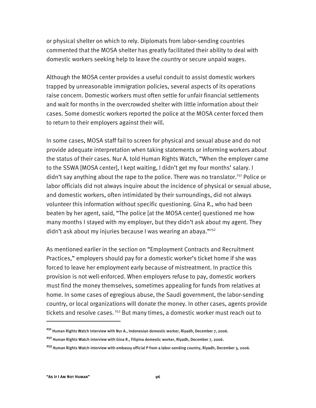or physical shelter on which to rely. Diplomats from labor-sending countries commented that the MOSA shelter has greatly facilitated their ability to deal with domestic workers seeking help to leave the country or secure unpaid wages.

Although the MOSA center provides a useful conduit to assist domestic workers trapped by unreasonable immigration policies, several aspects of its operations raise concern. Domestic workers must often settle for unfair financial settlements and wait for months in the overcrowded shelter with little information about their cases. Some domestic workers reported the police at the MOSA center forced them to return to their employers against their will.

In some cases, MOSA staff fail to screen for physical and sexual abuse and do not provide adequate interpretation when taking statements or informing workers about the status of their cases. Nur A. told Human Rights Watch, "When the employer came to the SSWA [MOSA center], I kept waiting, I didn't get my four months' salary. I didn't say anything about the rape to the police. There was no translator.<sup>251</sup> Police or labor officials did not always inquire about the incidence of physical or sexual abuse, and domestic workers, often intimidated by their surroundings, did not always volunteer this information without specific questioning. Gina R., who had been beaten by her agent, said, "The police [at the MOSA center] questioned me how many months I stayed with my employer, but they didn't ask about my agent. They didn't ask about my injuries because I was wearing an abaya."<sup>252</sup>

As mentioned earlier in the section on "Employment Contracts and Recruitment Practices," employers should pay for a domestic worker's ticket home if she was forced to leave her employment early because of mistreatment. In practice this provision is not well-enforced. When employers refuse to pay, domestic workers must find the money themselves, sometimes appealing for funds from relatives at home. In some cases of egregious abuse, the Saudi government, the labor-sending country, or local organizations will donate the money. In other cases, agents provide tickets and resolve cases.<sup>253</sup> But many times, a domestic worker must reach out to

**<sup>251</sup>** Human Rights Watch interview with Nur A., Indonesian domestic worker, Riyadh, December 7, 2006.

**<sup>252</sup>** Human Rights Watch interview with Gina R., Filipina domestic worker, Riyadh, December 7, 2006.

**<sup>253</sup>** Human Rights Watch interview with embassy official P from a labor-sending country, Riyadh, December 3, 2006.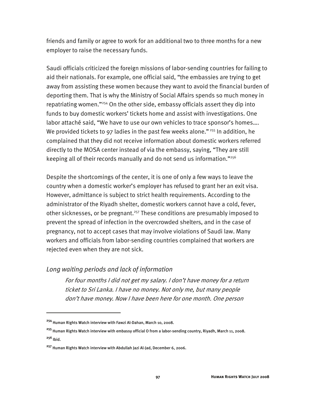friends and family or agree to work for an additional two to three months for a new employer to raise the necessary funds.

Saudi officials criticized the foreign missions of labor-sending countries for failing to aid their nationals. For example, one official said, "the embassies are trying to get away from assisting these women because they want to avoid the financial burden of deporting them. That is why the Ministry of Social Affairs spends so much money in repatriating women."254 On the other side, embassy officials assert they dip into funds to buy domestic workers' tickets home and assist with investigations. One labor attaché said, "We have to use our own vehicles to trace sponsor's homes…. We provided tickets to 97 ladies in the past few weeks alone."<sup>255</sup> In addition, he complained that they did not receive information about domestic workers referred directly to the MOSA center instead of via the embassy, saying, "They are still keeping all of their records manually and do not send us information."<sup>256</sup>

Despite the shortcomings of the center, it is one of only a few ways to leave the country when a domestic worker's employer has refused to grant her an exit visa. However, admittance is subject to strict health requirements. According to the administrator of the Riyadh shelter, domestic workers cannot have a cold, fever, other sicknesses, or be pregnant.<sup>257</sup> These conditions are presumably imposed to prevent the spread of infection in the overcrowded shelters, and in the case of pregnancy, not to accept cases that may involve violations of Saudi law. Many workers and officials from labor-sending countries complained that workers are rejected even when they are not sick.

#### *Long waiting periods and lack of information*

For four months I did not get my salary. I don't have money for a return ticket to Sri Lanka. I have no money. Not only me, but many people don't have money. Now I have been here for one month. One person

**<sup>254</sup>** Human Rights Watch interview with Fawzi Al-Dahan, March 10, 2008.

**<sup>255</sup>** Human Rights Watch interview with embassy official O from a labor-sending country, Riyadh, March 11, 2008. **<sup>256</sup>** Ibid.

**<sup>257</sup>** Human Rights Watch interview with Abdullah Jazi Al-Jad, December 6, 2006.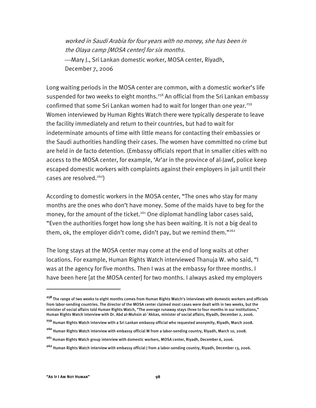worked in Saudi Arabia for four years with no money, she has been in the Olaya camp [MOSA center] for six months. -Mary J., Sri Lankan domestic worker, MOSA center, Riyadh, December 7, 2006

Long waiting periods in the MOSA center are common, with a domestic worker's life suspended for two weeks to eight months.<sup>258</sup> An official from the Sri Lankan embassy confirmed that some Sri Lankan women had to wait for longer than one year.<sup>259</sup> Women interviewed by Human Rights Watch there were typically desperate to leave the facility immediately and return to their countries, but had to wait for indeterminate amounts of time with little means for contacting their embassies or the Saudi authorities handling their cases. The women have committed no crime but are held in de facto detention. (Embassy officials report that in smaller cities with no access to the MOSA center, for example, 'Ar'ar in the province of al-Jawf, police keep escaped domestic workers with complaints against their employers in jail until their cases are resolved. $260$ 

According to domestic workers in the MOSA center, "The ones who stay for many months are the ones who don't have money. Some of the maids have to beg for the money, for the amount of the ticket.<sup>261</sup> One diplomat handling labor cases said, "Even the authorities forget how long she has been waiting. It is not a big deal to them, ok, the employer didn't come, didn't pay, but we remind them."<sup>262</sup>

The long stays at the MOSA center may come at the end of long waits at other locations. For example, Human Rights Watch interviewed Thanuja W. who said, "I was at the agency for five months. Then I was at the embassy for three months. I have been here [at the MOSA center] for two months. I always asked my employers

**<sup>258</sup>** The range of two weeks to eight months comes from Human Rights Watch's interviews with domestic workers and officials from labor-sending countries. The director of the MOSA center claimed most cases were dealt with in two weeks, but the minister of social affairs told Human Rights Watch, "The average runaway stays three to four months in our institutions," Human Rights Watch interview with Dr. Abd al-Muhsin al-`Akkas, minister of social affairs, Riyadh, December 2, 2006.

**<sup>259</sup>** Human Rights Watch interview with a Sri Lankan embassy official who requested anonymity, Riyadh, March 2008.

**<sup>260</sup>** Human Rights Watch interview with embassy official M from a labor-sending country, Riyadh, March 10, 2008.

**<sup>261</sup>** Human Rights Watch group interview with domestic workers, MOSA center, Riyadh, December 6, 2006.

**<sup>262</sup>** Human Rights Watch interview with embassy official J from a labor-sending country, Riyadh, December 13, 2006.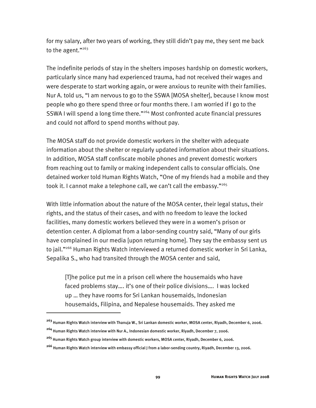for my salary, after two years of working, they still didn't pay me, they sent me back to the agent." $^{263}$ 

The indefinite periods of stay in the shelters imposes hardship on domestic workers, particularly since many had experienced trauma, had not received their wages and were desperate to start working again, or were anxious to reunite with their families. Nur A. told us, "I am nervous to go to the SSWA [MOSA shelter], because I know most people who go there spend three or four months there. I am worried if I go to the SSWA I will spend a long time there."264 Most confronted acute financial pressures and could not afford to spend months without pay.

The MOSA staff do not provide domestic workers in the shelter with adequate information about the shelter or regularly updated information about their situations. In addition, MOSA staff confiscate mobile phones and prevent domestic workers from reaching out to family or making independent calls to consular officials. One detained worker told Human Rights Watch, "One of my friends had a mobile and they took it. I cannot make a telephone call, we can't call the embassy."<sup>265</sup>

With little information about the nature of the MOSA center, their legal status, their rights, and the status of their cases, and with no freedom to leave the locked facilities, many domestic workers believed they were in a women's prison or detention center. A diplomat from a labor-sending country said, "Many of our girls have complained in our media [upon returning home]. They say the embassy sent us to jail."<sup>266</sup> Human Rights Watch interviewed a returned domestic worker in Sri Lanka, Sepalika S., who had transited through the MOSA center and said,

[T]he police put me in a prison cell where the housemaids who have faced problems stay…. it's one of their police divisions…. I was locked up … they have rooms for Sri Lankan housemaids, Indonesian housemaids, Filipina, and Nepalese housemaids. They asked me

-

**<sup>263</sup>** Human Rights Watch interview with Thanuja W., Sri Lankan domestic worker, MOSA center, Riyadh, December 6, 2006.

**<sup>264</sup>** Human Rights Watch interview with Nur A., Indonesian domestic worker, Riyadh, December 7, 2006.

**<sup>265</sup>** Human Rights Watch group interview with domestic workers, MOSA center, Riyadh, December 6, 2006.

**<sup>266</sup>** Human Rights Watch interview with embassy official J from a labor-sending country, Riyadh, December 13, 2006.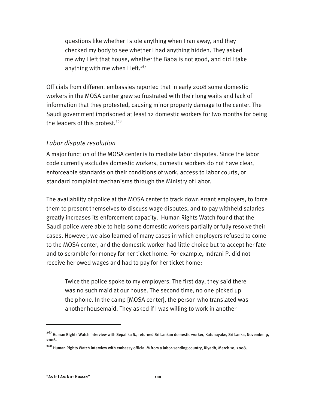questions like whether I stole anything when I ran away, and they checked my body to see whether I had anything hidden. They asked me why I left that house, whether the Baba is not good, and did I take anything with me when I left.<sup>267</sup>

Officials from different embassies reported that in early 2008 some domestic workers in the MOSA center grew so frustrated with their long waits and lack of information that they protested, causing minor property damage to the center. The Saudi government imprisoned at least 12 domestic workers for two months for being the leaders of this protest.<sup>268</sup>

### *Labor dispute resolution*

A major function of the MOSA center is to mediate labor disputes. Since the labor code currently excludes domestic workers, domestic workers do not have clear, enforceable standards on their conditions of work, access to labor courts, or standard complaint mechanisms through the Ministry of Labor.

The availability of police at the MOSA center to track down errant employers, to force them to present themselves to discuss wage disputes, and to pay withheld salaries greatly increases its enforcement capacity. Human Rights Watch found that the Saudi police were able to help some domestic workers partially or fully resolve their cases. However, we also learned of many cases in which employers refused to come to the MOSA center, and the domestic worker had little choice but to accept her fate and to scramble for money for her ticket home. For example, Indrani P. did not receive her owed wages and had to pay for her ticket home:

Twice the police spoke to my employers. The first day, they said there was no such maid at our house. The second time, no one picked up the phone. In the camp [MOSA center], the person who translated was another housemaid. They asked if I was willing to work in another

**<sup>267</sup>** Human Rights Watch interview with Sepalika S., returned Sri Lankan domestic worker, Katunayake, Sri Lanka, November 9, 2006.

**<sup>268</sup>** Human Rights Watch interview with embassy official M from a labor-sending country, Riyadh, March 10, 2008.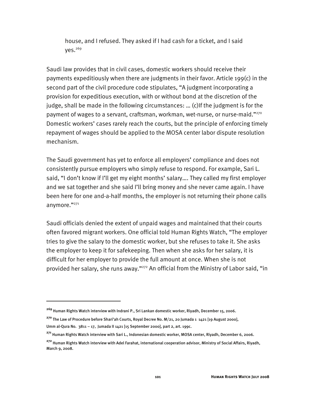house, and I refused. They asked if I had cash for a ticket, and I said  $VES.<sup>269</sup>$ 

Saudi law provides that in civil cases, domestic workers should receive their payments expeditiously when there are judgments in their favor. Article 199(c) in the second part of the civil procedure code stipulates, "A judgment incorporating a provision for expeditious execution, with or without bond at the discretion of the judge, shall be made in the following circumstances: … (c)If the judgment is for the payment of wages to a servant, craftsman, workman, wet-nurse, or nurse-maid."<sup>270</sup> Domestic workers' cases rarely reach the courts, but the principle of enforcing timely repayment of wages should be applied to the MOSA center labor dispute resolution mechanism.

The Saudi government has yet to enforce all employers' compliance and does not consistently pursue employers who simply refuse to respond. For example, Sari L. said, "I don't know if I'll get my eight months' salary…. They called my first employer and we sat together and she said I'll bring money and she never came again. I have been here for one and-a-half months, the employer is not returning their phone calls anymore."<sup>271</sup>

Saudi officials denied the extent of unpaid wages and maintained that their courts often favored migrant workers. One official told Human Rights Watch, "The employer tries to give the salary to the domestic worker, but she refuses to take it. She asks the employer to keep it for safekeeping. Then when she asks for her salary, it is difficult for her employer to provide the full amount at once. When she is not provided her salary, she runs away."<sup>272</sup> An official from the Ministry of Labor said, "in

**<sup>269</sup>** Human Rights Watch interview with Indrani P., Sri Lankan domestic worker, Riyadh, December 15, 2006.

**<sup>270</sup>** The Law of Procedure before Shari'ah Courts, Royal Decree No. M/21, 20 Jumada 1 1421 [19 August 2000], Umm al-Qura No. 3811 – 17, Jumada II 1421 [15 September 2000], part 2, art. 199c.

**<sup>271</sup>** Human Rights Watch interview with Sari L., Indonesian domestic worker, MOSA center, Riyadh, December 6, 2006. **<sup>272</sup>** Human Rights Watch interview with Adel Farahat, international cooperation advisor, Ministry of Social Affairs, Riyadh, March 9, 2008.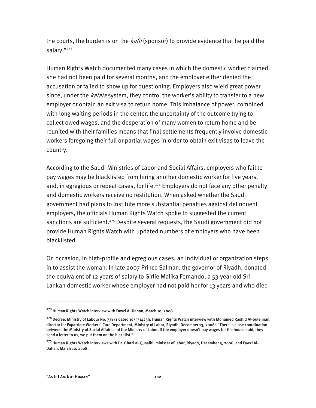the courts, the burden is on the *kafil* (sponsor) to provide evidence that he paid the salary."273

Human Rights Watch documented many cases in which the domestic worker claimed she had not been paid for several months, and the employer either denied the accusation or failed to show up for questioning. Employers also wield great power since, under the *kafala* system, they control the worker's ability to transfer to a new employer or obtain an exit visa to return home. This imbalance of power, combined with long waiting periods in the center, the uncertainty of the outcome trying to collect owed wages, and the desperation of many women to return home and be reunited with their families means that final settlements frequently involve domestic workers foregoing their full or partial wages in order to obtain exit visas to leave the country.

According to the Saudi Ministries of Labor and Social Affairs, employers who fail to pay wages may be blacklisted from hiring another domestic worker for five years, and, in egregious or repeat cases, for life. $^{274}$  Employers do not face any other penalty and domestic workers receive no restitution. When asked whether the Saudi government had plans to institute more substantial penalties against delinquent employers, the officials Human Rights Watch spoke to suggested the current sanctions are sufficient.<sup>275</sup> Despite several requests, the Saudi government did not provide Human Rights Watch with updated numbers of employers who have been blacklisted.

On occasion, in high-profile and egregious cases, an individual or organization steps in to assist the woman. In late 2007 Prince Salman, the governor of Riyadh, donated the equivalent of 12 years of salary to Girlie Malika Fernando, a 53-year-old Sri Lankan domestic worker whose employer had not paid her for 13 years and who died

-

**<sup>273</sup>** Human Rights Watch interview with Fawzi Al-Dahan, March 10, 2008.

**<sup>274</sup>** Decree, Ministry of Labour No. 738/1 dated 16/5/1425h. Human Rights Watch interview with Mohamed Rashid Al-Suleiman, director for Expatriate Workers' Care Department, Ministry of Labor, Riyadh, December 13, 2006: "There is close coordination between the Ministry of Social Affairs and the Ministry of Labor. If the employer doesn't pay wages for the housemaid, they send a letter to us, we put them on the blacklist."

**<sup>275</sup>** Human Rights Watch interviews with Dr. Ghazi al-Qusaibi, minister of labor, Riyadh, December 3, 2006, and Fawzi Al-Dahan, March 10, 2008.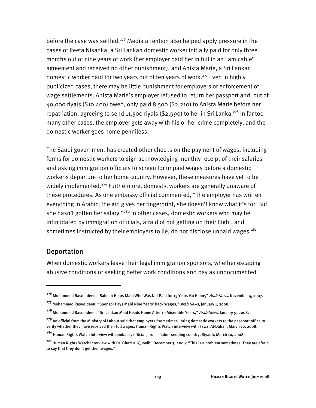before the case was settled.<sup>276</sup> Media attention also helped apply pressure in the cases of Reeta Nisanka, a Sri Lankan domestic worker initially paid for only three months out of nine years of work (her employer paid her in full in an "amicable" agreement and received no other punishment), and Anista Marie, a Sri Lankan domestic worker paid for two years out of ten years of work.<sup>277</sup> Even in highly publicized cases, there may be little punishment for employers or enforcement of wage settlements. Anista Marie's employer refused to return her passport and, out of 40,000 riyals (\$10,400) owed, only paid 8,500 (\$2,210) to Anista Marie before her repatriation, agreeing to send 11,500 rivals (\$2,990) to her in Sri Lanka.<sup>278</sup> In far too many other cases, the employer gets away with his or her crime completely, and the domestic worker goes home penniless.

The Saudi government has created other checks on the payment of wages, including forms for domestic workers to sign acknowledging monthly receipt of their salaries and asking immigration officials to screen for unpaid wages before a domestic worker's departure to her home country. However, these measures have yet to be widely implemented.<sup>279</sup> Furthermore, domestic workers are generally unaware of these procedures. As one embassy official commented, "The employer has written everything in Arabic, the girl gives her fingerprint, she doesn't know what it's for. But she hasn't gotten her salary."<sup>280</sup> In other cases, domestic workers who may be intimidated by immigration officials, afraid of not getting on their flight, and sometimes instructed by their employers to lie, do not disclose unpaid wages.<sup>281</sup>

#### Deportation

I

When domestic workers leave their legal immigration sponsors, whether escaping abusive conditions or seeking better work conditions and pay as undocumented

**<sup>276</sup>** Mohammed Rasooldeen, "Salman Helps Maid Who Was Not Paid for 13 Years Go Home," Arab News, November 4, 2007.

**<sup>277</sup>** Mohammed Rasooldeen, "Sponsor Pays Maid Nine Years' Back Wages," Arab News, January 1, 2008.

**<sup>278</sup>** Mohammed Rasooldeen, "Sri Lankan Maid Heads Home After 10 Miserable Years," Arab News, January 9, 2008.

**<sup>279</sup>** An official from the Ministry of Labour said that employers "sometimes" bring domestic workers to the passport office to verify whether they have received their full wages. Human Rights Watch interview with Fawzi Al-Dahan, March 10, 2008.

**<sup>280</sup>** Human Rights Watch interview with embassy official J from a labor-sending country, Riyadh, March 10, 2008.

**<sup>281</sup>** Human Rights Watch interview with Dr. Ghazi al-Qusaibi, December 3, 2006: "This is a problem sometimes. They are afraid to say that they don't get their wages."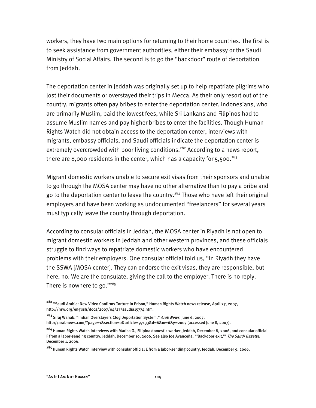workers, they have two main options for returning to their home countries. The first is to seek assistance from government authorities, either their embassy or the Saudi Ministry of Social Affairs. The second is to go the "backdoor" route of deportation from Jeddah.

The deportation center in Jeddah was originally set up to help repatriate pilgrims who lost their documents or overstayed their trips in Mecca. As their only resort out of the country, migrants often pay bribes to enter the deportation center. Indonesians, who are primarily Muslim, paid the lowest fees, while Sri Lankans and Filipinos had to assume Muslim names and pay higher bribes to enter the facilities. Though Human Rights Watch did not obtain access to the deportation center, interviews with migrants, embassy officials, and Saudi officials indicate the deportation center is extremely overcrowded with poor living conditions.<sup>282</sup> According to a news report, there are 8,000 residents in the center, which has a capacity for  $5,500.^{28}$ 

Migrant domestic workers unable to secure exit visas from their sponsors and unable to go through the MOSA center may have no other alternative than to pay a bribe and go to the deportation center to leave the country.<sup>284</sup> Those who have left their original employers and have been working as undocumented "freelancers" for several years must typically leave the country through deportation.

According to consular officials in Jeddah, the MOSA center in Riyadh is not open to migrant domestic workers in Jeddah and other western provinces, and these officials struggle to find ways to repatriate domestic workers who have encountered problems with their employers. One consular official told us, "In Riyadh they have the SSWA [MOSA center]. They can endorse the exit visas, they are responsible, but here, no. We are the consulate, giving the call to the employer. There is no reply. There is nowhere to go." $285$ 

j

**<sup>282</sup>** "Saudi Arabia: New Video Confirms Torture in Prison," Human Rights Watch news release, April 27, 2007, http://hrw.org/english/docs/2007/04/27/saudia15774.htm.

**<sup>283</sup>** Siraj Wahab, "Indian Overstayers Clog Deportation System," Arab News, June 6, 2007, http://arabnews.com/?page=1&section=0&article=97133&d=6&m=6&y=2007 (accessed June 8, 2007).

**<sup>284</sup>** Human Rights Watch interviews with Marisa G., Filipina domestic worker, Jeddah, December 8, 2006, and consular official F from a labor-sending country, Jeddah, December 10, 2006. See also Joe Avanceña, "'Backdoor exit,"" The Saudi Gazette, December 1, 2006.

**<sup>285</sup>** Human Rights Watch interview with consular official E from a labor-sending country, Jeddah, December 9, 2006.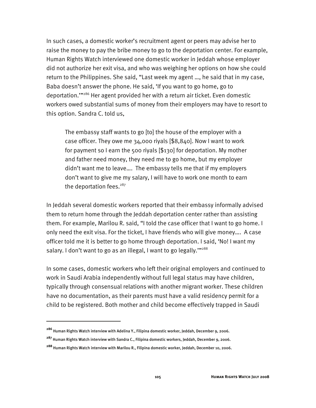In such cases, a domestic worker's recruitment agent or peers may advise her to raise the money to pay the bribe money to go to the deportation center. For example, Human Rights Watch interviewed one domestic worker in Jeddah whose employer did not authorize her exit visa, and who was weighing her options on how she could return to the Philippines. She said, "Last week my agent …, he said that in my case, Baba doesn't answer the phone. He said, 'If you want to go home, go to deportation.'"286 Her agent provided her with a return air ticket. Even domestic workers owed substantial sums of money from their employers may have to resort to this option. Sandra C. told us,

The embassy staff wants to go [to] the house of the employer with a case officer. They owe me 34,000 riyals [\$8,840]. Now I want to work for payment so I earn the 500 riyals [\$130] for deportation. My mother and father need money, they need me to go home, but my employer didn't want me to leave…. The embassy tells me that if my employers don't want to give me my salary, I will have to work one month to earn the deportation fees. $287$ 

In Jeddah several domestic workers reported that their embassy informally advised them to return home through the Jeddah deportation center rather than assisting them. For example, Marilou R. said, "I told the case officer that I want to go home. I only need the exit visa. For the ticket, I have friends who will give money…. A case officer told me it is better to go home through deportation. I said, 'No! I want my salary. I don't want to go as an illegal, I want to go legally.""<sup>288</sup>

In some cases, domestic workers who left their original employers and continued to work in Saudi Arabia independently without full legal status may have children, typically through consensual relations with another migrant worker. These children have no documentation, as their parents must have a valid residency permit for a child to be registered. Both mother and child become effectively trapped in Saudi

**<sup>286</sup>** Human Rights Watch interview with Adelina Y., Filipina domestic worker, Jeddah, December 9, 2006.

**<sup>287</sup>** Human Rights Watch interview with Sandra C., Filipina domestic workers, Jeddah, December 9, 2006.

**<sup>288</sup>** Human Rights Watch interview with Marilou R., Filipina domestic worker, Jeddah, December 10, 2006.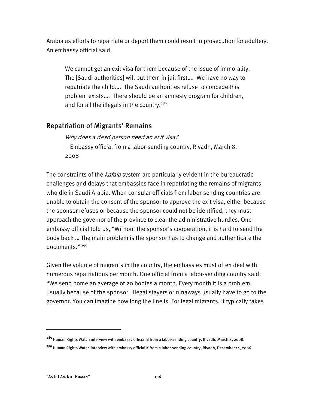Arabia as efforts to repatriate or deport them could result in prosecution for adultery. An embassy official said,

We cannot get an exit visa for them because of the issue of immorality. The [Saudi authorities] will put them in jail first…. We have no way to repatriate the child…. The Saudi authorities refuse to concede this problem exists…. There should be an amnesty program for children, and for all the illegals in the country.<sup>289</sup>

#### Repatriation of Migrants' Remains

Why does a dead person need an exit visa? —Embassy official from a labor-sending country, Riyadh, March 8, 2008

The constraints of the *kafala* system are particularly evident in the bureaucratic challenges and delays that embassies face in repatriating the remains of migrants who die in Saudi Arabia. When consular officials from labor-sending countries are unable to obtain the consent of the sponsor to approve the exit visa, either because the sponsor refuses or because the sponsor could not be identified, they must approach the governor of the province to clear the administrative hurdles. One embassy official told us, "Without the sponsor's cooperation, it is hard to send the body back … The main problem is the sponsor has to change and authenticate the documents."<sup>290</sup>

Given the volume of migrants in the country, the embassies must often deal with numerous repatriations per month. One official from a labor-sending country said: "We send home an average of 20 bodies a month. Every month it is a problem, usually because of the sponsor. Illegal stayers or runaways usually have to go to the governor. You can imagine how long the line is. For legal migrants, it typically takes

**<sup>289</sup>** Human Rights Watch interview with embassy official B from a labor-sending country, Riyadh, March 8, 2008.

**<sup>290</sup>** Human Rights Watch interview with embassy official K from a labor-sending country, Riyadh, December 14, 2006.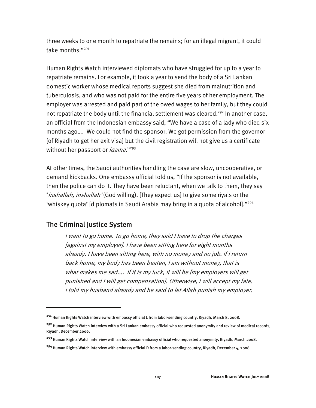three weeks to one month to repatriate the remains; for an illegal migrant, it could take months."291

Human Rights Watch interviewed diplomats who have struggled for up to a year to repatriate remains. For example, it took a year to send the body of a Sri Lankan domestic worker whose medical reports suggest she died from malnutrition and tuberculosis, and who was not paid for the entire five years of her employment. The employer was arrested and paid part of the owed wages to her family, but they could not repatriate the body until the financial settlement was cleared.<sup>292</sup> In another case, an official from the Indonesian embassy said, "We have a case of a lady who died six months ago…. We could not find the sponsor. We got permission from the governor [of Riyadh to get her exit visa] but the civil registration will not give us a certificate without her passport or *iqama*."<sup>293</sup>

At other times, the Saudi authorities handling the case are slow, uncooperative, or demand kickbacks. One embassy official told us, "If the sponsor is not available, then the police can do it. They have been reluctant, when we talk to them, they say 'inshallah, inshallah' (God willing). [They expect us] to give some riyals or the 'whiskey quota' [diplomats in Saudi Arabia may bring in a quota of alcohol]."294

#### The Criminal Justice System

j

I want to go home. To go home, they said I have to drop the charges [against my employer]. I have been sitting here for eight months already. I have been sitting here, with no money and no job. If I return back home, my body has been beaten, I am without money, that is what makes me sad.... If it is my luck, it will be [my employers will get punished and I will get compensation]. Otherwise, I will accept my fate. I told my husband already and he said to let Allah punish my employer.

**<sup>291</sup>** Human Rights Watch interview with embassy official L from labor-sending country, Riyadh, March 8, 2008.

**<sup>292</sup>** Human Rights Watch interview with a Sri Lankan embassy official who requested anonymity and review of medical records, Riyadh, December 2006.

**<sup>293</sup>** Human Rights Watch interview with an Indonesian embassy official who requested anonymity, Riyadh, March 2008.

**<sup>294</sup>** Human Rights Watch interview with embassy official D from a labor-sending country, Riyadh, December 4, 2006.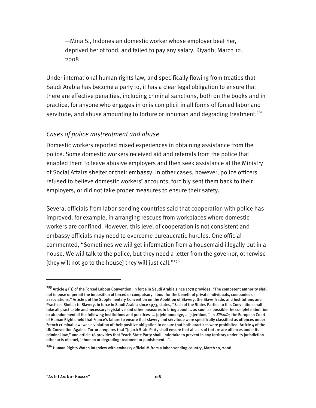—Mina S., Indonesian domestic worker whose employer beat her, deprived her of food, and failed to pay any salary, Riyadh, March 12, 2008

Under international human rights law, and specifically flowing from treaties that Saudi Arabia has become a party to, it has a clear legal obligation to ensure that there are effective penalties, including criminal sanctions, both on the books and in practice, for anyone who engages in or is complicit in all forms of forced labor and servitude, and abuse amounting to torture or inhuman and degrading treatment.<sup>295</sup>

#### *Cases of police mistreatment and abuse*

Domestic workers reported mixed experiences in obtaining assistance from the police. Some domestic workers received aid and referrals from the police that enabled them to leave abusive employers and then seek assistance at the Ministry of Social Affairs shelter or their embassy. In other cases, however, police officers refused to believe domestic workers' accounts, forcibly sent them back to their employers, or did not take proper measures to ensure their safety.

Several officials from labor-sending countries said that cooperation with police has improved, for example, in arranging rescues from workplaces where domestic workers are confined. However, this level of cooperation is not consistent and embassy officials may need to overcome bureaucratic hurdles. One official commented, "Sometimes we will get information from a housemaid illegally put in a house. We will talk to the police, but they need a letter from the governor, otherwise [they will not go to the house] they will just call."<sup>296</sup>

j

**<sup>295</sup>** Article 4 ( 1) of the Forced Labour Convention, in force in Saudi Arabia since 1978 provides, "The competent authority shall not impose or permit the imposition of forced or compulsory labour for the benefit of private individuals, companies or associations." Article 1 of the Supplementary Convention on the Abolition of Slavery, the Slave Trade, and Institutions and Practices Similar to Slavery, in force in Saudi Arabia since 1973, states, "Each of the States Parties to this Convention shall take all practicable and necessary legislative and other measures to bring about ... as soon as possible the complete abolition or abandonment of the following institutions and practices ... [d]ebt bondage, ... [s]erfdom," In *Siliadin*, the European Court of Human Rights held that France's failure to ensure that slavery and servitude were specifically classified as offences under French criminal law, was a violation of their positive obligation to ensure that both practices were prohibited. Article 4 of the UN Convention Against Torture requires that "[e]ach State Party shall ensure that all acts of torture are offences under its criminal law," and article 16 provides that "each State Party shall undertake to prevent in any territory under its jurisdiction other acts of cruel, inhuman or degrading treatment or punishment…".

**<sup>296</sup>** Human Rights Watch interview with embassy official M from a labor-sending country, March 10, 2008.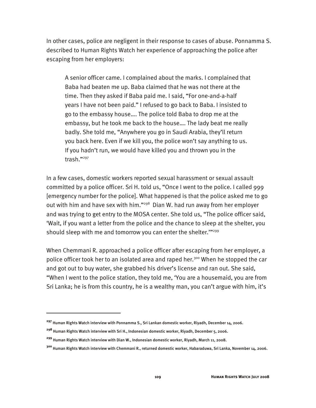In other cases, police are negligent in their response to cases of abuse. Ponnamma S. described to Human Rights Watch her experience of approaching the police after escaping from her employers:

A senior officer came. I complained about the marks. I complained that Baba had beaten me up. Baba claimed that he was not there at the time. Then they asked if Baba paid me. I said, "For one-and-a-half years I have not been paid." I refused to go back to Baba. I insisted to go to the embassy house…. The police told Baba to drop me at the embassy, but he took me back to the house…. The lady beat me really badly. She told me, "Anywhere you go in Saudi Arabia, they'll return you back here. Even if we kill you, the police won't say anything to us. If you hadn't run, we would have killed you and thrown you in the trash."297

In a few cases, domestic workers reported sexual harassment or sexual assault committed by a police officer. Sri H. told us, "Once I went to the police. I called 999 [emergency number for the police]. What happened is that the police asked me to go out with him and have sex with him."<sup>298</sup> Dian W. had run away from her employer and was trying to get entry to the MOSA center. She told us, "The police officer said, 'Wait, if you want a letter from the police and the chance to sleep at the shelter, you should sleep with me and tomorrow you can enter the shelter."<sup>299</sup>

When Chemmani R. approached a police officer after escaping from her employer, a police officer took her to an isolated area and raped her.<sup>300</sup> When he stopped the car and got out to buy water, she grabbed his driver's license and ran out. She said, "When I went to the police station, they told me, 'You are a housemaid, you are from Sri Lanka; he is from this country, he is a wealthy man, you can't argue with him, it's

j

**<sup>297</sup>** Human Rights Watch interview with Ponnamma S., Sri Lankan domestic worker, Riyadh, December 14, 2006.

**<sup>298</sup>** Human Rights Watch interview with Sri H., Indonesian domestic worker, Riyadh, December 5, 2006.

**<sup>299</sup>** Human Rights Watch interview with Dian W., Indonesian domestic worker, Riyadh, March 11, 2008.

**<sup>300</sup>** Human Rights Watch interview with Chemmani R., returned domestic worker, Habaraduwa, Sri Lanka, November 14, 2006.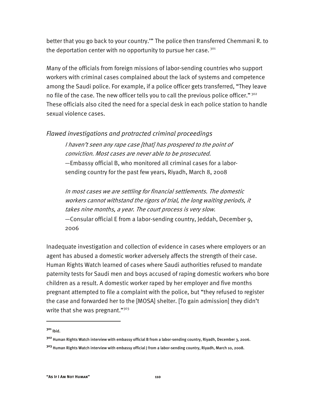better that you go back to your country.'" The police then transferred Chemmani R. to the deportation center with no opportunity to pursue her case.  $301$ 

Many of the officials from foreign missions of labor-sending countries who support workers with criminal cases complained about the lack of systems and competence among the Saudi police. For example, if a police officer gets transferred, "They leave no file of the case. The new officer tells you to call the previous police officer." $302$ These officials also cited the need for a special desk in each police station to handle sexual violence cases.

#### *Flawed investigations and protracted criminal proceedings*

I haven't seen any rape case [that] has prospered to the point of conviction. Most cases are never able to be prosecuted. —Embassy official B, who monitored all criminal cases for a laborsending country for the past few years, Riyadh, March 8, 2008

In most cases we are settling for financial settlements. The domestic workers cannot withstand the rigors of trial, the long waiting periods, it takes nine months, a year. The court process is very slow. —Consular official E from a labor-sending country, Jeddah, December 9, 2006

Inadequate investigation and collection of evidence in cases where employers or an agent has abused a domestic worker adversely affects the strength of their case. Human Rights Watch learned of cases where Saudi authorities refused to mandate paternity tests for Saudi men and boys accused of raping domestic workers who bore children as a result. A domestic worker raped by her employer and five months pregnant attempted to file a complaint with the police, but "they refused to register the case and forwarded her to the [MOSA] shelter. [To gain admission] they didn't write that she was pregnant."<sup>303</sup>

**<sup>301</sup>** Ibid.

**<sup>302</sup>** Human Rights Watch interview with embassy official B from a labor-sending country, Riyadh, December 3, 2006.

**<sup>303</sup>** Human Rights Watch interview with embassy official J from a labor-sending country, Riyadh, March 10, 2008.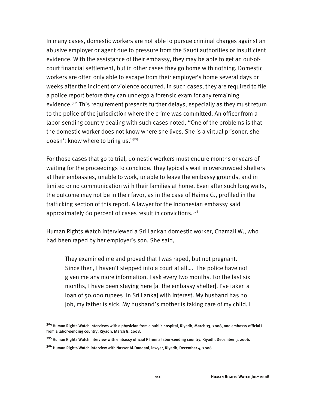In many cases, domestic workers are not able to pursue criminal charges against an abusive employer or agent due to pressure from the Saudi authorities or insufficient evidence. With the assistance of their embassy, they may be able to get an out-ofcourt financial settlement, but in other cases they go home with nothing. Domestic workers are often only able to escape from their employer's home several days or weeks after the incident of violence occurred. In such cases, they are required to file a police report before they can undergo a forensic exam for any remaining evidence.<sup>304</sup> This requirement presents further delays, especially as they must return to the police of the jurisdiction where the crime was committed. An officer from a labor-sending country dealing with such cases noted, "One of the problems is that the domestic worker does not know where she lives. She is a virtual prisoner, she doesn't know where to bring us."305

For those cases that go to trial, domestic workers must endure months or years of waiting for the proceedings to conclude. They typically wait in overcrowded shelters at their embassies, unable to work, unable to leave the embassy grounds, and in limited or no communication with their families at home. Even after such long waits, the outcome may not be in their favor, as in the case of Haima G., profiled in the trafficking section of this report. A lawyer for the Indonesian embassy said approximately 60 percent of cases result in convictions.<sup>306</sup>

Human Rights Watch interviewed a Sri Lankan domestic worker, Chamali W., who had been raped by her employer's son. She said,

They examined me and proved that I was raped, but not pregnant. Since then, I haven't stepped into a court at all…. The police have not given me any more information. I ask every two months. For the last six months, I have been staying here [at the embassy shelter]. I've taken a loan of 50,000 rupees [in Sri Lanka] with interest. My husband has no job, my father is sick. My husband's mother is taking care of my child. I

**<sup>304</sup>** Human Rights Watch interviews with a physician from a public hospital, Riyadh, March 13, 2008, and embassy official L from a labor-sending country, Riyadh, March 8, 2008.

**<sup>305</sup>** Human Rights Watch interview with embassy official P from a labor-sending country, Riyadh, December 3, 2006.

**<sup>306</sup>** Human Rights Watch interview with Nasser Al-Dandani, lawyer, Riyadh, December 4, 2006.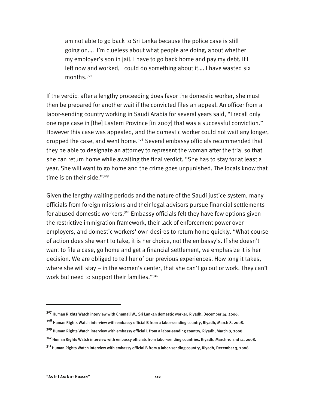am not able to go back to Sri Lanka because the police case is still going on…. I'm clueless about what people are doing, about whether my employer's son in jail. I have to go back home and pay my debt. If I left now and worked, I could do something about it…. I have wasted six months.307

If the verdict after a lengthy proceeding does favor the domestic worker, she must then be prepared for another wait if the convicted files an appeal. An officer from a labor-sending country working in Saudi Arabia for several years said, "I recall only one rape case in [the] Eastern Province [in 2007] that was a successful conviction." However this case was appealed, and the domestic worker could not wait any longer, dropped the case, and went home.<sup>308</sup> Several embassy officials recommended that they be able to designate an attorney to represent the woman after the trial so that she can return home while awaiting the final verdict. "She has to stay for at least a year. She will want to go home and the crime goes unpunished. The locals know that time is on their side."309

Given the lengthy waiting periods and the nature of the Saudi justice system, many officials from foreign missions and their legal advisors pursue financial settlements for abused domestic workers.<sup>310</sup> Embassy officials felt they have few options given the restrictive immigration framework, their lack of enforcement power over employers, and domestic workers' own desires to return home quickly. "What course of action does she want to take, it is her choice, not the embassy's. If she doesn't want to file a case, go home and get a financial settlement, we emphasize it is her decision. We are obliged to tell her of our previous experiences. How long it takes, where she will stay – in the women's center, that she can't go out or work. They can't work but need to support their families."<sup>311</sup>

**<sup>307</sup>** Human Rights Watch interview with Chamali W., Sri Lankan domestic worker, Riyadh, December 14, 2006.

**<sup>308</sup>** Human Rights Watch interview with embassy official B from a labor-sending country, Riyadh, March 8, 2008.

**<sup>309</sup>** Human Rights Watch interview with embassy official L from a labor-sending country, Riyadh, March 8, 2008.

**<sup>310</sup>** Human Rights Watch interview with embassy officials from labor-sending countries, Riyadh, March 10 and 11, 2008.

**<sup>311</sup>** Human Rights Watch interview with embassy official B from a labor-sending country, Riyadh, December 3, 2006.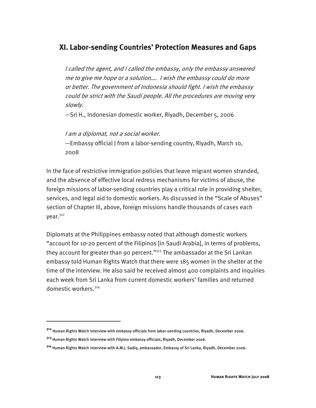### **XI. Labor-sending Countries' Protection Measures and Gaps**

I called the agent, and I called the embassy, only the embassy answered me to give me hope or a solution…. I wish the embassy could do more or better. The government of Indonesia should fight. I wish the embassy could be strict with the Saudi people. All the procedures are moving very slowly.

—Sri H., Indonesian domestic worker, Riyadh, December 5, 2006

I am a diplomat, not a social worker. —Embassy official J from a labor-sending country, Riyadh, March 10, 2008

In the face of restrictive immigration policies that leave migrant women stranded, and the absence of effective local redress mechanisms for victims of abuse, the foreign missions of labor-sending countries play a critical role in providing shelter, services, and legal aid to domestic workers. As discussed in the "Scale of Abuses" section of Chapter III, above, foreign missions handle thousands of cases each vear. $312$ 

Diplomats at the Philippines embassy noted that although domestic workers "account for 10-20 percent of the Filipinos [in Saudi Arabia], in terms of problems, they account for greater than 90 percent."<sup>313</sup> The ambassador at the Sri Lankan embassy told Human Rights Watch that there were 185 women in the shelter at the time of the interview. He also said he received almost 400 complaints and inquiries each week from Sri Lanka from current domestic workers' families and returned domestic workers.314

-

**<sup>312</sup>** Human Rights Watch interview with embassy officials from labor-sending countries, Riyadh, December 2006.

**<sup>313</sup>** Human Rights Watch interview with Filipino embassy officials, Riyadh, December 2006.

**<sup>314</sup>** Human Rights Watch interview with A.M.J. Sadiq, ambassador, Embassy of Sri Lanka, Riyadh, December 2006.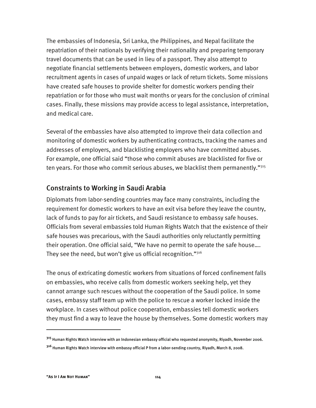The embassies of Indonesia, Sri Lanka, the Philippines, and Nepal facilitate the repatriation of their nationals by verifying their nationality and preparing temporary travel documents that can be used in lieu of a passport. They also attempt to negotiate financial settlements between employers, domestic workers, and labor recruitment agents in cases of unpaid wages or lack of return tickets. Some missions have created safe houses to provide shelter for domestic workers pending their repatriation or for those who must wait months or years for the conclusion of criminal cases. Finally, these missions may provide access to legal assistance, interpretation, and medical care.

Several of the embassies have also attempted to improve their data collection and monitoring of domestic workers by authenticating contracts, tracking the names and addresses of employers, and blacklisting employers who have committed abuses. For example, one official said "those who commit abuses are blacklisted for five or ten years. For those who commit serious abuses, we blacklist them permanently."<sup>315</sup>

#### Constraints to Working in Saudi Arabia

Diplomats from labor-sending countries may face many constraints, including the requirement for domestic workers to have an exit visa before they leave the country, lack of funds to pay for air tickets, and Saudi resistance to embassy safe houses. Officials from several embassies told Human Rights Watch that the existence of their safe houses was precarious, with the Saudi authorities only reluctantly permitting their operation. One official said, "We have no permit to operate the safe house…. They see the need, but won't give us official recognition."316

The onus of extricating domestic workers from situations of forced confinement falls on embassies, who receive calls from domestic workers seeking help, yet they cannot arrange such rescues without the cooperation of the Saudi police. In some cases, embassy staff team up with the police to rescue a worker locked inside the workplace. In cases without police cooperation, embassies tell domestic workers they must find a way to leave the house by themselves. Some domestic workers may

**<sup>315</sup>** Human Rights Watch interview with an Indonesian embassy official who requested anonymity, Riyadh, November 2006. **<sup>316</sup>** Human Rights Watch interview with embassy official P from a labor-sending country, Riyadh, March 8, 2008.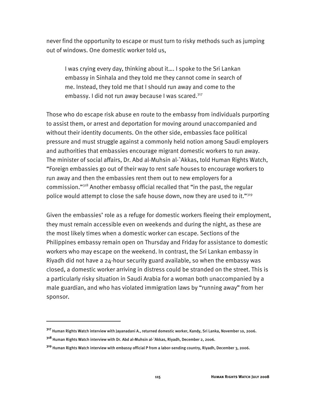never find the opportunity to escape or must turn to risky methods such as jumping out of windows. One domestic worker told us,

I was crying every day, thinking about it…. I spoke to the Sri Lankan embassy in Sinhala and they told me they cannot come in search of me. Instead, they told me that I should run away and come to the embassy. I did not run away because I was scared.<sup>317</sup>

Those who do escape risk abuse en route to the embassy from individuals purporting to assist them, or arrest and deportation for moving around unaccompanied and without their identity documents. On the other side, embassies face political pressure and must struggle against a commonly held notion among Saudi employers and authorities that embassies encourage migrant domestic workers to run away. The minister of social affairs, Dr. Abd al-Muhsin al-`Akkas, told Human Rights Watch, "Foreign embassies go out of their way to rent safe houses to encourage workers to run away and then the embassies rent them out to new employers for a commission."318 Another embassy official recalled that "in the past, the regular police would attempt to close the safe house down, now they are used to it."<sup>319</sup>

Given the embassies' role as a refuge for domestic workers fleeing their employment, they must remain accessible even on weekends and during the night, as these are the most likely times when a domestic worker can escape. Sections of the Philippines embassy remain open on Thursday and Friday for assistance to domestic workers who may escape on the weekend. In contrast, the Sri Lankan embassy in Riyadh did not have a 24-hour security guard available, so when the embassy was closed, a domestic worker arriving in distress could be stranded on the street. This is a particularly risky situation in Saudi Arabia for a woman both unaccompanied by a male guardian, and who has violated immigration laws by "running away" from her sponsor.

-

**<sup>317</sup>** Human Rights Watch interview with Jayanadani A., returned domestic worker, Kandy, Sri Lanka, November 10, 2006.

**<sup>318</sup>** Human Rights Watch interview with Dr. Abd al-Muhsin al-`Akkas, Riyadh, December 2, 2006.

**<sup>319</sup>** Human Rights Watch interview with embassy official P from a labor-sending country, Riyadh, December 3, 2006.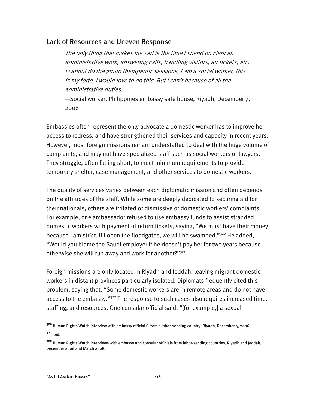#### Lack of Resources and Uneven Response

The only thing that makes me sad is the time I spend on clerical, administrative work, answering calls, handling visitors, air tickets, etc. I cannot do the group therapeutic sessions, I am a social worker, this is my forte, I would love to do this. But I can't because of all the administrative duties.

—Social worker, Philippines embassy safe house, Riyadh, December 7, 2006

Embassies often represent the only advocate a domestic worker has to improve her access to redress, and have strengthened their services and capacity in recent years. However, most foreign missions remain understaffed to deal with the huge volume of complaints, and may not have specialized staff such as social workers or lawyers. They struggle, often falling short, to meet minimum requirements to provide temporary shelter, case management, and other services to domestic workers.

The quality of services varies between each diplomatic mission and often depends on the attitudes of the staff. While some are deeply dedicated to securing aid for their nationals, others are irritated or dismissive of domestic workers' complaints. For example, one ambassador refused to use embassy funds to assist stranded domestic workers with payment of return tickets, saying, "We must have their money because I am strict. If I open the floodgates, we will be swamped."<sup>320</sup> He added, "Would you blame the Saudi employer if he doesn't pay her for two years because otherwise she will run away and work for another?"<sup>321</sup>

Foreign missions are only located in Riyadh and Jeddah, leaving migrant domestic workers in distant provinces particularly isolated. Diplomats frequently cited this problem, saying that, "Some domestic workers are in remote areas and do not have access to the embassy."<sup>322</sup> The response to such cases also requires increased time, staffing, and resources. One consular official said, "[for example,] a sexual

**<sup>320</sup>** Human Rights Watch interview with embassy official C from a labor-sending country, Riyadh, December 4, 2006. **<sup>321</sup>** Ibid.

**<sup>322</sup>** Human Rights Watch interviews with embassy and consular officials from labor-sending countries, Riyadh and Jeddah, December 2006 and March 2008.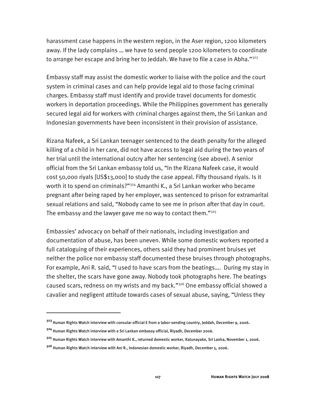harassment case happens in the western region, in the Aser region, 1200 kilometers away. If the lady complains … we have to send people 1200 kilometers to coordinate to arrange her escape and bring her to Jeddah. We have to file a case in Abha."323

Embassy staff may assist the domestic worker to liaise with the police and the court system in criminal cases and can help provide legal aid to those facing criminal charges. Embassy staff must identify and provide travel documents for domestic workers in deportation proceedings. While the Philippines government has generally secured legal aid for workers with criminal charges against them, the Sri Lankan and Indonesian governments have been inconsistent in their provision of assistance.

Rizana Nafeek, a Sri Lankan teenager sentenced to the death penalty for the alleged killing of a child in her care, did not have access to legal aid during the two years of her trial until the international outcry after her sentencing (see above). A senior official from the Sri Lankan embassy told us, "In the Rizana Nafeek case, it would cost 50,000 riyals [US\$13,000] to study the case appeal. Fifty thousand riyals. Is it worth it to spend on criminals?"<sup>324</sup> Amanthi K., a Sri Lankan worker who became pregnant after being raped by her employer, was sentenced to prison for extramarital sexual relations and said, "Nobody came to see me in prison after that day in court. The embassy and the lawyer gave me no way to contact them." $325$ 

Embassies' advocacy on behalf of their nationals, including investigation and documentation of abuse, has been uneven. While some domestic workers reported a full cataloguing of their experiences, others said they had prominent bruises yet neither the police nor embassy staff documented these bruises through photographs. For example, Ani R. said, "I used to have scars from the beatings…. During my stay in the shelter, the scars have gone away. Nobody took photographs here. The beatings caused scars, redness on my wrists and my back."<sup>326</sup> One embassy official showed a cavalier and negligent attitude towards cases of sexual abuse, saying, "Unless they

j

**<sup>323</sup>** Human Rights Watch interview with consular official E from a labor-sending country, Jeddah, December 9, 2006.

**<sup>324</sup>** Human Rights Watch interview with a Sri Lankan embassy official, Riyadh, December 2006.

**<sup>325</sup>** Human Rights Watch interview with Amanthi K., returned domestic worker, Katunayake, Sri Lanka, November 1, 2006.

**<sup>326</sup>** Human Rights Watch interview with Ani R., Indonesian domestic worker, Riyadh, December 5, 2006.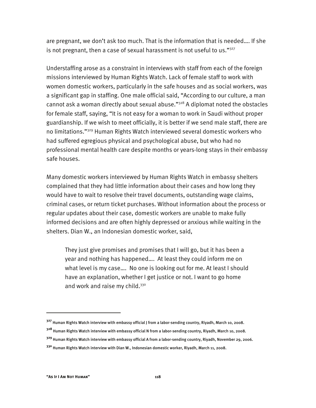are pregnant, we don't ask too much. That is the information that is needed…. If she is not pregnant, then a case of sexual harassment is not useful to us." $327$ 

Understaffing arose as a constraint in interviews with staff from each of the foreign missions interviewed by Human Rights Watch. Lack of female staff to work with women domestic workers, particularly in the safe houses and as social workers, was a significant gap in staffing. One male official said, "According to our culture, a man cannot ask a woman directly about sexual abuse."328 A diplomat noted the obstacles for female staff, saying, "It is not easy for a woman to work in Saudi without proper guardianship. If we wish to meet officially, it is better if we send male staff, there are no limitations."329 Human Rights Watch interviewed several domestic workers who had suffered egregious physical and psychological abuse, but who had no professional mental health care despite months or years-long stays in their embassy safe houses.

Many domestic workers interviewed by Human Rights Watch in embassy shelters complained that they had little information about their cases and how long they would have to wait to resolve their travel documents, outstanding wage claims, criminal cases, or return ticket purchases. Without information about the process or regular updates about their case, domestic workers are unable to make fully informed decisions and are often highly depressed or anxious while waiting in the shelters. Dian W., an Indonesian domestic worker, said,

They just give promises and promises that I will go, but it has been a year and nothing has happened…. At least they could inform me on what level is my case…. No one is looking out for me. At least I should have an explanation, whether I get justice or not. I want to go home and work and raise my child.<sup>330</sup>

**<sup>328</sup>** Human Rights Watch interview with embassy official N from a labor-sending country, Riyadh, March 10, 2008.

j

**<sup>327</sup>** Human Rights Watch interview with embassy official J from a labor-sending country, Riyadh, March 10, 2008.

**<sup>329</sup>** Human Rights Watch interview with embassy official A from a labor-sending country, Riyadh, November 29, 2006.

**<sup>330</sup>** Human Rights Watch interview with Dian W., Indonesian domestic worker, Riyadh, March 11, 2008.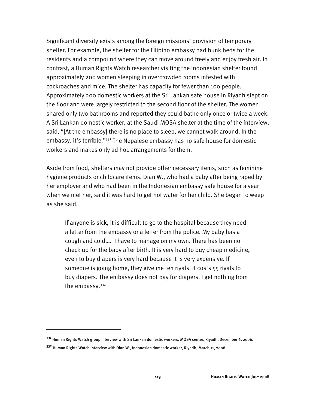Significant diversity exists among the foreign missions' provision of temporary shelter. For example, the shelter for the Filipino embassy had bunk beds for the residents and a compound where they can move around freely and enjoy fresh air. In contrast, a Human Rights Watch researcher visiting the Indonesian shelter found approximately 200 women sleeping in overcrowded rooms infested with cockroaches and mice. The shelter has capacity for fewer than 100 people. Approximately 200 domestic workers at the Sri Lankan safe house in Riyadh slept on the floor and were largely restricted to the second floor of the shelter. The women shared only two bathrooms and reported they could bathe only once or twice a week. A Sri Lankan domestic worker, at the Saudi MOSA shelter at the time of the interview, said, "[At the embassy] there is no place to sleep, we cannot walk around. In the embassy, it's terrible."<sup>331</sup> The Nepalese embassy has no safe house for domestic workers and makes only ad hoc arrangements for them.

Aside from food, shelters may not provide other necessary items, such as feminine hygiene products or childcare items. Dian W., who had a baby after being raped by her employer and who had been in the Indonesian embassy safe house for a year when we met her, said it was hard to get hot water for her child. She began to weep as she said,

If anyone is sick, it is difficult to go to the hospital because they need a letter from the embassy or a letter from the police. My baby has a cough and cold…. I have to manage on my own. There has been no check up for the baby after birth. It is very hard to buy cheap medicine, even to buy diapers is very hard because it is very expensive. If someone is going home, they give me ten riyals. It costs 55 riyals to buy diapers. The embassy does not pay for diapers. I get nothing from the embassy.<sup>332</sup>

**<sup>331</sup>** Human Rights Watch group interview with Sri Lankan domestic workers, MOSA center, Riyadh, December 6, 2006. **<sup>332</sup>** Human Rights Watch interview with Dian W., Indonesian domestic worker, Riyadh, March 11, 2008.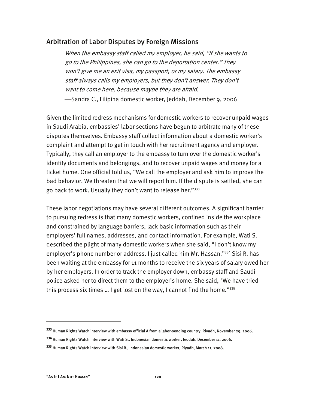#### Arbitration of Labor Disputes by Foreign Missions

When the embassy staff called my employer, he said, "If she wants to go to the Philippines, she can go to the deportation center." They won't give me an exit visa, my passport, or my salary. The embassy staff always calls my employers, but they don't answer. They don't want to come here, because maybe they are afraid.

-Sandra C., Filipina domestic worker, Jeddah, December 9, 2006

Given the limited redress mechanisms for domestic workers to recover unpaid wages in Saudi Arabia, embassies' labor sections have begun to arbitrate many of these disputes themselves. Embassy staff collect information about a domestic worker's complaint and attempt to get in touch with her recruitment agency and employer. Typically, they call an employer to the embassy to turn over the domestic worker's identity documents and belongings, and to recover unpaid wages and money for a ticket home. One official told us, "We call the employer and ask him to improve the bad behavior. We threaten that we will report him. If the dispute is settled, she can go back to work. Usually they don't want to release her."333

These labor negotiations may have several different outcomes. A significant barrier to pursuing redress is that many domestic workers, confined inside the workplace and constrained by language barriers, lack basic information such as their employers' full names, addresses, and contact information. For example, Wati S. described the plight of many domestic workers when she said, "I don't know my employer's phone number or address. I just called him Mr. Hassan."<sup>334</sup> Sisi R. has been waiting at the embassy for 11 months to receive the six years of salary owed her by her employers. In order to track the employer down, embassy staff and Saudi police asked her to direct them to the employer's home. She said, "We have tried this process six times ... I get lost on the way, I cannot find the home." $335$ 

**<sup>333</sup>** Human Rights Watch interview with embassy official A from a labor-sending country, Riyadh, November 29, 2006.

**<sup>334</sup>** Human Rights Watch interview with Wati S., Indonesian domestic worker, Jeddah, December 11, 2006.

**<sup>335</sup>** Human Rights Watch interview with Sisi R., Indonesian domestic worker, Riyadh, March 11, 2008.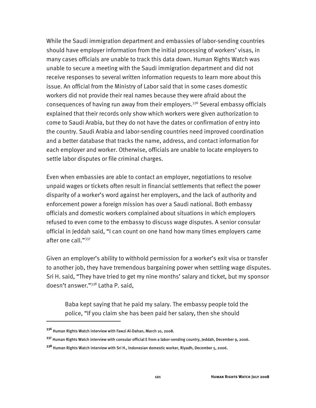While the Saudi immigration department and embassies of labor-sending countries should have employer information from the initial processing of workers' visas, in many cases officials are unable to track this data down. Human Rights Watch was unable to secure a meeting with the Saudi immigration department and did not receive responses to several written information requests to learn more about this issue. An official from the Ministry of Labor said that in some cases domestic workers did not provide their real names because they were afraid about the consequences of having run away from their employers.<sup>336</sup> Several embassy officials explained that their records only show which workers were given authorization to come to Saudi Arabia, but they do not have the dates or confirmation of entry into the country. Saudi Arabia and labor-sending countries need improved coordination and a better database that tracks the name, address, and contact information for each employer and worker. Otherwise, officials are unable to locate employers to settle labor disputes or file criminal charges.

Even when embassies are able to contact an employer, negotiations to resolve unpaid wages or tickets often result in financial settlements that reflect the power disparity of a worker's word against her employers, and the lack of authority and enforcement power a foreign mission has over a Saudi national. Both embassy officials and domestic workers complained about situations in which employers refused to even come to the embassy to discuss wage disputes. A senior consular official in Jeddah said, "I can count on one hand how many times employers came after one call."337

Given an employer's ability to withhold permission for a worker's exit visa or transfer to another job, they have tremendous bargaining power when settling wage disputes. Sri H. said, "They have tried to get my nine months' salary and ticket, but my sponsor doesn't answer."338 Latha P. said,

Baba kept saying that he paid my salary. The embassy people told the police, "If you claim she has been paid her salary, then she should

**<sup>336</sup>** Human Rights Watch interview with Fawzi Al-Dahan, March 10, 2008.

**<sup>337</sup>** Human Rights Watch interview with consular official E from a labor-sending country, Jeddah, December 9, 2006.

**<sup>338</sup>** Human Rights Watch interview with Sri H., Indonesian domestic worker, Riyadh, December 5, 2006.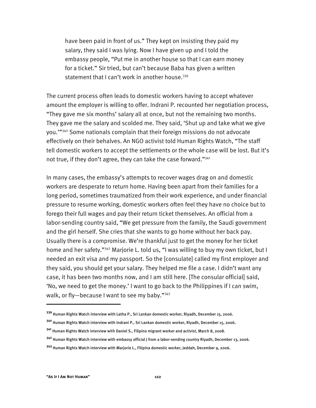have been paid in front of us." They kept on insisting they paid my salary, they said I was lying. Now I have given up and I told the embassy people, "Put me in another house so that I can earn money for a ticket." Sir tried, but can't because Baba has given a written statement that I can't work in another house.<sup>339</sup>

The current process often leads to domestic workers having to accept whatever amount the employer is willing to offer. Indrani P. recounted her negotiation process, "They gave me six months' salary all at once, but not the remaining two months. They gave me the salary and scolded me. They said, 'Shut up and take what we give you.'"340 Some nationals complain that their foreign missions do not advocate effectively on their behalves. An NGO activist told Human Rights Watch, "The staff tell domestic workers to accept the settlements or the whole case will be lost. But it's not true, if they don't agree, they can take the case forward."<sup>341</sup>

In many cases, the embassy's attempts to recover wages drag on and domestic workers are desperate to return home. Having been apart from their families for a long period, sometimes traumatized from their work experience, and under financial pressure to resume working, domestic workers often feel they have no choice but to forego their full wages and pay their return ticket themselves. An official from a labor-sending country said, "We get pressure from the family, the Saudi government and the girl herself. She cries that she wants to go home without her back pay. Usually there is a compromise. We're thankful just to get the money for her ticket home and her safety."<sup>342</sup> Marjorie L. told us, "I was willing to buy my own ticket, but I needed an exit visa and my passport. So the [consulate] called my first employer and they said, you should get your salary. They helped me file a case. I didn't want any case, it has been two months now, and I am still here. [The consular official] said, 'No, we need to get the money.' I want to go back to the Philippines if I can swim, walk, or fly-because I want to see my baby." $343$ 

**<sup>339</sup>** Human Rights Watch interview with Latha P., Sri Lankan domestic worker, Riyadh, December 15, 2006.

**<sup>340</sup>** Human Rights Watch interview with Indrani P., Sri Lankan domestic worker, Riyadh, December 15, 2006.

**<sup>341</sup>** Human Rights Watch interview with Daniel S., Filipino migrant worker and activist, March 8, 2008.

**<sup>342</sup>** Human Rights Watch interview with embassy official J from a labor-sending country Riyadh, December 13, 2006.

**<sup>343</sup>** Human Rights Watch interview with Marjorie L., Filipina domestic worker, Jeddah, December 9, 2006.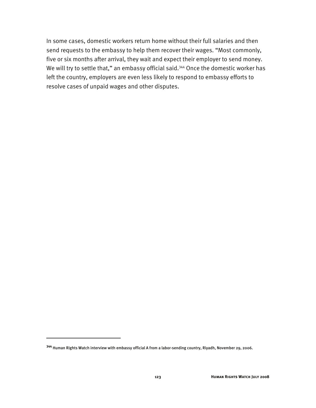In some cases, domestic workers return home without their full salaries and then send requests to the embassy to help them recover their wages. "Most commonly, five or six months after arrival, they wait and expect their employer to send money. We will try to settle that," an embassy official said.<sup>344</sup> Once the domestic worker has left the country, employers are even less likely to respond to embassy efforts to resolve cases of unpaid wages and other disputes.

**<sup>344</sup>** Human Rights Watch interview with embassy official A from a labor-sending country, Riyadh, November 29, 2006.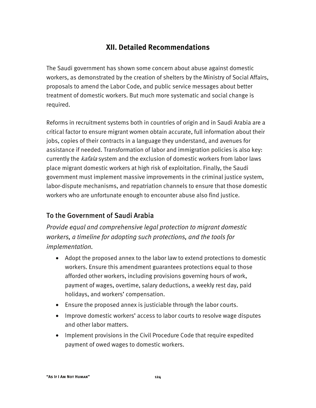## **XII. Detailed Recommendations**

The Saudi government has shown some concern about abuse against domestic workers, as demonstrated by the creation of shelters by the Ministry of Social Affairs, proposals to amend the Labor Code, and public service messages about better treatment of domestic workers. But much more systematic and social change is required.

Reforms in recruitment systems both in countries of origin and in Saudi Arabia are a critical factor to ensure migrant women obtain accurate, full information about their jobs, copies of their contracts in a language they understand, and avenues for assistance if needed. Transformation of labor and immigration policies is also key: currently the *kafala* system and the exclusion of domestic workers from labor laws place migrant domestic workers at high risk of exploitation. Finally, the Saudi government must implement massive improvements in the criminal justice system, labor-dispute mechanisms, and repatriation channels to ensure that those domestic workers who are unfortunate enough to encounter abuse also find justice.

## To the Government of Saudi Arabia

*Provide equal and comprehensive legal protection to migrant domestic workers, a timeline for adopting such protections, and the tools for implementation.* 

- Adopt the proposed annex to the labor law to extend protections to domestic workers. Ensure this amendment guarantees protections equal to those afforded other workers, including provisions governing hours of work, payment of wages, overtime, salary deductions, a weekly rest day, paid holidays, and workers' compensation.
- Ensure the proposed annex is justiciable through the labor courts.
- Improve domestic workers' access to labor courts to resolve wage disputes and other labor matters.
- Implement provisions in the Civil Procedure Code that require expedited payment of owed wages to domestic workers.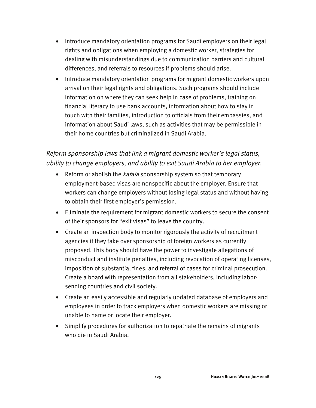- Introduce mandatory orientation programs for Saudi employers on their legal rights and obligations when employing a domestic worker, strategies for dealing with misunderstandings due to communication barriers and cultural differences, and referrals to resources if problems should arise.
- Introduce mandatory orientation programs for migrant domestic workers upon arrival on their legal rights and obligations. Such programs should include information on where they can seek help in case of problems, training on financial literacy to use bank accounts, information about how to stay in touch with their families, introduction to officials from their embassies, and information about Saudi laws, such as activities that may be permissible in their home countries but criminalized in Saudi Arabia.

## *Reform sponsorship laws that link a migrant domestic worker's legal status, ability to change employers, and ability to exit Saudi Arabia to her employer.*

- Reform or abolish the *kafala* sponsorship system so that temporary employment-based visas are nonspecific about the employer. Ensure that workers can change employers without losing legal status and without having to obtain their first employer's permission.
- Eliminate the requirement for migrant domestic workers to secure the consent of their sponsors for "exit visas" to leave the country.
- Create an inspection body to monitor rigorously the activity of recruitment agencies if they take over sponsorship of foreign workers as currently proposed. This body should have the power to investigate allegations of misconduct and institute penalties, including revocation of operating licenses, imposition of substantial fines, and referral of cases for criminal prosecution. Create a board with representation from all stakeholders, including laborsending countries and civil society.
- Create an easily accessible and regularly updated database of employers and employees in order to track employers when domestic workers are missing or unable to name or locate their employer.
- Simplify procedures for authorization to repatriate the remains of migrants who die in Saudi Arabia.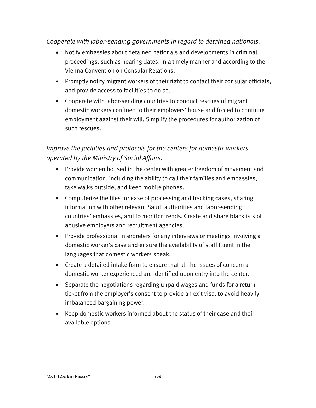*Cooperate with labor-sending governments in regard to detained nationals.* 

- Notify embassies about detained nationals and developments in criminal proceedings, such as hearing dates, in a timely manner and according to the Vienna Convention on Consular Relations.
- Promptly notify migrant workers of their right to contact their consular officials, and provide access to facilities to do so.
- Cooperate with labor-sending countries to conduct rescues of migrant domestic workers confined to their employers' house and forced to continue employment against their will. Simplify the procedures for authorization of such rescues.

## *Improve the facilities and protocols for the centers for domestic workers operated by the Ministry of Social Affairs.*

- Provide women housed in the center with greater freedom of movement and communication, including the ability to call their families and embassies, take walks outside, and keep mobile phones.
- Computerize the files for ease of processing and tracking cases, sharing information with other relevant Saudi authorities and labor-sending countries' embassies, and to monitor trends. Create and share blacklists of abusive employers and recruitment agencies.
- Provide professional interpreters for any interviews or meetings involving a domestic worker's case and ensure the availability of staff fluent in the languages that domestic workers speak.
- Create a detailed intake form to ensure that all the issues of concern a domestic worker experienced are identified upon entry into the center.
- Separate the negotiations regarding unpaid wages and funds for a return ticket from the employer's consent to provide an exit visa, to avoid heavily imbalanced bargaining power.
- Keep domestic workers informed about the status of their case and their available options.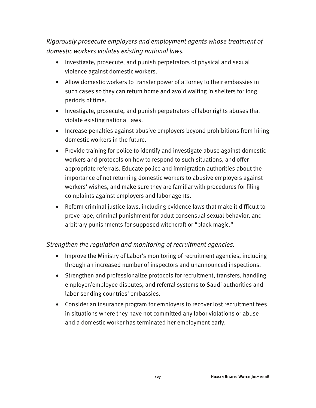*Rigorously prosecute employers and employment agents whose treatment of domestic workers violates existing national laws.* 

- Investigate, prosecute, and punish perpetrators of physical and sexual violence against domestic workers.
- Allow domestic workers to transfer power of attorney to their embassies in such cases so they can return home and avoid waiting in shelters for long periods of time.
- Investigate, prosecute, and punish perpetrators of labor rights abuses that violate existing national laws.
- Increase penalties against abusive employers beyond prohibitions from hiring domestic workers in the future.
- Provide training for police to identify and investigate abuse against domestic workers and protocols on how to respond to such situations, and offer appropriate referrals. Educate police and immigration authorities about the importance of not returning domestic workers to abusive employers against workers' wishes, and make sure they are familiar with procedures for filing complaints against employers and labor agents.
- Reform criminal justice laws, including evidence laws that make it difficult to prove rape, criminal punishment for adult consensual sexual behavior, and arbitrary punishments for supposed witchcraft or "black magic."

#### *Strengthen the regulation and monitoring of recruitment agencies.*

- Improve the Ministry of Labor's monitoring of recruitment agencies, including through an increased number of inspectors and unannounced inspections.
- Strengthen and professionalize protocols for recruitment, transfers, handling employer/employee disputes, and referral systems to Saudi authorities and labor-sending countries' embassies.
- Consider an insurance program for employers to recover lost recruitment fees in situations where they have not committed any labor violations or abuse and a domestic worker has terminated her employment early.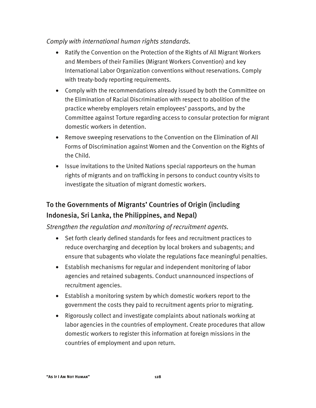#### *Comply with international human rights standards.*

- Ratify the Convention on the Protection of the Rights of All Migrant Workers and Members of their Families (Migrant Workers Convention) and key International Labor Organization conventions without reservations. Comply with treaty-body reporting requirements.
- Comply with the recommendations already issued by both the Committee on the Elimination of Racial Discrimination with respect to abolition of the practice whereby employers retain employees' passports, and by the Committee against Torture regarding access to consular protection for migrant domestic workers in detention.
- Remove sweeping reservations to the Convention on the Elimination of All Forms of Discrimination against Women and the Convention on the Rights of the Child.
- Issue invitations to the United Nations special rapporteurs on the human rights of migrants and on trafficking in persons to conduct country visits to investigate the situation of migrant domestic workers.

## To the Governments of Migrants' Countries of Origin (including Indonesia, Sri Lanka, the Philippines, and Nepal)

*Strengthen the regulation and monitoring of recruitment agents.* 

- Set forth clearly defined standards for fees and recruitment practices to reduce overcharging and deception by local brokers and subagents; and ensure that subagents who violate the regulations face meaningful penalties.
- Establish mechanisms for regular and independent monitoring of labor agencies and retained subagents. Conduct unannounced inspections of recruitment agencies.
- Establish a monitoring system by which domestic workers report to the government the costs they paid to recruitment agents prior to migrating.
- Rigorously collect and investigate complaints about nationals working at labor agencies in the countries of employment. Create procedures that allow domestic workers to register this information at foreign missions in the countries of employment and upon return.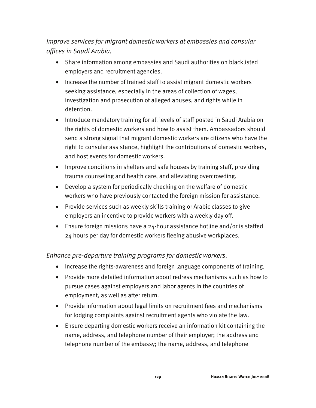*Improve services for migrant domestic workers at embassies and consular offices in Saudi Arabia.* 

- Share information among embassies and Saudi authorities on blacklisted employers and recruitment agencies.
- Increase the number of trained staff to assist migrant domestic workers seeking assistance, especially in the areas of collection of wages, investigation and prosecution of alleged abuses, and rights while in detention.
- Introduce mandatory training for all levels of staff posted in Saudi Arabia on the rights of domestic workers and how to assist them. Ambassadors should send a strong signal that migrant domestic workers are citizens who have the right to consular assistance, highlight the contributions of domestic workers, and host events for domestic workers.
- Improve conditions in shelters and safe houses by training staff, providing trauma counseling and health care, and alleviating overcrowding.
- Develop a system for periodically checking on the welfare of domestic workers who have previously contacted the foreign mission for assistance.
- Provide services such as weekly skills training or Arabic classes to give employers an incentive to provide workers with a weekly day off.
- Ensure foreign missions have a 24-hour assistance hotline and/or is staffed 24 hours per day for domestic workers fleeing abusive workplaces.

#### *Enhance pre-departure training programs for domestic workers.*

- Increase the rights-awareness and foreign language components of training.
- Provide more detailed information about redress mechanisms such as how to pursue cases against employers and labor agents in the countries of employment, as well as after return.
- Provide information about legal limits on recruitment fees and mechanisms for lodging complaints against recruitment agents who violate the law.
- Ensure departing domestic workers receive an information kit containing the name, address, and telephone number of their employer; the address and telephone number of the embassy; the name, address, and telephone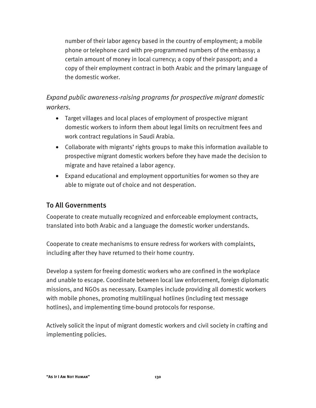number of their labor agency based in the country of employment; a mobile phone or telephone card with pre-programmed numbers of the embassy; a certain amount of money in local currency; a copy of their passport; and a copy of their employment contract in both Arabic and the primary language of the domestic worker.

## *Expand public awareness-raising programs for prospective migrant domestic workers.*

- Target villages and local places of employment of prospective migrant domestic workers to inform them about legal limits on recruitment fees and work contract regulations in Saudi Arabia.
- Collaborate with migrants' rights groups to make this information available to prospective migrant domestic workers before they have made the decision to migrate and have retained a labor agency.
- Expand educational and employment opportunities for women so they are able to migrate out of choice and not desperation.

#### To All Governments

Cooperate to create mutually recognized and enforceable employment contracts, translated into both Arabic and a language the domestic worker understands.

Cooperate to create mechanisms to ensure redress for workers with complaints, including after they have returned to their home country.

Develop a system for freeing domestic workers who are confined in the workplace and unable to escape. Coordinate between local law enforcement, foreign diplomatic missions, and NGOs as necessary. Examples include providing all domestic workers with mobile phones, promoting multilingual hotlines (including text message hotlines), and implementing time-bound protocols for response.

Actively solicit the input of migrant domestic workers and civil society in crafting and implementing policies.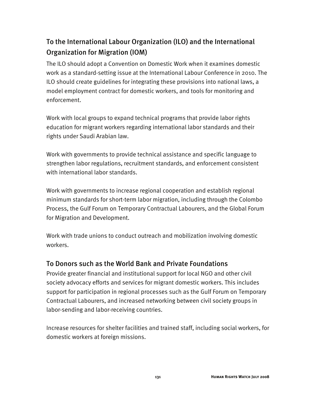## To the International Labour Organization (ILO) and the International Organization for Migration (IOM)

The ILO should adopt a Convention on Domestic Work when it examines domestic work as a standard-setting issue at the International Labour Conference in 2010. The ILO should create guidelines for integrating these provisions into national laws, a model employment contract for domestic workers, and tools for monitoring and enforcement.

Work with local groups to expand technical programs that provide labor rights education for migrant workers regarding international labor standards and their rights under Saudi Arabian law.

Work with governments to provide technical assistance and specific language to strengthen labor regulations, recruitment standards, and enforcement consistent with international labor standards.

Work with governments to increase regional cooperation and establish regional minimum standards for short-term labor migration, including through the Colombo Process, the Gulf Forum on Temporary Contractual Labourers, and the Global Forum for Migration and Development.

Work with trade unions to conduct outreach and mobilization involving domestic workers.

#### To Donors such as the World Bank and Private Foundations

Provide greater financial and institutional support for local NGO and other civil society advocacy efforts and services for migrant domestic workers. This includes support for participation in regional processes such as the Gulf Forum on Temporary Contractual Labourers, and increased networking between civil society groups in labor-sending and labor-receiving countries.

Increase resources for shelter facilities and trained staff, including social workers, for domestic workers at foreign missions.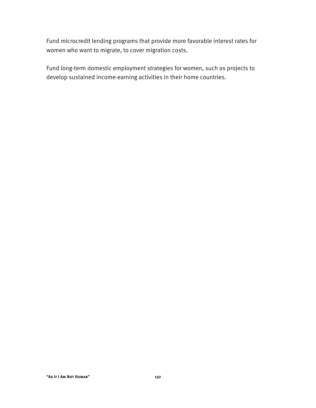Fund microcredit lending programs that provide more favorable interest rates for women who want to migrate, to cover migration costs.

Fund long-term domestic employment strategies for women, such as projects to develop sustained income-earning activities in their home countries.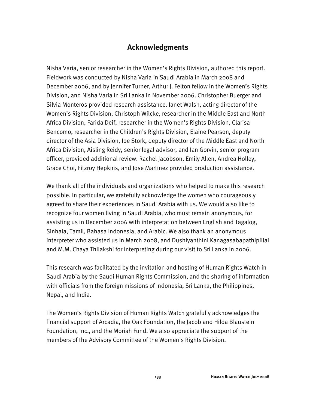## **Acknowledgments**

Nisha Varia, senior researcher in the Women's Rights Division, authored this report. Fieldwork was conducted by Nisha Varia in Saudi Arabia in March 2008 and December 2006, and by Jennifer Turner, Arthur J. Felton fellow in the Women's Rights Division, and Nisha Varia in Sri Lanka in November 2006. Christopher Buerger and Silvia Monteros provided research assistance. Janet Walsh, acting director of the Women's Rights Division, Christoph Wilcke, researcher in the Middle East and North Africa Division, Farida Deif, researcher in the Women's Rights Division, Clarisa Bencomo, researcher in the Children's Rights Division, Elaine Pearson, deputy director of the Asia Division, Joe Stork, deputy director of the Middle East and North Africa Division, Aisling Reidy, senior legal advisor, and Ian Gorvin, senior program officer, provided additional review. Rachel Jacobson, Emily Allen, Andrea Holley, Grace Choi, Fitzroy Hepkins, and Jose Martinez provided production assistance.

We thank all of the individuals and organizations who helped to make this research possible. In particular, we gratefully acknowledge the women who courageously agreed to share their experiences in Saudi Arabia with us. We would also like to recognize four women living in Saudi Arabia, who must remain anonymous, for assisting us in December 2006 with interpretation between English and Tagalog, Sinhala, Tamil, Bahasa Indonesia, and Arabic. We also thank an anonymous interpreter who assisted us in March 2008, and Dushiyanthini Kanagasabapathipillai and M.M. Chaya Thilakshi for interpreting during our visit to Sri Lanka in 2006.

This research was facilitated by the invitation and hosting of Human Rights Watch in Saudi Arabia by the Saudi Human Rights Commission, and the sharing of information with officials from the foreign missions of Indonesia, Sri Lanka, the Philippines, Nepal, and India.

The Women's Rights Division of Human Rights Watch gratefully acknowledges the financial support of Arcadia, the Oak Foundation, the Jacob and Hilda Blaustein Foundation, Inc., and the Moriah Fund. We also appreciate the support of the members of the Advisory Committee of the Women's Rights Division.